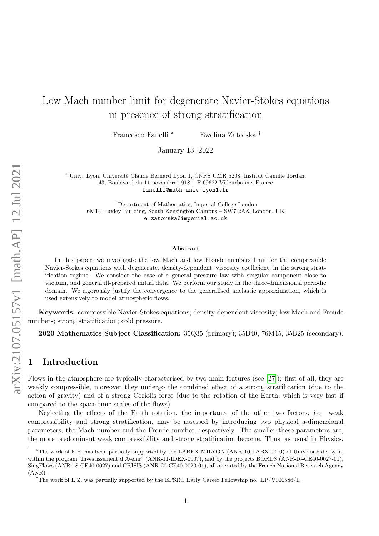# Low Mach number limit for degenerate Navier-Stokes equations in presence of strong stratification

Francesco Fanelli <sup>∗</sup> Ewelina Zatorska †

January 13, 2022

<sup>∗</sup> Univ. Lyon, Université Claude Bernard Lyon 1, CNRS UMR 5208, Institut Camille Jordan, 43, Boulevard du 11 novembre 1918 – F-69622 Villeurbanne, France fanelli@math.univ-lyon1.fr

† Department of Mathematics, Imperial College London 6M14 Huxley Building, South Kensington Campus – SW7 2AZ, London, UK e.zatorska@imperial.ac.uk

#### Abstract

In this paper, we investigate the low Mach and low Froude numbers limit for the compressible Navier-Stokes equations with degenerate, density-dependent, viscosity coefficient, in the strong stratification regime. We consider the case of a general pressure law with singular component close to vacuum, and general ill-prepared initial data. We perform our study in the three-dimensional periodic domain. We rigorously justify the convergence to the generalised anelastic approximation, which is used extensively to model atmospheric flows.

Keywords: compressible Navier-Stokes equations; density-dependent viscosity; low Mach and Froude numbers; strong stratification; cold pressure.

2020 Mathematics Subject Classification: 35Q35 (primary); 35B40, 76M45, 35B25 (secondary).

# 1 Introduction

Flows in the atmosphere are typically characterised by two main features (see [\[27\]](#page-37-0)): first of all, they are weakly compressible, moreover they undergo the combined effect of a strong stratification (due to the action of gravity) and of a strong Coriolis force (due to the rotation of the Earth, which is very fast if compared to the space-time scales of the flows).

Neglecting the effects of the Earth rotation, the importance of the other two factors, i.e. weak compressibility and strong stratification, may be assessed by introducing two physical a-dimensional parameters, the Mach number and the Froude number, respectively. The smaller these parameters are, the more predominant weak compressibility and strong stratification become. Thus, as usual in Physics,

<sup>∗</sup>The work of F.F. has been partially supported by the LABEX MILYON (ANR-10-LABX-0070) of Université de Lyon, within the program "Investissement d'Avenir" (ANR-11-IDEX-0007), and by the projects BORDS (ANR-16-CE40-0027-01), SingFlows (ANR-18-CE40-0027) and CRISIS (ANR-20-CE40-0020-01), all operated by the French National Research Agency (ANR).

<sup>&</sup>lt;sup>†</sup>The work of E.Z. was partially supported by the EPSRC Early Career Fellowship no. EP/V000586/1.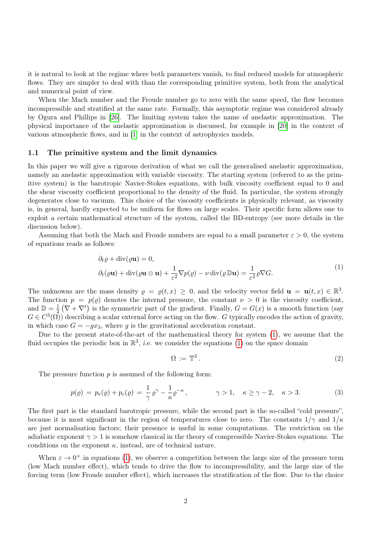it is natural to look at the regime where both parameters vanish, to find reduced models for atmospheric flows. They are simpler to deal with than the corresponding primitive system, both from the analytical and numerical point of view.

When the Mach number and the Froude number go to zero with the same speed, the flow becomes incompressible and stratified at the same rate. Formally, this asymptotic regime was considered already by Ogura and Phillips in [\[26\]](#page-36-0). The limiting system takes the name of anelastic approximation. The physical importance of the anelastic approximation is discussed, for example in [\[20\]](#page-36-1) in the context of various atmospheric flows, and in [\[1\]](#page-35-0) in the context of astrophysics models.

#### 1.1 The primitive system and the limit dynamics

In this paper we will give a rigorous derivation of what we call the generalised anelastic approximation, namely an anelastic approximation with variable viscosity. The starting system (referred to as the primitive system) is the barotropic Navier-Stokes equations, with bulk viscosity coefficient equal to 0 and the shear viscosity coefficient proportional to the density of the fluid. In particular, the system strongly degenerates close to vacuum. This choice of the viscosity coefficients is physically relevant, as viscosity is, in general, hardly expected to be uniform for flows on large scales. Their specific form allows one to exploit a certain mathematical structure of the system, called the BD-entropy (see more details in the discussion below).

Assuming that both the Mach and Froude numbers are equal to a small parameter  $\varepsilon > 0$ , the system of equations reads as follows:

$$
\partial_t \varrho + \text{div}(\varrho \mathbf{u}) = 0,
$$
  

$$
\partial_t(\varrho \mathbf{u}) + \text{div}(\varrho \mathbf{u} \otimes \mathbf{u}) + \frac{1}{\varepsilon^2} \nabla p(\varrho) - \nu \text{div}(\varrho \mathbb{D} \mathbf{u}) = \frac{1}{\varepsilon^2} \varrho \nabla G.
$$
 (1)

<span id="page-1-0"></span>The unknowns are the mass density  $\rho = \rho(t, x) \geq 0$ , and the velocity vector field  $\mathbf{u} = \mathbf{u}(t, x) \in \mathbb{R}^3$ . The function  $p = p(\rho)$  denotes the internal pressure, the constant  $\nu > 0$  is the viscosity coefficient, and  $\mathbb{D}=\frac{1}{2}$  $\frac{1}{2}(\nabla + \nabla^t)$  is the symmetric part of the gradient. Finally,  $G = G(x)$  is a smooth function (say  $G \in C^3(\Omega)$  describing a scalar external force acting on the flow. G typically encodes the action of gravity, in which case  $G = -gx_3$ , where g is the gravitational acceleration constant.

Due to the present state-of-the-art of the mathematical theory for system [\(1\)](#page-1-0), we assume that the fluid occupies the periodic box in  $\mathbb{R}^3$ , *i.e.* we consider the equations [\(1\)](#page-1-0) on the space domain

$$
\Omega := \mathbb{T}^3. \tag{2}
$$

<span id="page-1-1"></span>The pressure function  $p$  is assumed of the following form:

$$
p(\varrho) = p_e(\varrho) + p_c(\varrho) = \frac{1}{\gamma} \varrho^{\gamma} - \frac{1}{\kappa} \varrho^{-\kappa}, \qquad \gamma > 1, \quad \kappa \ge \gamma - 2, \quad \kappa > 3.
$$
 (3)

The first part is the standard barotropic pressure, while the second part is the so-called "cold pressure", because it is most significant in the region of temperatures close to zero. The constants  $1/\gamma$  and  $1/\kappa$ are just normalisation factors; their presence is useful in some computations. The restriction on the adiabatic exponent  $\gamma > 1$  is somehow classical in the theory of compressible Navier-Stokes equations. The conditions on the exponent  $\kappa$ , instead, are of technical nature.

When  $\varepsilon \to 0^+$  in equations [\(1\)](#page-1-0), we observe a competition between the large size of the pressure term (low Mach number effect), which tends to drive the flow to incompressibility, and the large size of the forcing term (low Froude number effect), which increases the stratification of the flow. Due to the choice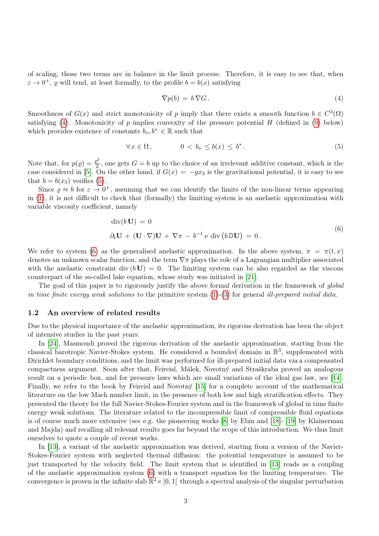of scaling, those two terms are in balance in the limit process. Therefore, it is easy to see that, when  $\varepsilon \to 0^+$ ,  $\varrho$  will tend, at least formally, to the profile  $b = b(x)$  satisfying

<span id="page-2-0"></span>
$$
\nabla p(b) = b \, \nabla G \,. \tag{4}
$$

Smoothness of  $G(x)$  and strict monotonicity of p imply that there exists a smooth function  $b \in C^3(\Omega)$ satisfying [\(4\)](#page-2-0). Monotonicity of p implies convexity of the pressure potential  $H$  (defined in [\(9\)](#page-5-0) below) which provides existence of constants  $b_*, b^* \in \mathbb{R}$  such that

<span id="page-2-1"></span>
$$
\forall x \in \Omega, \qquad \qquad 0 < b_* \le b(x) \le b^* \,. \tag{5}
$$

Note that, for  $p(\varrho) = \frac{\varrho^2}{2}$  $\frac{2^2}{2}$ , one gets  $G = b$  up to the choice of an irrelevant additive constant, which is the case considered in [\[5\]](#page-36-2). On the other hand, if  $G(x) = -gx_3$  is the gravitational potential, it is easy to see that  $b = b(x_3)$  verifies [\(5\)](#page-2-1).

Since  $\rho \approx b$  for  $\varepsilon \to 0^+$ , assuming that we can identify the limits of the non-linear terms appearing in [\(1\)](#page-1-0), it is not difficult to check that (formally) the limiting system is an anelastic approximation with variable viscosity coefficient, namely

$$
\operatorname{div}(b\,\mathbf{U}) = 0
$$
  
\n
$$
\partial_t \mathbf{U} + (\mathbf{U} \cdot \nabla)\mathbf{U} + \nabla \pi - b^{-1} \nu \operatorname{div}(b \mathbb{D} \mathbf{U}) = 0.
$$
\n(6)

<span id="page-2-2"></span>We refer to system [\(6\)](#page-2-2) as the generalised anelastic approximation. In the above system,  $\pi = \pi(t, x)$ denotes an unknown scalar function, and the term  $\nabla \pi$  plays the role of a Lagrangian multiplier associated with the anelastic constraint div  $(b\,\mathbf{U}) = 0$ . The limiting system can be also regarded as the viscous counterpart of the so-called lake equation, whose study was initiated in [\[21\]](#page-36-3).

The goal of this paper is to rigorously justify the above formal derivation in the framework of *qlobal* in time finite energy weak solutions to the primitive system  $(1)-(3)$  $(1)-(3)$  $(1)-(3)$  for general ill-prepared initial data.

#### 1.2 An overview of related results

Due to the physical importance of the anelastic approximation, its rigorous derivation has been the object of intensive studies in the past years.

In [\[24\]](#page-36-4), Masmoudi proved the rigorous derivation of the anelastic approximation, starting from the classical barotropic Navier-Stokes system. He considered a bounded domain in  $\mathbb{R}^3$ , supplemented with Dirichlet boundary conditions, and the limit was performed for ill-prepared initial data via a compensated compactness argument. Soon after that, Feireisl, Málek, Novotný and Straškraba proved an analogous result on a periodic box, and for pressure laws which are small variations of the ideal gas law, see [\[14\]](#page-36-5). Finally, we refer to the book by Feireisl and Novotný [\[15\]](#page-36-6) for a complete account of the mathematical literature on the low Mach number limit, in the presence of both low and high stratification effects. They presented the theory for the full Navier-Stokes-Fourier system and in the framework of global in time finite energy weak solutions. The literature related to the incompressible limit of compressible fluid equations is of course much more extensive (see e.g. the pioneering works [\[8\]](#page-36-7) by Ebin and [\[18\]](#page-36-8)- [\[19\]](#page-36-9) by Klainerman and Majda) and recalling all relevant results goes far beyond the scope of this introduction. We thus limit ourselves to quote a couple of recent works.

In [\[13\]](#page-36-10), a variant of the anelastic approximation was derived, starting from a version of the Navier-Stokes-Fourier system with neglected thermal diffusion: the potential temperature is assumed to be just transported by the velocity field. The limit system that is identified in [\[13\]](#page-36-10) reads as a coupling of the anelastic approximation system [\(6\)](#page-2-2) with a transport equation for the limiting temperature. The convergence is proven in the infinite slab  $\mathbb{R}^2 \times ]0,1[$  through a spectral analysis of the singular perturbation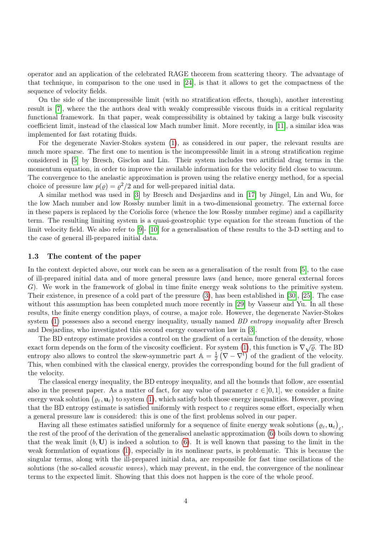operator and an application of the celebrated RAGE theorem from scattering theory. The advantage of that technique, in comparison to the one used in [\[24\]](#page-36-4), is that it allows to get the compactness of the sequence of velocity fields.

On the side of the incompressible limit (with no stratification effects, though), another interesting result is [\[7\]](#page-36-11), where the the authors deal with weakly compressible viscous fluids in a critical regularity functional framework. In that paper, weak compressibility is obtained by taking a large bulk viscosity coefficient limit, instead of the classical low Mach number limit. More recently, in [\[11\]](#page-36-12), a similar idea was implemented for fast rotating fluids.

For the degenerate Navier-Stokes system [\(1\)](#page-1-0), as considered in our paper, the relevant results are much more sparse. The first one to mention is the incompressible limit in a strong stratification regime considered in [\[5\]](#page-36-2) by Bresch, Gisclon and Lin. Their system includes two artificial drag terms in the momentum equation, in order to improve the available information for the velocity field close to vacuum. The convergence to the anelastic approximation is proven using the relative energy method, for a special choice of pressure law  $p(\varrho) = \varrho^2/2$  and for well-prepared initial data.

A similar method was used in [\[3\]](#page-35-1) by Bresch and Desjardins and in [\[17\]](#page-36-13) by Jüngel, Lin and Wu, for the low Mach number and low Rossby number limit in a two-dimensional geometry. The external force in these papers is replaced by the Coriolis force (whence the low Rossby number regime) and a capillarity term. The resulting limiting system is a quasi-geostrophic type equation for the stream function of the limit velocity field. We also refer to [\[9\]](#page-36-14)- [\[10\]](#page-36-15) for a generalisation of these results to the 3-D setting and to the case of general ill-prepared initial data.

#### 1.3 The content of the paper

In the context depicted above, our work can be seen as a generalisation of the result from [\[5\]](#page-36-2), to the case of ill-prepared initial data and of more general pressure laws (and hence, more general external forces G). We work in the framework of global in time finite energy weak solutions to the primitive system. Their existence, in presence of a cold part of the pressure [\(3\)](#page-1-1), has been established in [\[30\]](#page-37-1), [\[25\]](#page-36-16). The case without this assumption has been completed much more recently in [\[29\]](#page-37-2) by Vasseur and Yu. In all these results, the finite energy condition plays, of course, a major role. However, the degenerate Navier-Stokes system [\(1\)](#page-1-0) possesses also a second energy inequality, usually named *BD entropy inequality* after Bresch and Desjardins, who investigated this second energy conservation law in [\[3\]](#page-35-1).

The BD entropy estimate provides a control on the gradient of a certain function of the density, whose exact form depends on the form of the viscosity coefficient. For system [\(1\)](#page-1-0), this function is  $\nabla \sqrt{\varrho}$ . The BD entropy also allows to control the skew-symmetric part  $\mathbb{A} = \frac{1}{2}$  $\frac{1}{2}(\nabla - \nabla^t)$  of the gradient of the velocity. This, when combined with the classical energy, provides the corresponding bound for the full gradient of the velocity.

The classical energy inequality, the BD entropy inequality, and all the bounds that follow, are essential also in the present paper. As a matter of fact, for any value of parameter  $\varepsilon \in [0,1]$ , we consider a finite energy weak solution  $(\varrho_\varepsilon, \mathbf{u}_\varepsilon)$  to system [\(1\)](#page-1-0), which satisfy both those energy inequalities. However, proving that the BD entropy estimate is satisfied uniformly with respect to  $\varepsilon$  requires some effort, especially when a general pressure law is considered: this is one of the first problems solved in our paper.

Having all these estimates satisfied uniformly for a sequence of finite energy weak solutions  $(\varrho_{\varepsilon}, \mathbf{u}_{\varepsilon})_{\varepsilon}$ , the rest of the proof of the derivation of the generalised anelastic approximation [\(6\)](#page-2-2) boils down to showing that the weak limit  $(b, U)$  is indeed a solution to  $(6)$ . It is well known that passing to the limit in the weak formulation of equations [\(1\)](#page-1-0), especially in its nonlinear parts, is problematic. This is because the singular terms, along with the ill-prepared initial data, are responsible for fast time oscillations of the solutions (the so-called *acoustic waves*), which may prevent, in the end, the convergence of the nonlinear terms to the expected limit. Showing that this does not happen is the core of the whole proof.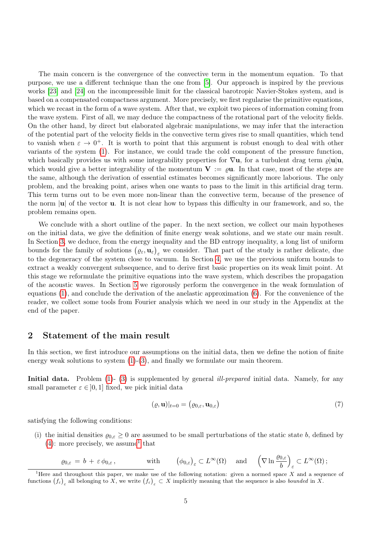The main concern is the convergence of the convective term in the momentum equation. To that purpose, we use a different technique than the one from [\[5\]](#page-36-2). Our approach is inspired by the previous works [\[23\]](#page-36-17) and [\[24\]](#page-36-4) on the incompressible limit for the classical barotropic Navier-Stokes system, and is based on a compensated compactness argument. More precisely, we first regularise the primitive equations, which we recast in the form of a wave system. After that, we exploit two pieces of information coming from the wave system. First of all, we may deduce the compactness of the rotational part of the velocity fields. On the other hand, by direct but elaborated algebraic manipulations, we may infer that the interaction of the potential part of the velocity fields in the convective term gives rise to small quantities, which tend to vanish when  $\varepsilon \to 0^+$ . It is worth to point that this argument is robust enough to deal with other variants of the system [\(1\)](#page-1-0). For instance, we could trade the cold component of the pressure function, which basically provides us with some integrability properties for  $\nabla$ **u**, for a turbulent drag term  $\rho$ |**u**|**u**, which would give a better integrability of the momentum  $V := \rho u$ . In that case, most of the steps are the same, although the derivation of essential estimates becomes significantly more laborious. The only problem, and the breaking point, arises when one wants to pass to the limit in this artificial drag term. This term turns out to be even more non-linear than the convective term, because of the presence of the norm  $|\mathbf{u}|$  of the vector **u**. It is not clear how to bypass this difficulty in our framework, and so, the problem remains open.

We conclude with a short outline of the paper. In the next section, we collect our main hypotheses on the initial data, we give the definition of finite energy weak solutions, and we state our main result. In Section [3,](#page-7-0) we deduce, from the energy inequality and the BD entropy inequality, a long list of uniform bounds for the family of solutions  $(\varrho_{\varepsilon}, \mathbf{u}_{\varepsilon})_{\varepsilon}$  we consider. That part of the study is rather delicate, due to the degeneracy of the system close to vacuum. In Section [4,](#page-16-0) we use the previous uniform bounds to extract a weakly convergent subsequence, and to derive first basic properties on its weak limit point. At this stage we reformulate the primitive equations into the wave system, which describes the propagation of the acoustic waves. In Section [5](#page-24-0) we rigorously perform the convergence in the weak formulation of equations [\(1\)](#page-1-0), and conclude the derivation of the anelastic approximation [\(6\)](#page-2-2). For the convenience of the reader, we collect some tools from Fourier analysis which we need in our study in the Appendix at the end of the paper.

# 2 Statement of the main result

In this section, we first introduce our assumptions on the initial data, then we define the notion of finite energy weak solutions to system  $(1)-(3)$  $(1)-(3)$  $(1)-(3)$ , and finally we formulate our main theorem.

Initial data. Problem [\(1\)](#page-1-0)- [\(3\)](#page-1-1) is supplemented by general *ill-prepared* initial data. Namely, for any small parameter  $\varepsilon \in [0, 1]$  fixed, we pick initial data

$$
(\varrho, \mathbf{u})|_{t=0} = (\varrho_{0,\varepsilon}, \mathbf{u}_{0,\varepsilon})
$$
\n(7)

satisfying the following conditions:

(i) the initial densities  $\varrho_{0,\varepsilon} \geq 0$  are assumed to be small perturbations of the static state b, defined by  $(4)$ : more precisely, we assume<sup>[1](#page-4-0)</sup> that

$$
\underline{\varrho}_{0,\varepsilon} = b + \varepsilon \phi_{0,\varepsilon}, \quad \text{with} \quad (\phi_{0,\varepsilon})_{\varepsilon} \subset L^{\infty}(\Omega) \quad \text{and} \quad \left(\nabla \ln \frac{\varrho_{0,\varepsilon}}{b}\right)_{\varepsilon} \subset L^{\infty}(\Omega);
$$

<span id="page-4-0"></span><sup>&</sup>lt;sup>1</sup>Here and throughout this paper, we make use of the following notation: given a normed space X and a sequence of functions  $(f_{\varepsilon})_{\varepsilon}$  all belonging to X, we write  $(f_{\varepsilon})_{\varepsilon} \subset X$  implicitly meaning that the sequence is also bounded in X.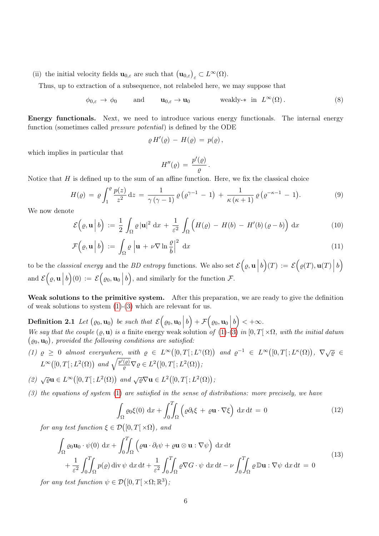(ii) the initial velocity fields  $\mathbf{u}_{0,\varepsilon}$  are such that  $(\mathbf{u}_{0,\varepsilon})_{\varepsilon} \subset L^{\infty}(\Omega)$ .

<span id="page-5-1"></span>Thus, up to extraction of a subsequence, not relabeled here, we may suppose that

$$
\phi_{0,\varepsilon} \to \phi_0
$$
 and  $\mathbf{u}_{0,\varepsilon} \to \mathbf{u}_0$  weakly-\* in  $L^{\infty}(\Omega)$ . (8)

Energy functionals. Next, we need to introduce various energy functionals. The internal energy function (sometimes called pressure potential) is defined by the ODE

$$
\varrho H'(\varrho) - H(\varrho) = p(\varrho) ,
$$

which implies in particular that

<span id="page-5-4"></span><span id="page-5-3"></span>
$$
H''(\varrho) = \frac{p'(\varrho)}{\varrho}.
$$

<span id="page-5-0"></span>Notice that  $H$  is defined up to the sum of an affine function. Here, we fix the classical choice

$$
H(\varrho) = \varrho \int_1^{\varrho} \frac{p(z)}{z^2} dz = \frac{1}{\gamma(\gamma - 1)} \varrho \left( \varrho^{\gamma - 1} - 1 \right) + \frac{1}{\kappa(\kappa + 1)} \varrho \left( \varrho^{-\kappa - 1} - 1 \right).
$$
 (9)

We now denote

$$
\mathcal{E}\left(\varrho,\mathbf{u}\,\bigg|\,b\right) := \frac{1}{2} \int_{\Omega} \varrho \,|\mathbf{u}|^2 \,dx + \frac{1}{\varepsilon^2} \int_{\Omega} \left(H(\varrho) - H(b) - H'(b)(\varrho - b)\right) \,dx \tag{10}
$$

$$
\mathcal{F}\left(\varrho,\mathbf{u}\,\middle|\,b\right) := \int_{\Omega} \varrho \,\left|\mathbf{u} + \nu \nabla \ln \frac{\varrho}{b}\right|^{2} \,\mathrm{d}x \tag{11}
$$

to be the *classical energy* and the *BD entropy* functions. We also set  $\mathcal{E}(\varrho, \mathbf{u})$  $b\Big)(T) := \mathcal{E}\Big(\varrho(T), \mathbf{u}(T)\Big)$  $\left( b\right)$ and  $\mathcal{E}(\varrho, \mathbf{u})$  $b\Big)(0) := \mathcal{E}\Big(\varrho_0, \mathbf{u}_0\Big)$ b), and similarly for the function  $\mathcal{F}$ .

Weak solutions to the primitive system. After this preparation, we are ready to give the definition of weak solutions to system  $(1)-(3)$  $(1)-(3)$  $(1)-(3)$  which are relevant for us.

<span id="page-5-2"></span>**Definition 2.1** Let  $(\varrho_0, \mathbf{u}_0)$  be such that  $\mathcal{E}(\varrho_0, \mathbf{u}_0)$  $\left(b\right) + \mathcal{F}\left(\varrho_0, \mathbf{u}_0\right)$  $b$ ) < + $\infty$ . We say that the couple  $(\varrho, \mathbf{u})$  is a finite energy weak solution of  $(1)-(3)$  $(1)-(3)$  $(1)-(3)$  in  $[0, T] \times \Omega$ , with the initial datum  $(\varrho_0, \mathbf{u}_0)$ , provided the following conditions are satisfied:

- (1)  $\varrho \geq 0$  almost everywhere, with  $\varrho \in L^{\infty}([0,T];L^{\gamma}(\Omega))$  and  $\varrho^{-1} \in L^{\infty}([0,T];L^{\kappa}(\Omega))$ ,  $\nabla \sqrt{\varrho} \in$  $L^{\infty}([0,T[;L^2(\Omega))$  and  $\sqrt{\frac{p'(\varrho)}{\varrho}}\nabla\varrho\in L^2([0,T[;L^2(\Omega))$ ;
- (2)  $\sqrt{\varrho}$ **u**  $\in L^{\infty}([0, T]; L^{2}(\Omega))$  and  $\sqrt{\varrho} \nabla$ **u**  $\in L^{2}([0, T]; L^{2}(\Omega))$ ;
- (3) the equations of system [\(1\)](#page-1-0) are satisfied in the sense of distributions: more precisely, we have

$$
\int_{\Omega} \varrho_0 \xi(0) \, \mathrm{d}x + \int_0^T \int_{\Omega} \left( \varrho \partial_t \xi + \varrho \mathbf{u} \cdot \nabla \xi \right) \, \mathrm{d}x \, \mathrm{d}t = 0 \tag{12}
$$

for any test function  $\xi \in \mathcal{D}([0,T[\times \Omega)],$  and

$$
\int_{\Omega} \varrho_0 \mathbf{u}_0 \cdot \psi(0) \, dx + \int_0^T \int_{\Omega} \left( \varrho \mathbf{u} \cdot \partial_t \psi + \varrho \mathbf{u} \otimes \mathbf{u} : \nabla \psi \right) \, dx \, dt \n+ \frac{1}{\varepsilon^2} \int_0^T \int_{\Omega} p(\varrho) \, \text{div } \psi \, dx \, dt + \frac{1}{\varepsilon^2} \int_0^T \int_{\Omega} \varrho \nabla G \cdot \psi \, dx \, dt - \nu \int_0^T \int_{\Omega} \varrho \, \mathbb{D} \mathbf{u} : \nabla \psi \, dx \, dt = 0
$$
\n(13)

for any test function  $\psi \in \mathcal{D}([0,T[ \times \Omega; \mathbb{R}^3)],$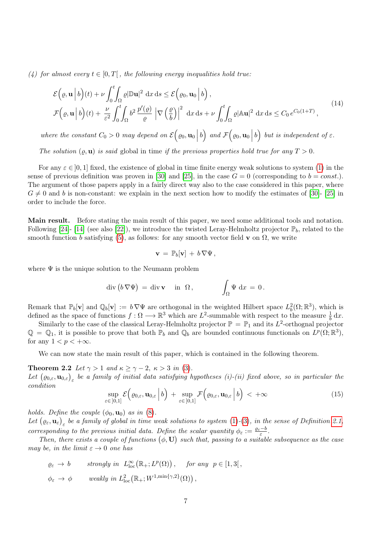(4) for almost every  $t \in [0, T]$ , the following energy inequalities hold true:

$$
\mathcal{E}\Big(\varrho,\mathbf{u}\Big|b\Big)(t) + \nu \int_0^t \int_{\Omega} \varrho |\mathbb{D}\mathbf{u}|^2 \, \mathrm{d}x \, \mathrm{d}s \le \mathcal{E}\Big(\varrho_0,\mathbf{u}_0\Big|b\Big),
$$
\n
$$
\mathcal{F}\Big(\varrho,\mathbf{u}\Big|b\Big)(t) + \frac{\nu}{\varepsilon^2} \int_0^t \int_{\Omega} b^2 \frac{p'(\varrho)}{\varrho} \, \Big|\nabla \Big(\frac{\varrho}{b}\Big)\Big|^2 \, \mathrm{d}x \, \mathrm{d}s + \nu \int_0^t \int_{\Omega} \varrho |\mathbb{A}\mathbf{u}|^2 \, \mathrm{d}x \, \mathrm{d}s \le C_0 \, e^{C_0(1+T)},
$$
\n(14)

where the constant  $C_0 > 0$  may depend on  $\mathcal{E}(\varrho_0, \mathbf{u}_0)$ b) and  $\mathcal{F}(\varrho_0, \mathbf{u}_0)$ b) but is independent of  $\varepsilon$ .

The solution  $(\varrho, \mathbf{u})$  is said global in time if the previous properties hold true for any  $T > 0$ .

For any  $\varepsilon \in [0, 1]$  fixed, the existence of global in time finite energy weak solutions to system [\(1\)](#page-1-0) in the sense of previous definition was proven in [\[30\]](#page-37-1) and [\[25\]](#page-36-16), in the case  $G = 0$  (corresponding to  $b = const.$ ). The argument of those papers apply in a fairly direct way also to the case considered in this paper, where  $G \neq 0$  and b is non-constant: we explain in the next section how to modify the estimates of [\[30\]](#page-37-1)- [\[25\]](#page-36-16) in order to include the force.

Main result. Before stating the main result of this paper, we need some additional tools and notation. Following [\[24\]](#page-36-4)- [\[14\]](#page-36-5) (see also [\[22\]](#page-36-18)), we introduce the twisted Leray-Helmholtz projector  $\mathbb{P}_b$ , related to the smooth function b satisfying [\(5\)](#page-2-1), as follows: for any smooth vector field v on  $\Omega$ , we write

<span id="page-6-1"></span>
$$
\mathbf{v} = \mathbb{P}_b[\mathbf{v}] + b \, \nabla \Psi \,,
$$

where  $\Psi$  is the unique solution to the Neumann problem

$$
\operatorname{div} (b \nabla \Psi) = \operatorname{div} \mathbf{v} \quad \text{in } \Omega, \qquad \qquad \int_{\Omega} \Psi \, dx = 0.
$$

Remark that  $\mathbb{P}_b[\mathbf{v}]$  and  $\mathbb{Q}_b[\mathbf{v}] := b \nabla \Psi$  are orthogonal in the weighted Hilbert space  $L_b^2(\Omega;\mathbb{R}^3)$ , which is defined as the space of functions  $f: \Omega \longrightarrow \mathbb{R}^3$  which are  $L^2$ -summable with respect to the measure  $\frac{1}{b} dx$ .

Similarly to the case of the classical Leray-Helmholtz projector  $\mathbb{P} = \mathbb{P}_1$  and its  $L^2$ -orthognal projector  $\mathbb{Q} = \mathbb{Q}_1$ , it is possible to prove that both  $\mathbb{P}_b$  and  $\mathbb{Q}_b$  are bounded continuous functionals on  $L^p(\Omega; \mathbb{R}^3)$ , for any  $1 < p < +\infty$ .

We can now state the main result of this paper, which is contained in the following theorem.

**Theorem 2.2** Let  $\gamma > 1$  and  $\kappa \ge \gamma - 2$ ,  $\kappa > 3$  in [\(3\)](#page-1-1).

Let  $(\varrho_{0,\varepsilon},\mathbf{u}_{0,\varepsilon})_\varepsilon$  be a family of initial data satisfying hypotheses (i)-(ii) fixed above, so in particular the condition

<span id="page-6-0"></span>
$$
\sup_{\varepsilon \in [0,1]} \mathcal{E}\Big(\varrho_{0,\varepsilon}, \mathbf{u}_{0,\varepsilon} \Big| b\Big) + \sup_{\varepsilon \in [0,1]} \mathcal{F}\Big(\varrho_{0,\varepsilon}, \mathbf{u}_{0,\varepsilon} \Big| b\Big) < +\infty \tag{15}
$$

holds. Define the couple  $(\phi_0, \mathbf{u}_0)$  as in  $(8)$ .

Let  $(\varrho_{\varepsilon}, \mathbf{u}_{\varepsilon})_{\varepsilon}$  be a family of global in time weak solutions to system [\(1\)](#page-1-0)-[\(3\)](#page-1-1), in the sense of Definition [2.1,](#page-5-2) corresponding to the previous initial data. Define the scalar quantity  $\phi_{\varepsilon} := \frac{\varrho_{\varepsilon} - b}{\varepsilon}$  $\frac{-b}{\varepsilon}$ .

Then, there exists a couple of functions  $(\phi, \mathbf{U})$  such that, passing to a suitable subsequence as the case may be, in the limit  $\varepsilon \to 0$  one has

$$
\varrho_{\varepsilon} \to b \qquad \text{strongly in } L^{\infty}_{\text{loc}}(\mathbb{R}_{+}; L^{p}(\Omega)), \quad \text{for any } p \in [1,3],
$$
  

$$
\phi_{\varepsilon} \to \phi \qquad \text{weakly in } L^{2}_{\text{loc}}(\mathbb{R}_{+}; W^{1,\min\{\gamma,2\}}(\Omega)),
$$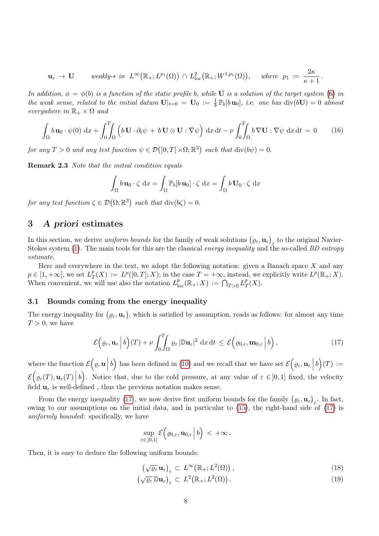$$
\mathbf{u}_{\varepsilon} \to \mathbf{U} \quad \text{weakly-$\ast$ in } L^{\infty}\big(\mathbb{R}_+; L^{p_1}(\Omega)\big) \cap L^2_{\text{loc}}\big(\mathbb{R}_+; W^{1,p_1}(\Omega)\big), \quad \text{where $p_1 := \frac{2\kappa}{\kappa+1}$.}
$$

In addition,  $\phi = \phi(b)$  is a function of the static profile b, while **U** is a solution of the target system [\(6\)](#page-2-2) in the weak sense, related to the initial datum  $\mathbf{U}|_{t=0} = \mathbf{U}_0 := \frac{1}{b} \mathbb{P}_b[b \mathbf{u}_0]$ , i.e. one has  $\text{div}(b\mathbf{U}) = 0$  almost everywhere in  $\mathbb{R}_+ \times \Omega$  and

$$
\int_{\Omega} b \mathbf{u}_0 \cdot \psi(0) \, \mathrm{d}x + \int_0^T \int_{\Omega} \left( b \mathbf{U} \cdot \partial_t \psi + b \mathbf{U} \otimes \mathbf{U} : \nabla \psi \right) \mathrm{d}x \, \mathrm{d}t - \nu \int_0^T \int_{\Omega} b \nabla \mathbf{U} : \nabla \psi \, \mathrm{d}x \, \mathrm{d}t = 0 \qquad (16)
$$

for any  $T > 0$  and any test function  $\psi \in \mathcal{D}([0, T] \times \Omega; \mathbb{R}^3)$  such that  $\text{div}(b\psi) = 0$ .

Remark 2.3 Note that the initial condition equals

$$
\int_{\Omega} b \mathbf{u}_0 \cdot \zeta \, dx = \int_{\Omega} \mathbb{P}_b[b \mathbf{u}_0] \cdot \zeta \, dx = \int_{\Omega} b \mathbf{U}_0 \cdot \zeta \, dx
$$

for any test function  $\zeta \in \mathcal{D}(\Omega;\mathbb{R}^3)$  such that  $\text{div}(b\zeta) = 0$ .

# <span id="page-7-0"></span>3 A priori estimates

In this section, we derive *uniform bounds* for the family of weak solutions  $(\varrho_{\varepsilon}, \mathbf{u}_{\varepsilon})_{\varepsilon}$  to the original Navier-Stokes system [\(1\)](#page-1-0). The main tools for this are the classical *energy inequality* and the so-called *BD entropy* estimate.

Here and everywhere in the text, we adopt the following notation: given a Banach space  $X$  and any  $p \in [1, +\infty]$ , we set  $L^p_{\mathcal{I}}$  $T(T(X) := L^p([0,T];X);$  in the case  $T = +\infty$ , instead, we explicitly write  $L^p(\mathbb{R}_+;X)$ . When convenient, we will use also the notation  $L_{\text{loc}}^p(\mathbb{R}_+;X) := \bigcap_{T>0} L_T^p$  $\frac{p}{T}(X).$ 

### <span id="page-7-3"></span>3.1 Bounds coming from the energy inequality

The energy inequality for  $(\varrho_{\varepsilon}, \mathbf{u}_{\varepsilon})$ , which is satisfied by assumption, reads as follows: for almost any time  $T > 0$ , we have

$$
\mathcal{E}\Big(\varrho_{\varepsilon}, \mathbf{u}_{\varepsilon} \Big| b\Big)(T) + \nu \int_0^T \int_{\Omega} \varrho_{\varepsilon} |\mathbb{D}\mathbf{u}_{\varepsilon}|^2 dx dt \leq \mathcal{E}\Big(\varrho_{0,\varepsilon}, \mathbf{m}_{0,\varepsilon} \Big| b\Big), \tag{17}
$$

where the function  $\mathcal{E}(\varrho, \mathbf{u})$ b) has been defined in [\(10\)](#page-5-3) and we recall that we have set  $\mathcal{E}(\varrho_\varepsilon, \mathbf{u}_\varepsilon)$  $b)(T) :=$  $\mathcal{E}\Big(\varrho_\varepsilon(T),\mathbf{u}_\varepsilon(T)\Big)$ b). Notice that, due to the cold pressure, at any value of  $\varepsilon \in ]0,1]$  fixed, the velocity field  $\mathbf{u}_{\varepsilon}$  is well-defined, thus the previous notation makes sense.

From the energy inequality [\(17\)](#page-7-1), we now derive first uniform bounds for the family  $(\varrho_{\varepsilon}, \mathbf{u}_{\varepsilon})_{\varepsilon}$ . In fact, owing to our assumptions on the initial data, and in particular to [\(15\)](#page-6-0), the right-hand side of [\(17\)](#page-7-1) is uniformly bounded: specifically, we have

<span id="page-7-1"></span>
$$
\sup_{\varepsilon\in[0,1]}\mathcal{E}\Big(\varrho_{0,\varepsilon},\mathbf{u}_{0,\varepsilon}\Big|\,b\Big)\,<\,+\infty\,.
$$

Then, it is easy to deduce the following uniform bounds:

<span id="page-7-4"></span><span id="page-7-2"></span>
$$
\left(\sqrt{\varrho_{\varepsilon}}\,\mathbf{u}_{\varepsilon}\right)_{\varepsilon} \subset L^{\infty}\left(\mathbb{R}_{+};L^{2}(\Omega)\right),\tag{18}
$$

$$
\left(\sqrt{\varrho_{\varepsilon}}\,\mathbb{D}\mathbf{u}_{\varepsilon}\right)_{\varepsilon} \subset L^{2}\big(\mathbb{R}_{+};L^{2}(\Omega)\big).
$$
\n(19)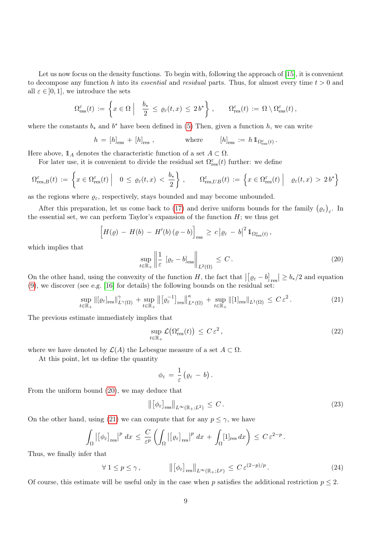Let us now focus on the density functions. To begin with, following the approach of [\[15\]](#page-36-6), it is convenient to decompose any function h into its essential and residual parts. Thus, for almost every time  $t > 0$  and all  $\varepsilon \in ]0,1]$ , we introduce the sets

$$
\Omega_{\rm ess}^{\varepsilon}(t) := \left\{ x \in \Omega \middle| \quad \frac{b_*}{2} \le \varrho_{\varepsilon}(t,x) \le 2b^* \right\}, \qquad \Omega_{\rm res}^{\varepsilon}(t) := \Omega \setminus \Omega_{\rm ess}^{\varepsilon}(t),
$$

where the constants  $b_*$  and  $b^*$  have been defined in [\(5\)](#page-2-1) Then, given a function h, we can write

$$
h = [h]_{\text{ess}} + [h]_{\text{res}} , \qquad \text{where} \qquad [h]_{\text{ess}} := h 1_{\Omega_{\text{ess}}^{\varepsilon}(t)} .
$$

Here above,  $1_A$  denotes the characteristic function of a set  $A \subset \Omega$ .

For later use, it is convenient to divide the residual set  $\Omega_{\text{res}}^{\varepsilon}(t)$  further: we define

$$
\Omega_{\text{res},B}^{\varepsilon}(t) := \left\{ x \in \Omega_{\text{res}}^{\varepsilon}(t) \middle| 0 \leq \varrho_{\varepsilon}(t,x) < \frac{b_*}{2} \right\}, \qquad \Omega_{\text{res},UB}^{\varepsilon}(t) := \left\{ x \in \Omega_{\text{res}}^{\varepsilon}(t) \middle| \varrho_{\varepsilon}(t,x) > 2b^* \right\}
$$

as the regions where  $\varrho_{\varepsilon}$ , respectively, stays bounded and may become unbounded.

After this preparation, let us come back to [\(17\)](#page-7-1) and derive uniform bounds for the family  $(\varrho_{\varepsilon})_{\varepsilon}$ . In the essential set, we can perform Taylor's expansion of the function  $H$ ; we thus get

$$
\left[H(\varrho) - H(b) - H'(b)(\varrho - b)\right]_{\rm ess} \geq c \left|\varrho_{\varepsilon} - b\right|^2 \mathbb{1}_{\Omega_{\rm ess}^{\varepsilon}(t)},
$$

which implies that

<span id="page-8-0"></span>
$$
\sup_{t \in \mathbb{R}_+} \left\| \frac{1}{\varepsilon} \left[ \varrho_\varepsilon - b \right]_{\text{ess}} \right\|_{L^2(\Omega)} \le C. \tag{20}
$$

On the other hand, using the convexity of the function H, the fact that  $|[\varrho_{\varepsilon} - b]_{\text{res}}| \ge b_*/2$  and equation [\(9\)](#page-5-0), we discover (see e.g. [\[16\]](#page-36-19) for details) the following bounds on the residual set:

$$
\sup_{t \in \mathbb{R}_+} \left\| \left[ \varrho_{\varepsilon} \right]_{\text{res}} \right\|_{L^{\gamma}(\Omega)}^{\gamma} + \sup_{t \in \mathbb{R}_+} \left\| \left[ \varrho_{\varepsilon}^{-1} \right]_{\text{res}} \right\|_{L^{\kappa}(\Omega)}^{\kappa} + \sup_{t \in \mathbb{R}_+} \left\| \left[ 1 \right]_{\text{res}} \right\|_{L^1(\Omega)} \leq C \, \varepsilon^2. \tag{21}
$$

The previous estimate immediately implies that

<span id="page-8-3"></span><span id="page-8-1"></span>
$$
\sup_{t \in \mathbb{R}_+} \mathcal{L}\big(\Omega_{\text{res}}^\varepsilon(t)\big) \le C \,\varepsilon^2 \,,\tag{22}
$$

where we have denoted by  $\mathcal{L}(A)$  the Lebesgue measure of a set  $A \subset \Omega$ .

At this point, let us define the quantity

$$
\phi_{\varepsilon} = \frac{1}{\varepsilon} \left( \varrho_{\varepsilon} - b \right).
$$

From the uniform bound [\(20\)](#page-8-0), we may deduce that

<span id="page-8-2"></span>
$$
\left\| \left[ \phi_{\varepsilon} \right]_{\varepsilon \text{ss}} \right\|_{L^{\infty}(\mathbb{R}_+; L^2)} \leq C. \tag{23}
$$

On the other hand, using [\(21\)](#page-8-1) we can compute that for any  $p \leq \gamma$ , we have

$$
\int_{\Omega} \left| \left[ \phi_{\varepsilon} \right]_{\text{res}} \right|^p dx \leq \frac{C}{\varepsilon^p} \left( \int_{\Omega} \left| \left[ \varrho_{\varepsilon} \right]_{\text{res}} \right|^p dx + \int_{\Omega} [1]_{\text{res}} dx \right) \leq C \varepsilon^{2-p}.
$$

Thus, we finally infer that

<span id="page-8-4"></span>
$$
\forall 1 \le p \le \gamma, \qquad \left\| \left[ \phi_{\varepsilon} \right]_{\text{res}} \right\|_{L^{\infty}(\mathbb{R}_+; L^p)} \le C \, \varepsilon^{(2-p)/p} \,. \tag{24}
$$

Of course, this estimate will be useful only in the case when p satisfies the additional restriction  $p \leq 2$ .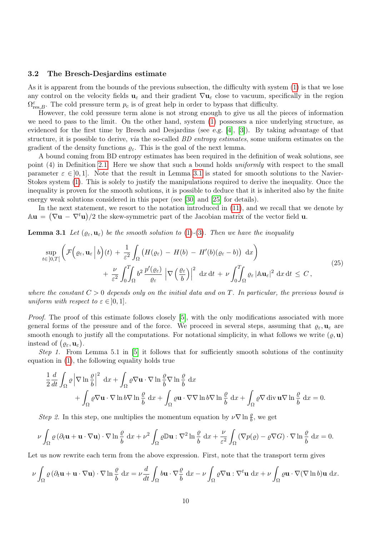#### <span id="page-9-2"></span>3.2 The Bresch-Desjardins estimate

As it is apparent from the bounds of the previous subsection, the difficulty with system [\(1\)](#page-1-0) is that we lose any control on the velocity fields  $u_{\varepsilon}$  and their gradient  $\nabla u_{\varepsilon}$  close to vacuum, specifically in the region  $\Omega_{\text{res},B}^{\varepsilon}$ . The cold pressure term  $p_c$  is of great help in order to bypass that difficulty.

However, the cold pressure term alone is not strong enough to give us all the pieces of information we need to pass to the limit. On the other hand, system [\(1\)](#page-1-0) possesses a nice underlying structure, as evidenced for the first time by Bresch and Desjardins (see e.g. [\[4\]](#page-35-2), [\[3\]](#page-35-1)). By taking advantage of that structure, it is possible to derive, via the so-called *BD entropy estimates*, some uniform estimates on the gradient of the density functions  $\rho_{\varepsilon}$ . This is the goal of the next lemma.

A bound coming from BD entropy estimates has been required in the definition of weak solutions, see point (4) in Definition [2.1.](#page-5-2) Here we show that such a bound holds *uniformly* with respect to the small parameter  $\varepsilon \in ]0,1]$ . Note that the result in Lemma [3.1](#page-9-0) is stated for smooth solutions to the Navier-Stokes system [\(1\)](#page-1-0). This is solely to justify the manipulations required to derive the inequality. Once the inequality is proven for the smooth solutions, it is possible to deduce that it is inherited also by the finite energy weak solutions considered in this paper (see [\[30\]](#page-37-1) and [\[25\]](#page-36-16) for details).

In the next statement, we resort to the notation introduced in [\(11\)](#page-5-4), and we recall that we denote by  $\mathbb{A}\mathbf{u} = (\nabla \mathbf{u} - \nabla^t \mathbf{u})/2$  the skew-symmetric part of the Jacobian matrix of the vector field **u**.

<span id="page-9-0"></span>**Lemma 3.1** Let  $(\varrho_{\varepsilon}, \mathbf{u}_{\varepsilon})$  be the smooth solution to [\(1\)](#page-1-0)-[\(3\)](#page-1-1). Then we have the inequality

<span id="page-9-1"></span>
$$
\sup_{t\in[0,T[}\left(\mathcal{F}\Big(\varrho_{\varepsilon},\mathbf{u}_{\varepsilon}\Big|b\Big)(t)+\frac{1}{\varepsilon^{2}}\int_{\Omega}\left(H(\varrho_{\varepsilon})-H(b)-H'(b)(\varrho_{\varepsilon}-b)\right)\,\mathrm{d}x\right) +\frac{\nu}{\varepsilon^{2}}\int_{0}^{T}\!\!\!\int_{\Omega}b^{2}\frac{p'(\varrho_{\varepsilon})}{\varrho_{\varepsilon}}\left|\nabla\left(\frac{\varrho_{\varepsilon}}{b}\right)\right|^{2}\,\mathrm{d}x\,\mathrm{d}t+\nu\int_{0}^{T}\!\!\!\int_{\Omega}\varrho_{\varepsilon}\left|\mathbb{A}\mathbf{u}_{\varepsilon}\right|^{2}\,\mathrm{d}x\,\mathrm{d}t\,\leq C,
$$
\n(25)

where the constant  $C > 0$  depends only on the initial data and on T. In particular, the previous bound is uniform with respect to  $\varepsilon \in [0,1]$ .

Proof. The proof of this estimate follows closely [\[5\]](#page-36-2), with the only modifications associated with more general forms of the pressure and of the force. We proceed in several steps, assuming that  $\rho_{\varepsilon}, \mathbf{u}_{\varepsilon}$  are smooth enough to justify all the computations. For notational simplicity, in what follows we write  $(\varrho, \mathbf{u})$ instead of  $(\varrho_{\varepsilon}, \mathbf{u}_{\varepsilon}).$ 

*Step 1.* From Lemma 5.1 in [\[5\]](#page-36-2) it follows that for sufficiently smooth solutions of the continuity equation in [\(1\)](#page-1-0), the following equality holds true

$$
\frac{1}{2} \frac{d}{dt} \int_{\Omega} \varrho \left| \nabla \ln \frac{\varrho}{b} \right|^{2} dx + \int_{\Omega} \varrho \nabla \mathbf{u} \cdot \nabla \ln \frac{\varrho}{b} \nabla \ln \frac{\varrho}{b} dx \n+ \int_{\Omega} \varrho \nabla \mathbf{u} \cdot \nabla \ln b \nabla \ln \frac{\varrho}{b} dx + \int_{\Omega} \varrho \mathbf{u} \cdot \nabla \nabla \ln b \nabla \ln \frac{\varrho}{b} dx + \int_{\Omega} \varrho \nabla \operatorname{div} \mathbf{u} \nabla \ln \frac{\varrho}{b} dx = 0.
$$

Step 2. In this step, one multiplies the momentum equation by  $\nu \nabla \ln \frac{\rho}{b}$ , we get

$$
\nu \int_{\Omega} \varrho \left( \partial_t \mathbf{u} + \mathbf{u} \cdot \nabla \mathbf{u} \right) \cdot \nabla \ln \frac{\varrho}{b} \, dx + \nu^2 \int_{\Omega} \varrho \mathbb{D} \mathbf{u} : \nabla^2 \ln \frac{\varrho}{b} \, dx + \frac{\nu}{\varepsilon^2} \int_{\Omega} \left( \nabla p(\varrho) - \varrho \nabla G \right) \cdot \nabla \ln \frac{\varrho}{b} \, dx = 0.
$$

Let us now rewrite each term from the above expression. First, note that the transport term gives

$$
\nu \int_{\Omega} \varrho \left( \partial_t \mathbf{u} + \mathbf{u} \cdot \nabla \mathbf{u} \right) \cdot \nabla \ln \frac{\varrho}{b} \, dx = \nu \frac{d}{dt} \int_{\Omega} b \mathbf{u} \cdot \nabla \frac{\varrho}{b} \, dx - \nu \int_{\Omega} \varrho \nabla \mathbf{u} : \nabla^t \mathbf{u} \, dx + \nu \int_{\Omega} \varrho \mathbf{u} \cdot \nabla (\nabla \ln b) \mathbf{u} \, dx.
$$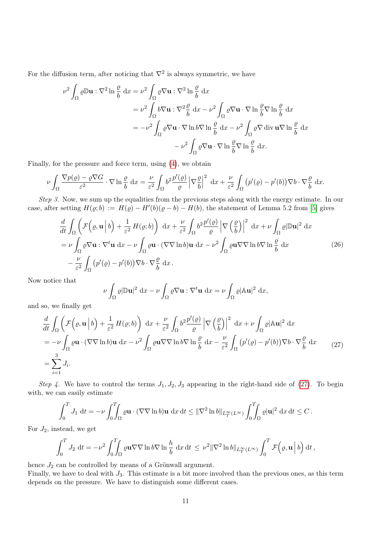For the diffusion term, after noticing that  $\nabla^2$  is always symmetric, we have

$$
\nu^2 \int_{\Omega} \varrho \mathbb{D} \mathbf{u} : \nabla^2 \ln \frac{\varrho}{b} dx = \nu^2 \int_{\Omega} \varrho \nabla \mathbf{u} : \nabla^2 \ln \frac{\varrho}{b} dx
$$
  
\n
$$
= \nu^2 \int_{\Omega} b \nabla \mathbf{u} : \nabla^2 \frac{\varrho}{b} dx - \nu^2 \int_{\Omega} \varrho \nabla \mathbf{u} \cdot \nabla \ln \frac{\varrho}{b} \nabla \ln \frac{\varrho}{b} dx
$$
  
\n
$$
= -\nu^2 \int_{\Omega} \varrho \nabla \mathbf{u} \cdot \nabla \ln b \nabla \ln \frac{\varrho}{b} dx - \nu^2 \int_{\Omega} \varrho \nabla \operatorname{div} \mathbf{u} \nabla \ln \frac{\varrho}{b} dx
$$
  
\n
$$
- \nu^2 \int_{\Omega} \varrho \nabla \mathbf{u} \cdot \nabla \ln \frac{\varrho}{b} \nabla \ln \frac{\varrho}{b} dx.
$$

Finally, for the pressure and force term, using [\(4\)](#page-2-0), we obtain

$$
\nu \int_{\Omega} \frac{\nabla p(\varrho) - \varrho \nabla G}{\varepsilon^2} \cdot \nabla \ln \frac{\varrho}{b} dx = \frac{\nu}{\varepsilon^2} \int_{\Omega} b^2 \frac{p'(\varrho)}{\varrho} \left| \nabla \frac{\varrho}{b} \right|^2 dx + \frac{\nu}{\varepsilon^2} \int_{\Omega} \left( p'(\varrho) - p'(b) \right) \nabla b \cdot \nabla \frac{\varrho}{b} dx.
$$

Step 3. Now, we sum up the equalities from the previous steps along with the energy estimate. In our case, after setting  $H(\varrho; b) := H(\varrho) - H'(b)(\varrho - b) - H(b)$ , the statement of Lemma 5.2 from [\[5\]](#page-36-2) gives

$$
\frac{d}{dt} \int_{\Omega} \left( \mathcal{F}(\varrho, \mathbf{u} | b) + \frac{1}{\varepsilon^{2}} H(\varrho, b) \right) dx + \frac{\nu}{\varepsilon^{2}} \int_{\Omega} b^{2} \frac{p'(\varrho)}{\varrho} \left| \nabla \left( \frac{\varrho}{b} \right) \right|^{2} dx + \nu \int_{\Omega} \varrho |\mathbb{D}\mathbf{u}|^{2} dx
$$
\n
$$
= \nu \int_{\Omega} \varrho \nabla \mathbf{u} : \nabla^{t} \mathbf{u} dx - \nu \int_{\Omega} \varrho \mathbf{u} \cdot (\nabla \nabla \ln b) \mathbf{u} dx - \nu^{2} \int_{\Omega} \varrho \mathbf{u} \nabla \nabla \ln b \nabla \ln \frac{\varrho}{b} dx \tag{26}
$$
\n
$$
- \frac{\nu}{\varepsilon^{2}} \int_{\Omega} \left( p'(\varrho) - p'(b) \right) \nabla b \cdot \nabla \frac{\varrho}{b} dx.
$$

Now notice that

$$
\nu \int_{\Omega} \varrho |\mathbb{D} \mathbf{u}|^2 dx - \nu \int_{\Omega} \varrho \nabla \mathbf{u} : \nabla^t \mathbf{u} dx = \nu \int_{\Omega} \varrho |\mathbb{A} \mathbf{u}|^2 dx,
$$

and so, we finally get

<span id="page-10-0"></span>
$$
\frac{d}{dt} \int_{\Omega} \left( \mathcal{F}(\varrho, \mathbf{u} | b) + \frac{1}{\varepsilon^2} H(\varrho, b) \right) dx + \frac{\nu}{\varepsilon^2} \int_{\Omega} b^2 \frac{p'(\varrho)}{\varrho} \left| \nabla \left( \frac{\varrho}{b} \right) \right|^2 dx + \nu \int_{\Omega} \varrho |\mathbb{A} \mathbf{u}|^2 dx
$$
\n
$$
= -\nu \int_{\Omega} \varrho \mathbf{u} \cdot (\nabla \nabla \ln b) \mathbf{u} dx - \nu^2 \int_{\Omega} \varrho \mathbf{u} \nabla \nabla \ln b \nabla \ln \frac{\varrho}{b} dx - \frac{\nu}{\varepsilon^2} \int_{\Omega} \left( p'(\varrho) - p'(b) \right) \nabla b \cdot \nabla \frac{\varrho}{b} dx \qquad (27)
$$
\n
$$
= \sum_{i=1}^3 J_i.
$$

Step 4. We have to control the terms  $J_1, J_2, J_3$  appearing in the right-hand side of [\(27\)](#page-10-0). To begin with, we can easily estimate

$$
\int_0^T J_1 \, \mathrm{d}t = -\nu \int_0^T \int_{\Omega} \varrho \mathbf{u} \cdot (\nabla \nabla \ln b) \mathbf{u} \, \mathrm{d}x \, \mathrm{d}t \leq \|\nabla^2 \ln b\|_{L^\infty_T(L^\infty)} \int_0^T \int_{\Omega} \varrho |\mathbf{u}|^2 \, \mathrm{d}x \, \mathrm{d}t \leq C \, .
$$

For  $J_2$ , instead, we get

$$
\int_0^T J_2 \, dt = -\nu^2 \int_0^T \int_{\Omega} \varrho \mathbf{u} \nabla \nabla \ln b \nabla \ln \frac{h}{b} \, dx \, dt \leq \nu^2 \|\nabla^2 \ln b\|_{L^\infty_T(L^\infty)} \int_0^T \mathcal{F}(\varrho, \mathbf{u} \mid b) \, dt,
$$

hence  $J_2$  can be controlled by means of a Grönwall argument.

Finally, we have to deal with  $J_3$ . This estimate is a bit more involved than the previous ones, as this term depends on the pressure. We have to distinguish some different cases.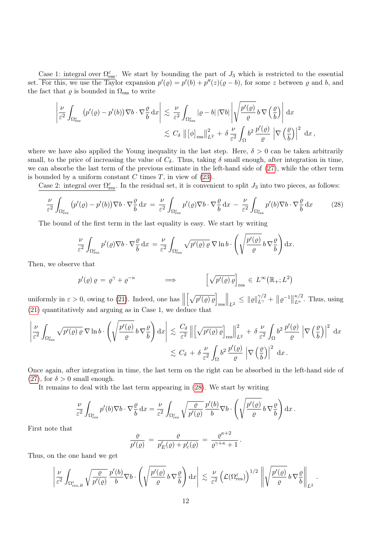Case 1: integral over  $\Omega_{\text{ess}}^{\varepsilon}$ . We start by bounding the part of  $J_3$  which is restricted to the essential set. For this, we use the Taylor expansion  $p'(p) = p'(b) + p''(z)(p - b)$ , for some z between  $p$  and b, and the fact that  $\varrho$  is bounded in  $\Omega_{\text{ess}}$  to write

$$
\left| \frac{\nu}{\varepsilon^2} \int_{\Omega_{\text{ess}}^{\varepsilon}} \left( p'(\varrho) - p'(b) \right) \nabla b \cdot \nabla \frac{\varrho}{b} \, dx \right| \lesssim \frac{\nu}{\varepsilon^2} \int_{\Omega_{\text{ess}}^{\varepsilon}} |\varrho - b| \, |\nabla b| \left| \sqrt{\frac{p'(\varrho)}{\varrho}} \, b \, \nabla \left( \frac{\varrho}{b} \right) \right| \, dx
$$
  

$$
\lesssim C_{\delta} \, \left\| \left[ \phi \right]_{\text{ess}} \right\|_{L^2}^2 + \delta \, \frac{\nu}{\varepsilon^2} \int_{\Omega} b^2 \, \frac{p'(\varrho)}{\varrho} \left| \nabla \left( \frac{\varrho}{b} \right) \right|^2 \, dx \, ,
$$

where we have also applied the Young inequality in the last step. Here,  $\delta > 0$  can be taken arbitrarily small, to the price of increasing the value of  $C_{\delta}$ . Thus, taking  $\delta$  small enough, after integration in time, we can absorbe the last term of the previous estimate in the left-hand side of [\(27\)](#page-10-0), while the other term is bounded by a uniform constant  $C$  times  $T$ , in view of  $(23)$ .

Case 2: integral over  $\Omega_{\text{res}}^{\varepsilon}$ . In the residual set, it is convenient to split  $J_3$  into two pieces, as follows:

$$
\frac{\nu}{\varepsilon^2} \int_{\Omega_{\text{res}}^{\varepsilon}} \left( p'(q) - p'(b) \right) \nabla b \cdot \nabla \frac{\varrho}{b} dx = \frac{\nu}{\varepsilon^2} \int_{\Omega_{\text{res}}^{\varepsilon}} p'(q) \nabla b \cdot \nabla \frac{\varrho}{b} dx - \frac{\nu}{\varepsilon^2} \int_{\Omega_{\text{res}}^{\varepsilon}} p'(b) \nabla b \cdot \nabla \frac{\varrho}{b} dx \tag{28}
$$

The bound of the first term in the last equality is easy. We start by writing

<span id="page-11-0"></span>
$$
\frac{\nu}{\varepsilon^2} \int_{\Omega_{\text{res}}^{\varepsilon}} p'(\varrho) \nabla b \cdot \nabla \frac{\varrho}{b} dx = \frac{\nu}{\varepsilon^2} \int_{\Omega_{\text{res}}^{\varepsilon}} \sqrt{p'(\varrho) \varrho} \nabla \ln b \cdot \left( \sqrt{\frac{p'(\varrho)}{\varrho}} b \nabla \frac{\varrho}{b} \right) dx.
$$

Then, we observe that

$$
p'(\varrho) \varrho = \varrho^{\gamma} + \varrho^{-\kappa}
$$
  $\Longrightarrow$   $\left[\sqrt{p'(\varrho) \varrho}\right]_{\text{res}} \in L^{\infty}(\mathbb{R}_{+}; L^{2})$ 

uniformly in  $\varepsilon > 0$ , owing to [\(21\)](#page-8-1). Indeed, one has  $\parallel$  $\left[\sqrt{p'(\varrho)\varrho}\right]$ res  $\Big\|_{L^2} \leq {\|\varrho\|_{L^{\gamma}}^{\gamma/2}} + {\|\varrho^{-1}\|}$  $\frac{\kappa/2}{L^{\kappa}}$ . Thus, using [\(21\)](#page-8-1) quantitatively and arguing as in Case 1, we deduce that

$$
\left| \frac{\nu}{\varepsilon^2} \int_{\Omega_{\text{res}}^{\varepsilon}} \sqrt{p'(\varrho) \varrho} \nabla \ln b \cdot \left( \sqrt{\frac{p'(\varrho)}{\varrho}} b \nabla \frac{\varrho}{b} \right) dx \right| \lesssim \frac{C_{\delta}}{\varepsilon^2} \left\| \left[ \sqrt{p'(\varrho) \varrho} \right]_{\text{res}} \right\|_{L^2}^2 + \delta \frac{\nu}{\varepsilon^2} \int_{\Omega} b^2 \frac{p'(\varrho)}{\varrho} \left| \nabla \left( \frac{\varrho}{b} \right) \right|^2 dx
$$
  

$$
\lesssim C_{\delta} + \delta \frac{\nu}{\varepsilon^2} \int_{\Omega} b^2 \frac{p'(\varrho)}{\varrho} \left| \nabla \left( \frac{\varrho}{b} \right) \right|^2 dx.
$$

Once again, after integration in time, the last term on the right can be absorbed in the left-hand side of [\(27\)](#page-10-0), for  $\delta > 0$  small enough.

It remains to deal with the last term appearing in [\(28\)](#page-11-0). We start by writing

$$
\frac{\nu}{\varepsilon^2} \int_{\Omega_{\text{res}}^{\varepsilon}} p'(b) \nabla b \cdot \nabla \frac{\varrho}{b} dx = \frac{\nu}{\varepsilon^2} \int_{\Omega_{\text{res}}^{\varepsilon}} \sqrt{\frac{\varrho}{p'(\varrho)}} \frac{p'(b)}{b} \nabla b \cdot \left( \sqrt{\frac{p'(\varrho)}{\varrho}} b \nabla \frac{\varrho}{b} \right) dx.
$$

First note that

$$
\frac{\varrho}{p'(q)} = \frac{\varrho}{p'_E(\varrho) + p'_c(\varrho)} = \frac{\varrho^{\kappa+2}}{\varrho^{\gamma+\kappa} + 1}.
$$

Thus, on the one hand we get

$$
\left|\frac{\nu}{\varepsilon^2} \int_{\Omega_{\mathrm{res},B}^\varepsilon} \sqrt{\frac{\varrho}{p'(\varrho)}} \frac{p'(b)}{b} \nabla b \cdot \left( \sqrt{\frac{p'(\varrho)}{\varrho}} \, b \, \nabla \frac{\varrho}{b} \right) \mathrm{d}x \right| \lesssim \frac{\nu}{\varepsilon^2} \left( \mathcal{L}(\Omega_{\mathrm{res}}^\varepsilon) \right)^{1/2} \left\| \sqrt{\frac{p'(\varrho)}{\varrho}} \, b \, \nabla \frac{\varrho}{b} \right\|_{L^2}.
$$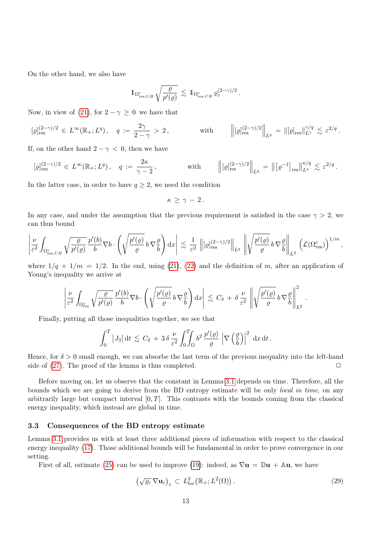On the other hand, we also have

$$
1\!\!1_{\Omega^{\varepsilon}_{{\rm res},UB}} \sqrt{\frac{\varrho}{p'(\varrho)}} \,\lesssim\, 1\!\!1_{\Omega^{\varepsilon}_{{\rm res},UB}} \,\varrho^{(2-\gamma)/2}_{\varepsilon}\,.
$$

Now, in view of [\(21\)](#page-8-1), for  $2 - \gamma \geq 0$  we have that

$$
[\varrho]_{\text{res}}^{(2-\gamma)/2} \in L^{\infty}(\mathbb{R}_{+}; L^{q}), \quad q := \frac{2\gamma}{2-\gamma} > 2, \quad \text{with} \quad \left\| [\varrho]_{\text{res}}^{(2-\gamma)/2} \right\|_{L^{q}} = \| [\varrho]_{\text{res}} \|_{L^{\gamma}}^{\gamma/q} \lesssim \varepsilon^{2/q}.
$$

If, on the other hand  $2 - \gamma < 0$ , then we have

$$
[\varrho]_{\text{res}}^{(2-\gamma)/2} \in L^{\infty}(\mathbb{R}_{+}; L^{q}), \quad q := \frac{2\kappa}{\gamma - 2}, \quad \text{with} \quad \left\| [\varrho]_{\text{res}}^{(2-\gamma)/2} \right\|_{L^{q}} = \left\| [\varrho^{-1}]_{\text{res}} \right\|_{L^{\kappa}}^{\kappa/q} \lesssim \varepsilon^{2/q}.
$$

In the latter case, in order to have  $q \geq 2$ , we need the condition

$$
\kappa\,\geq\,\gamma\,-\,2\,.
$$

In any case, and under the assumption that the previous requirement is satisfied in the case  $\gamma > 2$ , we can thus bound

$$
\left|\frac{\nu}{\varepsilon^2}\int_{\Omega_{\mathrm{res},UB}^\varepsilon}\sqrt{\frac{\varrho}{p'(\varrho)}}\frac{p'(b)}{b}\nabla b\cdot\left(\sqrt{\frac{p'(\varrho)}{\varrho}}\,b\,\nabla\frac{\varrho}{b}\right)\mathrm{d} x\right|\,\lesssim\, \frac{1}{\varepsilon^2}\,\left\|[{\varrho}]^{(2-\gamma)/2}_{\mathrm{res}}\right\|_{L^q}\,\left\|\sqrt{\frac{p'(\varrho)}{\varrho}}\,b\,\nabla\frac{\varrho}{b}\right\|_{L^2}\,\left(\mathcal{L}(\Omega^\varepsilon_{\mathrm{res}})\right)^{1/m},
$$

where  $1/q + 1/m = 1/2$ . In the end, using [\(21\)](#page-8-1), [\(22\)](#page-8-3) and the definition of m, after an application of Young's inequality we arrive at

$$
\left|\frac{\nu}{\varepsilon^2}\int_{\Omega_{\text{res}}^{\varepsilon}}\sqrt{\frac{\varrho}{p'(\varrho)}}\frac{p'(b)}{b}\nabla b\cdot\left(\sqrt{\frac{p'(\varrho)}{\varrho}}\,b\,\nabla\frac{\varrho}{b}\right)\mathrm{d} x\right|\,\lesssim\,C_{\delta}\,+\,\delta\,\frac{\nu}{\varepsilon^2}\left\|\sqrt{\frac{p'(\varrho)}{\varrho}}\,b\,\nabla\frac{\varrho}{b}\right\|_{L^2}^2\,.
$$

Finally, putting all those inequalities together, we see that

$$
\int_0^T |J_3| \, \mathrm{d}t \, \lesssim \, C_\delta \, + \, 3 \, \delta \, \frac{\nu}{\varepsilon^2} \int_0^T \int_\Omega b^2 \, \frac{p'(\varrho)}{\varrho} \, \left| \nabla \left( \frac{\varrho}{b} \right) \right|^2 \, \mathrm{d}x \, \mathrm{d}t \, .
$$

Hence, for  $\delta > 0$  small enough, we can absorbe the last term of the previous inequality into the left-hand side of [\(27\)](#page-10-0). The proof of the lemma is thus completed.  $\Box$ 

Before moving on, let us observe that the constant in Lemma [3.1](#page-9-0) depends on time. Therefore, all the bounds which we are going to derive from the BD entropy estimate will be only local in time, on any arbitrarily large but compact interval  $[0, T]$ . This contrasts with the bounds coming from the classical energy inequality, which instead are global in time.

#### <span id="page-12-0"></span>3.3 Consequences of the BD entropy estimate

Lemma [3.1](#page-9-0) provides us with at least three additional pieces of information with respect to the classical energy inequality [\(17\)](#page-7-1). Those additional bounds will be fundamental in order to prove convergence in our setting.

<span id="page-12-1"></span>First of all, estimate [\(25\)](#page-9-1) can be used to improve [\(19\)](#page-7-2): indeed, as  $\nabla \mathbf{u} = \mathbb{D} \mathbf{u} + A \mathbf{u}$ , we have

$$
\left(\sqrt{\varrho_{\varepsilon}}\,\nabla\mathbf{u}_{\varepsilon}\right)_{\varepsilon}\,\subset\,L_{\mathrm{loc}}^{2}\big(\mathbb{R}_{+};L^{2}(\Omega)\big)\,.
$$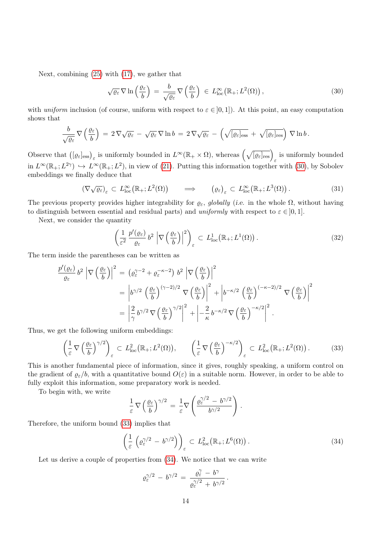Next, combining [\(25\)](#page-9-1) with [\(17\)](#page-7-1), we gather that

<span id="page-13-0"></span>
$$
\sqrt{\varrho_{\varepsilon}}\,\nabla\ln\left(\frac{\varrho_{\varepsilon}}{b}\right) \,=\, \frac{b}{\sqrt{\varrho_{\varepsilon}}}\,\nabla\left(\frac{\varrho_{\varepsilon}}{b}\right) \,\in\, L^{\infty}_{\text{loc}}\big(\mathbb{R}_{+};L^{2}(\Omega)\big)\,,\tag{30}
$$

with uniform inclusion (of course, uniform with respect to  $\varepsilon \in ]0,1]$ ). At this point, an easy computation shows that

$$
\frac{b}{\sqrt{\varrho_{\varepsilon}}}\nabla\left(\frac{\varrho_{\varepsilon}}{b}\right) = 2\nabla\sqrt{\varrho_{\varepsilon}} - \sqrt{\varrho_{\varepsilon}}\nabla\ln b = 2\nabla\sqrt{\varrho_{\varepsilon}} - \left(\sqrt{[\varrho_{\varepsilon}]}_{\text{ess}} + \sqrt{[\varrho_{\varepsilon}]}_{\text{res}}\right)\nabla\ln b.
$$

Observe that  $([\varrho_{\varepsilon}]_{\text{ess}})_{\varepsilon}$  is uniformly bounded in  $L^{\infty}(\mathbb{R}_+ \times \Omega)$ , whereas  $(\sqrt{[\varrho_{\varepsilon}]_{\text{res}}})_{\varepsilon}$  is uniformly bounded in  $L^{\infty}(\mathbb{R}_+; L^{2\gamma}) \hookrightarrow L^{\infty}(\mathbb{R}_+; L^2)$ , in view of [\(21\)](#page-8-1). Putting this information together with [\(30\)](#page-13-0), by Sobolev embeddings we finally deduce that

<span id="page-13-4"></span>
$$
(\nabla \sqrt{\varrho_{\varepsilon}})_{\varepsilon} \subset L^{\infty}_{\text{loc}}(\mathbb{R}_{+}; L^{2}(\Omega)) \qquad \Longrightarrow \qquad \left(\varrho_{\varepsilon}\right)_{\varepsilon} \subset L^{\infty}_{\text{loc}}(\mathbb{R}_{+}; L^{3}(\Omega)). \tag{31}
$$

The previous property provides higher integrability for  $\varrho_{\varepsilon}$ , globally (i.e. in the whole  $\Omega$ , without having to distinguish between essential and residual parts) and uniformly with respect to  $\varepsilon \in [0,1]$ .

Next, we consider the quantity

<span id="page-13-3"></span>
$$
\left(\frac{1}{\varepsilon^2} \frac{p'(\varrho_{\varepsilon})}{\varrho_{\varepsilon}} b^2 \left| \nabla \left( \frac{\varrho_{\varepsilon}}{b} \right) \right|^2 \right)_{\varepsilon} \subset L^1_{\text{loc}}(\mathbb{R}_+; L^1(\Omega)). \tag{32}
$$

The term inside the parentheses can be written as

$$
\frac{p'(\varrho_{\varepsilon})}{\varrho_{\varepsilon}} b^2 \left| \nabla \left( \frac{\varrho_{\varepsilon}}{b} \right) \right|^2 = \left( \varrho_{\varepsilon}^{\gamma - 2} + \varrho_{\varepsilon}^{-\kappa - 2} \right) b^2 \left| \nabla \left( \frac{\varrho_{\varepsilon}}{b} \right) \right|^2
$$
  
\n
$$
= \left| b^{\gamma/2} \left( \frac{\varrho_{\varepsilon}}{b} \right)^{(\gamma - 2)/2} \nabla \left( \frac{\varrho_{\varepsilon}}{b} \right) \right|^2 + \left| b^{-\kappa/2} \left( \frac{\varrho_{\varepsilon}}{b} \right)^{(-\kappa - 2)/2} \nabla \left( \frac{\varrho_{\varepsilon}}{b} \right) \right|^2
$$
  
\n
$$
= \left| \frac{2}{\gamma} b^{\gamma/2} \nabla \left( \frac{\varrho_{\varepsilon}}{b} \right)^{\gamma/2} \right|^2 + \left| -\frac{2}{\kappa} b^{-\kappa/2} \nabla \left( \frac{\varrho_{\varepsilon}}{b} \right)^{-\kappa/2} \right|^2.
$$

Thus, we get the following uniform embeddings:

<span id="page-13-1"></span>
$$
\left(\frac{1}{\varepsilon}\nabla\left(\frac{\varrho_{\varepsilon}}{b}\right)^{\gamma/2}\right)_{\varepsilon} \subset L_{\text{loc}}^2\big(\mathbb{R}_+; L^2(\Omega)\big), \qquad \left(\frac{1}{\varepsilon}\nabla\left(\frac{\varrho_{\varepsilon}}{b}\right)^{-\kappa/2}\right)_{\varepsilon} \subset L_{\text{loc}}^2\big(\mathbb{R}_+; L^2(\Omega)\big). \tag{33}
$$

This is another fundamental piece of information, since it gives, roughly speaking, a uniform control on the gradient of  $\varrho_{\varepsilon}/b$ , with a quantitative bound  $O(\varepsilon)$  in a suitable norm. However, in order to be able to fully exploit this information, some preparatory work is needed.

To begin with, we write

$$
\frac{1}{\varepsilon}\,\nabla\left(\frac{\varrho_{\varepsilon}}{b}\right)^{\gamma/2} = \frac{1}{\varepsilon}\nabla\left(\frac{\varrho_{\varepsilon}^{\gamma/2} - b^{\gamma/2}}{b^{\gamma/2}}\right).
$$

Therefore, the uniform bound [\(33\)](#page-13-1) implies that

<span id="page-13-2"></span>
$$
\left(\frac{1}{\varepsilon}\left(\varrho^{\gamma/2}_{\varepsilon} - b^{\gamma/2}\right)\right)_{\varepsilon} \subset L^2_{\text{loc}}\big(\mathbb{R}_+; L^6(\Omega)\big). \tag{34}
$$

Let us derive a couple of properties from  $(34)$ . We notice that we can write

$$
\varrho^{\gamma/2}_\varepsilon\,-\,b^{\gamma/2}\,=\,\frac{\varrho^{\gamma}_\varepsilon\,-\,b^\gamma}{\varrho^{\gamma/2}_\varepsilon\,+\,b^{\gamma/2}}\,.
$$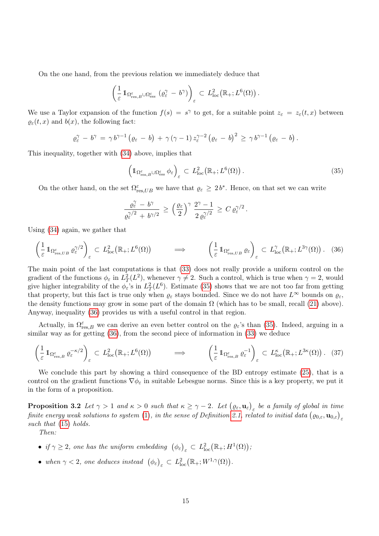On the one hand, from the previous relation we immediately deduce that

$$
\left(\frac{1}{\varepsilon} 1\!\!1_{\Omega_{\mathrm{res},B}^{\varepsilon} \cup \Omega_{\mathrm{ess}}^{\varepsilon}} \left( \varrho_{\varepsilon}^{\gamma} - b^{\gamma} \right)\right)_{\varepsilon} \subset L_{\mathrm{loc}}^{2}(\mathbb{R}_{+};L^{6}(\Omega)).
$$

We use a Taylor expansion of the function  $f(s) = s^{\gamma}$  to get, for a suitable point  $z_{\varepsilon} = z_{\varepsilon}(t, x)$  between  $\varrho_{\varepsilon}(t, x)$  and  $b(x)$ , the following fact:

$$
\varrho_{\varepsilon}^{\gamma} - b^{\gamma} = \gamma b^{\gamma-1} (\varrho_{\varepsilon} - b) + \gamma (\gamma - 1) z_{\varepsilon}^{\gamma-2} (\varrho_{\varepsilon} - b)^2 \geq \gamma b^{\gamma-1} (\varrho_{\varepsilon} - b).
$$

This inequality, together with [\(34\)](#page-13-2) above, implies that

<span id="page-14-0"></span>
$$
\left(\mathbb{1}_{\Omega_{\mathrm{res},B}^{\varepsilon}\cup\Omega_{\mathrm{ess}}^{\varepsilon}}\phi_{\varepsilon}\right)_{\varepsilon}\subset L_{\mathrm{loc}}^{2}\left(\mathbb{R}_{+};L^{6}(\Omega)\right).
$$
\n(35)

On the other hand, on the set  $\Omega_{res,UB}^{\varepsilon}$  we have that  $\varrho_{\varepsilon} \geq 2b^*$ . Hence, on that set we can write

$$
\frac{\varrho^{\gamma}_{\varepsilon}-b^{\gamma}}{\varrho^{\gamma/2}_{\varepsilon}+b^{\gamma/2}}\,\geq\,\Big(\frac{\varrho_{\varepsilon}}{2}\Big)^{\gamma}\,\frac{2^{\gamma}-1}{2\,\varrho^{\gamma/2}_{\varepsilon}}\,\geq\,C\,\varrho^{\gamma/2}_{\varepsilon}\,.
$$

Using [\(34\)](#page-13-2) again, we gather that

<span id="page-14-1"></span>
$$
\left(\frac{1}{\varepsilon}\mathbb{1}_{\Omega_{\text{res},UB}^{\varepsilon}}\varrho_{\varepsilon}^{\gamma/2}\right)_{\varepsilon} \subset L_{\text{loc}}^2(\mathbb{R}_+;L^6(\Omega)) \qquad \Longrightarrow \qquad \left(\frac{1}{\varepsilon}\mathbb{1}_{\Omega_{\text{res},UB}^{\varepsilon}}\varrho_{\varepsilon}\right)_{\varepsilon} \subset L_{\text{loc}}^{\gamma}(\mathbb{R}_+;L^{3\gamma}(\Omega))\,. \tag{36}
$$

The main point of the last computations is that [\(33\)](#page-13-1) does not really provide a uniform control on the gradient of the functions  $\phi_{\varepsilon}$  in  $L^2_T(L^2)$ , whenever  $\gamma \neq 2$ . Such a control, which is true when  $\gamma = 2$ , would give higher integrability of the  $\phi_{\varepsilon}$ 's in  $L_T^2(L^6)$ . Estimate [\(35\)](#page-14-0) shows that we are not too far from getting that property, but this fact is true only when  $\varrho_{\varepsilon}$  stays bounded. Since we do not have  $L^{\infty}$  bounds on  $\varrho_{\varepsilon}$ , the density functions may grow in some part of the domain  $\Omega$  (which has to be small, recall [\(21\)](#page-8-1) above). Anyway, inequality [\(36\)](#page-14-1) provides us with a useful control in that region.

Actually, in  $\Omega_{\text{res},B}^{\varepsilon}$  we can derive an even better control on the  $\varrho_{\varepsilon}$ 's than [\(35\)](#page-14-0). Indeed, arguing in a similar way as for getting [\(36\)](#page-14-1), from the second piece of information in [\(33\)](#page-13-1) we deduce

<span id="page-14-3"></span>
$$
\left(\frac{1}{\varepsilon}\mathbb{1}_{\Omega_{\mathrm{res},B}^{\varepsilon}}\varrho_{\varepsilon}^{-\kappa/2}\right)_{\varepsilon} \subset L_{\mathrm{loc}}^{2}(\mathbb{R}_{+};L^{6}(\Omega)) \qquad \Longrightarrow \qquad \left(\frac{1}{\varepsilon}\mathbb{1}_{\Omega_{\mathrm{res},B}^{\varepsilon}}\varrho_{\varepsilon}^{-1}\right)_{\varepsilon} \subset L_{\mathrm{loc}}^{\kappa}(\mathbb{R}_{+};L^{3\kappa}(\Omega)) . \tag{37}
$$

We conclude this part by showing a third consequence of the BD entropy estimate [\(25\)](#page-9-1), that is a control on the gradient functions  $\nabla \phi_{\varepsilon}$  in suitable Lebesgue norms. Since this is a key property, we put it in the form of a proposition.

<span id="page-14-2"></span>**Proposition 3.2** Let  $\gamma > 1$  and  $\kappa > 0$  such that  $\kappa \ge \gamma - 2$ . Let  $(\varrho_{\varepsilon}, \mathbf{u}_{\varepsilon})_{\varepsilon}$  be a family of global in time finite energy weak solutions to system  $(1),$  $(1),$  in the sense of Definition [2.1,](#page-5-2) related to initial data  $(\varrho_{0,\varepsilon},\mathbf{u}_{0,\varepsilon})_{\varepsilon}$ such that  $(15)$  holds.

Then:

- if  $\gamma \geq 2$ , one has the uniform embedding  $(\phi_{\varepsilon})_{\varepsilon} \subset L^2_{\text{loc}}(\mathbb{R}_+; H^1(\Omega));$
- when  $\gamma < 2$ , one deduces instead  $(\phi_{\varepsilon})_{\varepsilon} \subset L^2_{\text{loc}}(\mathbb{R}_+; W^{1,\gamma}(\Omega)).$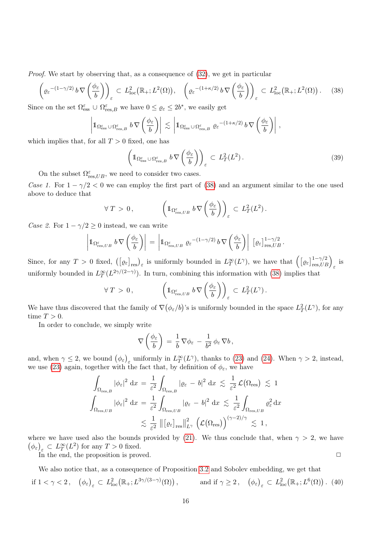Proof. We start by observing that, as a consequence of  $(32)$ , we get in particular

<span id="page-15-0"></span>
$$
\left(\varrho_{\varepsilon}^{-(1-\gamma/2)}b\nabla\left(\frac{\phi_{\varepsilon}}{b}\right)\right)_{\varepsilon} \subset L_{\text{loc}}^{2}\left(\mathbb{R}_{+};L^{2}(\Omega)\right), \quad \left(\varrho_{\varepsilon}^{-(1+\kappa/2)}b\nabla\left(\frac{\phi_{\varepsilon}}{b}\right)\right)_{\varepsilon} \subset L_{\text{loc}}^{2}\left(\mathbb{R}_{+};L^{2}(\Omega)\right). \tag{38}
$$

Since on the set  $\Omega_{\text{ess}}^{\varepsilon} \cup \Omega_{\text{res},B}^{\varepsilon}$  we have  $0 \leq \varrho_{\varepsilon} \leq 2b^*$ , we easily get

$$
\left|1\!\!1_{\Omega_{\rm ess}^{\varepsilon}\cup\Omega_{\rm res,B}^{\varepsilon}}\,b\,\nabla\left(\frac{\phi_{\varepsilon}}{b}\right)\right|\,\lesssim\,\left|1\!\!1_{\Omega_{\rm ess}^{\varepsilon}\cup\Omega_{\rm res,B}^{\varepsilon}}\,\varrho_{\varepsilon}^{-(1+\kappa/2)}\,b\,\nabla\left(\frac{\phi_{\varepsilon}}{b}\right)\right|\,,
$$

which implies that, for all  $T > 0$  fixed, one has

$$
\left(\mathbb{1}_{\Omega_{\mathrm{ess}}^{\varepsilon}\cup\Omega_{\mathrm{res},B}^{\varepsilon}}b\nabla\left(\frac{\phi_{\varepsilon}}{b}\right)\right)_{\varepsilon}\subset L_{T}^{2}(L^{2}).\tag{39}
$$

On the subset  $\Omega_{\text{res},UB}^{\varepsilon}$ , we need to consider two cases.

Case 1. For  $1 - \gamma/2 < 0$  we can employ the first part of [\(38\)](#page-15-0) and an argument similar to the one used above to deduce that

$$
\forall T > 0, \qquad \left(1_{\Omega_{\text{res},UB}^{\varepsilon}} b \nabla \left(\frac{\phi_{\varepsilon}}{b}\right)\right)_{\varepsilon} \subset L_T^2(L^2).
$$

Case 2. For  $1 - \gamma/2 \geq 0$  instead, we can write

$$
\left|1\!\!1_{\Omega_{\mathrm{res},UB}^{\varepsilon}} b \nabla \left(\frac{\phi_{\varepsilon}}{b}\right)\right| = \left|1\!\!1_{\Omega_{\mathrm{res},UB}^{\varepsilon}} \varrho_{\varepsilon}^{-(1-\gamma/2)} b \nabla \left(\frac{\phi_{\varepsilon}}{b}\right)\right| \, \left[\varrho_{\varepsilon}\right]_{\mathrm{res},UB}^{1-\gamma/2}.
$$

Since, for any  $T > 0$  fixed,  $([\varrho_{\varepsilon}]_{\text{res}})_{\varepsilon}$  is uniformly bounded in  $L_T^{\infty}(L^{\gamma})$ , we have that  $([\varrho_{\varepsilon}]_{\text{res},UB}^{1-\gamma/2})_{\varepsilon}$  is uniformly bounded in  $L^{\infty}_T(L^{2\gamma/(2-\gamma)})$ . In turn, combining this information with [\(38\)](#page-15-0) implies that

$$
\forall T > 0, \qquad \left(1_{\Omega_{\text{res},UB}^{\varepsilon}} b \nabla \left(\frac{\phi_{\varepsilon}}{b}\right)\right)_{\varepsilon} \subset L_T^2(L^{\gamma}).
$$

We have thus discovered that the family of  $\nabla(\phi_{\varepsilon}/b)$ 's is uniformly bounded in the space  $L_T^2(L^{\gamma})$ , for any time  $T > 0$ .

In order to conclude, we simply write

$$
\nabla \left( \frac{\phi_{\varepsilon}}{b} \right) \, = \, \frac{1}{b} \, \nabla \phi_{\varepsilon} \, - \, \frac{1}{b^2} \, \phi_{\varepsilon} \, \nabla b \, ,
$$

and, when  $\gamma \leq 2$ , we bound  $(\phi_{\varepsilon})_{\varepsilon}$  uniformly in  $L_T^{\infty}(L^{\gamma})$ , thanks to [\(23\)](#page-8-2) and [\(24\)](#page-8-4). When  $\gamma > 2$ , instead, we use [\(23\)](#page-8-2) again, together with the fact that, by definition of  $\phi_{\varepsilon}$ , we have

$$
\int_{\Omega_{\text{res},B}} |\phi_{\varepsilon}|^2 dx = \frac{1}{\varepsilon^2} \int_{\Omega_{\text{res},B}} |\varrho_{\varepsilon} - b|^2 dx \lesssim \frac{1}{\varepsilon^2} \mathcal{L}(\Omega_{\text{res}}) \lesssim 1
$$
  

$$
\int_{\Omega_{\text{res},UB}} |\phi_{\varepsilon}|^2 dx = \frac{1}{\varepsilon^2} \int_{\Omega_{\text{res},UB}} |\varrho_{\varepsilon} - b|^2 dx \lesssim \frac{1}{\varepsilon^2} \int_{\Omega_{\text{res},UB}} \varrho_{\varepsilon}^2 dx
$$
  

$$
\lesssim \frac{1}{\varepsilon^2} \| [\varrho_{\varepsilon}]_{\text{res}} \|_{L^{\gamma}}^2 (\mathcal{L}(\Omega_{\text{res}}))^{(\gamma - 2)/\gamma} \lesssim 1,
$$

where we have used also the bounds provided by [\(21\)](#page-8-1). We thus conclude that, when  $\gamma > 2$ , we have  $(\phi_{\varepsilon})_{\varepsilon} \subset L_T^{\infty}(L^2)$  for any  $T > 0$  fixed.

In the end, the proposition is proved.  $\Box$ 

We also notice that, as a consequence of Proposition [3.2](#page-14-2) and Sobolev embedding, we get that

<span id="page-15-1"></span>
$$
\text{if } 1 < \gamma < 2 \,, \quad \left(\phi_{\varepsilon}\right)_{\varepsilon} \subset L^2_{\text{loc}}\left(\mathbb{R}_+; L^{3\gamma/(3-\gamma)}(\Omega)\right), \qquad \text{and if } \gamma \ge 2 \,, \quad \left(\phi_{\varepsilon}\right)_{\varepsilon} \subset L^2_{\text{loc}}\left(\mathbb{R}_+; L^6(\Omega)\right). \tag{40}
$$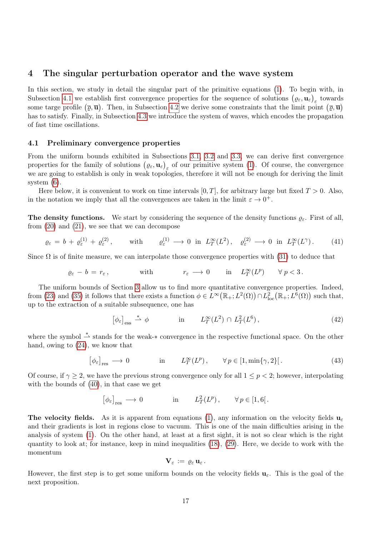### <span id="page-16-0"></span>4 The singular perturbation operator and the wave system

In this section, we study in detail the singular part of the primitive equations [\(1\)](#page-1-0). To begin with, in Subsection [4.1](#page-16-1) we establish first convergence properties for the sequence of solutions  $(\varrho_{\varepsilon}, \mathbf{u}_{\varepsilon})_{\varepsilon}$  towards some targe profile  $(\bar{\varrho}, \bar{\mathbf{u}})$ . Then, in Subsection [4.2](#page-19-0) we derive some constraints that the limit point  $(\bar{\varrho}, \bar{\mathbf{u}})$ has to satisfy. Finally, in Subsection [4.3](#page-21-0) we introduce the system of waves, which encodes the propagation of fast time oscillations.

#### <span id="page-16-1"></span>4.1 Preliminary convergence properties

From the uniform bounds exhibited in Subsections [3.1,](#page-7-3) [3.2](#page-9-2) and [3.3,](#page-12-0) we can derive first convergence properties for the family of solutions  $(\varrho_{\varepsilon}, \mathbf{u}_{\varepsilon})_{\varepsilon}$  of our primitive system [\(1\)](#page-1-0). Of course, the convergence we are going to establish is only in weak topologies, therefore it will not be enough for deriving the limit system [\(6\)](#page-2-2).

Here below, it is convenient to work on time intervals  $[0, T]$ , for arbitrary large but fixed  $T > 0$ . Also, in the notation we imply that all the convergences are taken in the limit  $\varepsilon \to 0^+$ .

**The density functions.** We start by considering the sequence of the density functions  $\varrho_{\varepsilon}$ . First of all, from [\(20\)](#page-8-0) and [\(21\)](#page-8-1), we see that we can decompose

<span id="page-16-4"></span>
$$
\varrho_{\varepsilon} = b + \varrho_{\varepsilon}^{(1)} + \varrho_{\varepsilon}^{(2)}, \qquad \text{with} \qquad \varrho_{\varepsilon}^{(1)} \longrightarrow 0 \quad \text{in} \quad L_T^{\infty}(L^2), \quad \varrho_{\varepsilon}^{(2)} \longrightarrow 0 \quad \text{in} \quad L_T^{\infty}(L^{\gamma}). \tag{41}
$$

Since  $\Omega$  is of finite measure, we can interpolate those convergence properties with [\(31\)](#page-13-4) to deduce that

$$
\varrho_{\varepsilon} - b = r_{\varepsilon}, \quad \text{with} \quad r_{\varepsilon} \longrightarrow 0 \quad \text{in} \quad L_T^{\infty}(L^p) \quad \forall p < 3.
$$

The uniform bounds of Section [3](#page-7-0) allow us to find more quantitative convergence properties. Indeed, from [\(23\)](#page-8-2) and [\(35\)](#page-14-0) it follows that there exists a function  $\phi \in L^{\infty}(\mathbb{R}_{+}; L^{2}(\Omega)) \cap L^{2}_{loc}(\mathbb{R}_{+}; L^{6}(\Omega))$  such that, up to the extraction of a suitable subsequence, one has

<span id="page-16-3"></span>
$$
\left[\phi_{\varepsilon}\right]_{\text{ess}} \stackrel{*}{\rightharpoonup} \phi \qquad \text{in} \qquad L_T^{\infty}(L^2) \cap L_T^2(L^6), \tag{42}
$$

where the symbol  $\stackrel{*}{\rightharpoonup}$  stands for the weak-\* convergence in the respective functional space. On the other hand, owing to [\(24\)](#page-8-4), we know that

$$
[\phi_{\varepsilon}]_{\text{res}} \longrightarrow 0 \qquad \text{in} \qquad L_T^{\infty}(L^p), \qquad \forall p \in [1, \min\{\gamma, 2\}]. \tag{43}
$$

Of course, if  $\gamma \geq 2$ , we have the previous strong convergence only for all  $1 \leq p < 2$ ; however, interpolating with the bounds of [\(40\)](#page-15-1), in that case we get

$$
\left[\phi_{\varepsilon}\right]_{\text{res}} \longrightarrow 0 \qquad \text{in} \qquad L_T^2(L^p), \qquad \forall p \in [1, 6].
$$

**The velocity fields.** As it is apparent from equations [\(1\)](#page-1-0), any information on the velocity fields  $\mathbf{u}_{\varepsilon}$ and their gradients is lost in regions close to vacuum. This is one of the main difficulties arising in the analysis of system [\(1\)](#page-1-0). On the other hand, at least at a first sight, it is not so clear which is the right quantity to look at; for instance, keep in mind inequalities [\(18\)](#page-7-4), [\(29\)](#page-12-1). Here, we decide to work with the momentum

$$
\mathbf{V}_{\varepsilon}\,:=\,\varrho_{\varepsilon}\,\mathbf{u}_{\varepsilon}\,.
$$

<span id="page-16-2"></span>However, the first step is to get some uniform bounds on the velocity fields  $\mathbf{u}_{\varepsilon}$ . This is the goal of the next proposition.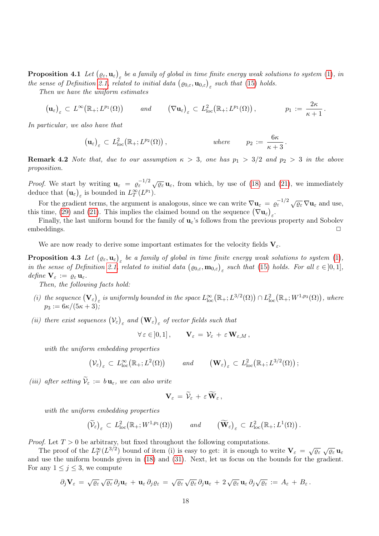**Proposition 4.1** Let  $(\varrho_{\varepsilon}, \mathbf{u}_{\varepsilon})_{\varepsilon}$  be a family of global in time finite energy weak solutions to system [\(1\)](#page-1-0), in the sense of Definition [2.1,](#page-5-2) related to initial data  $(\varrho_{0,\varepsilon}, \mathbf{u}_{0,\varepsilon})_{\varepsilon}$  such that [\(15\)](#page-6-0) holds.

Then we have the uniform estimates

$$
\left(\mathbf{u}_{\varepsilon}\right)_{\varepsilon} \subset L^{\infty}\big(\mathbb{R}_{+};L^{p_{1}}(\Omega)\big) \qquad \text{and} \qquad \left(\nabla\mathbf{u}_{\varepsilon}\right)_{\varepsilon} \subset L^{2}_{\text{loc}}\big(\mathbb{R}_{+};L^{p_{1}}(\Omega)\big)\,,\n\qquad p_{1} := \frac{2\kappa}{\kappa+1}\,.
$$

In particular, we also have that

$$
\left(\mathbf{u}_{\varepsilon}\right)_{\varepsilon} \subset L^2_{\text{loc}}\big(\mathbb{R}_+; L^{p_2}(\Omega)\big)\,,\qquad \qquad \text{where} \qquad p_2 := \frac{6\kappa}{\kappa+3}\,.
$$

<span id="page-17-0"></span>**Remark 4.2** Note that, due to our assumption  $\kappa > 3$ , one has  $p_1 > 3/2$  and  $p_2 > 3$  in the above proposition.

*Proof.* We start by writing  $\mathbf{u}_{\varepsilon} = e^{-1/2} \sqrt{\varrho_{\varepsilon}} \mathbf{u}_{\varepsilon}$ , from which, by use of [\(18\)](#page-7-4) and [\(21\)](#page-8-1), we immediately deduce that  $(\mathbf{u}_{\varepsilon})_{\varepsilon}$  is bounded in  $L_T^{\infty}(L^{p_1})$ .

For the gradient terms, the argument is analogous, since we can write  $\nabla \mathbf{u}_{\varepsilon} = \varrho_{\varepsilon}^{-1/2} \sqrt{\varrho_{\varepsilon}} \nabla \mathbf{u}_{\varepsilon}$  and use, this time, [\(29\)](#page-12-1) and [\(21\)](#page-8-1). This implies the claimed bound on the sequence  $(\nabla \mathbf{u}_{\varepsilon})_{\varepsilon}$ .

Finally, the last uniform bound for the family of  $\mathbf{u}_{\varepsilon}$ 's follows from the previous property and Sobolev embeddings. □

We are now ready to derive some important estimates for the velocity fields  $V_{\varepsilon}$ .

**Proposition 4.3** Let  $(\varrho_{\varepsilon}, \mathbf{u}_{\varepsilon})_{\varepsilon}$  be a family of global in time finite energy weak solutions to system [\(1\)](#page-1-0), in the sense of Definition [2.1,](#page-5-2) related to initial data  $(\varrho_{0,\varepsilon}, \mathbf{m}_{0,\varepsilon})_{\varepsilon}$  such that [\(15\)](#page-6-0) holds. For all  $\varepsilon \in ]0,1]$ , define  $\mathbf{V}_{\varepsilon} := \varrho_{\varepsilon} \mathbf{u}_{\varepsilon}$ .

Then, the following facts hold:

- (i) the sequence  $(\mathbf{V}_{\varepsilon})_{\varepsilon}$  is uniformly bounded in the space  $L^{\infty}_{\text{loc}}(\mathbb{R}_{+};L^{3/2}(\Omega)) \cap L^{2}_{\text{loc}}(\mathbb{R}_{+};W^{1,p_{3}}(\Omega))$ , where  $p_3:=6\kappa/(5\kappa+3);$
- (ii) there exist sequences  $(\mathcal{V}_{\varepsilon})_{\varepsilon}$  and  $(\mathbf{W}_{\varepsilon})_{\varepsilon}$  of vector fields such that

<span id="page-17-1"></span>
$$
\forall \varepsilon \in ]0,1], \qquad \mathbf{V}_{\varepsilon} = \mathcal{V}_{\varepsilon} + \varepsilon \mathbf{W}_{\varepsilon,M},
$$

with the uniform embedding properties

$$
\left(\mathcal{V}_{\varepsilon}\right)_{\varepsilon} \subset L^{\infty}_{\text{loc}}\big(\mathbb{R}_{+};L^{2}(\Omega)\big) \qquad \text{and} \qquad \left(\mathbf{W}_{\varepsilon}\right)_{\varepsilon} \subset L^{2}_{\text{loc}}\big(\mathbb{R}_{+};L^{3/2}(\Omega)\big);
$$

(iii) after setting  $\widetilde{\mathcal{V}}_{\varepsilon} := b \mathbf{u}_{\varepsilon}$ , we can also write

$$
\mathbf{V}_{\varepsilon} = \widetilde{\mathcal{V}}_{\varepsilon} + \varepsilon \widetilde{\mathbf{W}}_{\varepsilon},
$$

with the uniform embedding properties

$$
\left(\widetilde{\mathcal{V}}_{\varepsilon}\right)_{\varepsilon} \subset L^2_{\text{loc}}\big(\mathbb{R}_+; W^{1,p_1}(\Omega)\big) \qquad \text{and} \qquad \left(\widetilde{\mathbf{W}}_{\varepsilon}\right)_{\varepsilon} \subset L^2_{\text{loc}}\big(\mathbb{R}_+; L^1(\Omega)\big) \, .
$$

*Proof.* Let  $T > 0$  be arbitrary, but fixed throughout the following computations.

The proof of the  $L_T^{\infty}(L^{3/2})$  bound of item (i) is easy to get: it is enough to write  $\mathbf{V}_{\varepsilon} = \sqrt{\varrho_{\varepsilon}} \sqrt{\varrho_{\varepsilon}} \mathbf{u}_{\varepsilon}$ and use the uniform bounds given in [\(18\)](#page-7-4) and [\(31\)](#page-13-4). Next, let us focus on the bounds for the gradient. For any  $1 \leq j \leq 3$ , we compute

$$
\partial_j \mathbf{V}_{\varepsilon} = \sqrt{\varrho_{\varepsilon}} \sqrt{\varrho_{\varepsilon}} \partial_j \mathbf{u}_{\varepsilon} + \mathbf{u}_{\varepsilon} \partial_j \varrho_{\varepsilon} = \sqrt{\varrho_{\varepsilon}} \sqrt{\varrho_{\varepsilon}} \partial_j \mathbf{u}_{\varepsilon} + 2 \sqrt{\varrho_{\varepsilon}} \mathbf{u}_{\varepsilon} \partial_j \sqrt{\varrho_{\varepsilon}} := A_{\varepsilon} + B_{\varepsilon}.
$$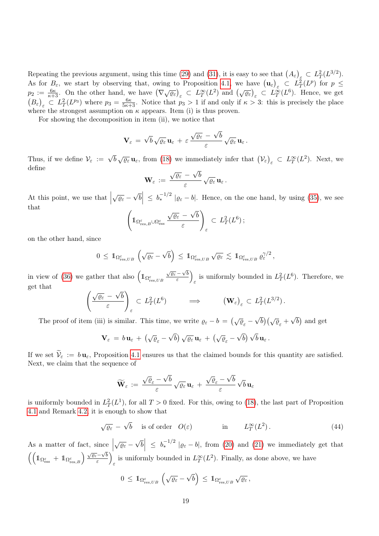Repeating the previous argument, using this time [\(29\)](#page-12-1) and [\(31\)](#page-13-4), it is easy to see that  $(A_{\varepsilon})_{\varepsilon} \subset L_T^2(L^{3/2})$ . As for  $B_{\varepsilon}$ , we start by observing that, owing to Proposition [4.1,](#page-16-2) we have  $(\mathbf{u}_{\varepsilon})_{\varepsilon} \subset L^2_T(L^p)$  for  $p \leq$  $p_2 := \frac{6\kappa}{\kappa+3}$ . On the other hand, we have  $(\nabla \sqrt{\varrho_{\varepsilon}})_{\varepsilon} \subset L_T^{\infty}(L^2)$  and  $(\sqrt{\varrho_{\varepsilon}})_{\varepsilon} \subset L_T^{\infty}(L^6)$ . Hence, we get  $(B_{\varepsilon})_{\varepsilon} \subset L_T^2(L^{p_3})$  where  $p_3 = \frac{6\kappa}{5\kappa+3}$ . Notice that  $p_3 > 1$  if and only if  $\kappa > 3$ : this is precisely the place where the strongest assumption on  $\kappa$  appears. Item (i) is thus proven.

For showing the decomposition in item (ii), we notice that

$$
\mathbf{V}_{\varepsilon} = \sqrt{b} \sqrt{\varrho_{\varepsilon}} \, \mathbf{u}_{\varepsilon} + \varepsilon \, \frac{\sqrt{\varrho_{\varepsilon}} - \sqrt{b}}{\varepsilon} \sqrt{\varrho_{\varepsilon}} \, \mathbf{u}_{\varepsilon} \, .
$$

Thus, if we define  $\mathcal{V}_{\varepsilon} := \sqrt{b} \sqrt{\varrho_{\varepsilon}} \mathbf{u}_{\varepsilon}$ , from [\(18\)](#page-7-4) we immediately infer that  $(\mathcal{V}_{\varepsilon})_{\varepsilon} \subset L_T^{\infty}(L^2)$ . Next, we define √

$$
\mathbf{W}_{\varepsilon}\,:=\,\frac{\sqrt{\varrho_{\varepsilon}}\,-\,\sqrt{b}}{\varepsilon}\,\sqrt{\varrho_{\varepsilon}}\,\mathbf{u}_{\varepsilon}\,.
$$

At this point, we use that  $\sqrt{\varrho_{\varepsilon}} - \sqrt{\varrho_{\varepsilon}}$  $\overline{b}$   $\leq b_*^{-1/2}$   $|\varrho_{\varepsilon} - b|$ . Hence, on the one hand, by using [\(35\)](#page-14-0), we see that √

$$
\left(\mathbb{1}_{\Omega_{\mathrm{res},B}^{\varepsilon}\cup\Omega_{\mathrm{ess}}^{\varepsilon}}\frac{\sqrt{\varrho_{\varepsilon}}-\sqrt{b}}{\varepsilon}\right)_{\varepsilon}\subset L_{T}^{2}(L^{6})\,;
$$

on the other hand, since

$$
0\,\leq\,\mathbb{1}_{\Omega_{\mathrm{res},UB}^\varepsilon}\,\left(\sqrt{\varrho_\varepsilon}-\sqrt{b}\right)\,\leq\,\mathbb{1}_{\Omega_{\mathrm{res},UB}^\varepsilon}\,\sqrt{\varrho_\varepsilon}\,\lesssim\,\mathbb{1}_{\Omega_{\mathrm{res},UB}^\varepsilon}\,\varrho_\varepsilon^{\gamma/2}\,,
$$

in view of [\(36\)](#page-14-1) we gather that also  $\left(1_{\Omega_{res,UB}^{\varepsilon}}\right)$  $\sqrt{\varrho_{\varepsilon}} - \sqrt{b}$  $\frac{-\sqrt{b}}{\varepsilon}$ is uniformly bounded in  $L^2_T(L^6)$ . Therefore, we get that √

$$
\left(\frac{\sqrt{\varrho_{\varepsilon}}-\sqrt{b}}{\varepsilon}\right)_{\varepsilon}\subset L_T^2(L^6)\qquad \Longrightarrow \qquad \left(\mathbf{W}_{\varepsilon}\right)_{\varepsilon}\subset L_T^2(L^{3/2}).
$$

The proof of item (iii) is similar. This time, we write  $\varrho_{\varepsilon} - b = (\sqrt{\varrho}_{\varepsilon} - \sqrt{\varrho}_{\varepsilon})$  $\overline{b}$ )  $(\sqrt{\varrho}_{\varepsilon} + \sqrt{\varrho}_{\varepsilon})$  $\overline{b}$  and get

$$
\mathbf{V}_{\varepsilon} \,=\, b\,\mathbf{u}_{\varepsilon} \,+\, \left(\sqrt{\varrho}_{\varepsilon} - \sqrt{b}\right)\sqrt{\varrho_{\varepsilon}}\,\mathbf{u}_{\varepsilon} \,+\, \left(\sqrt{\varrho}_{\varepsilon} - \sqrt{b}\right)\sqrt{b}\,\mathbf{u}_{\varepsilon} \,.
$$

If we set  $\widetilde{\mathcal{V}}_{\varepsilon} := b \mathbf{u}_{\varepsilon}$ , Proposition [4.1](#page-16-2) ensures us that the claimed bounds for this quantity are satisfied. Next, we claim that the sequence of

$$
\widetilde{\mathbf{W}}_{\varepsilon} \,:=\, \frac{\sqrt{\varrho}_{\varepsilon} - \sqrt{b}}{\varepsilon} \,\sqrt{\varrho_{\varepsilon}}\, \mathbf{u}_{\varepsilon} \,+\, \frac{\sqrt{\varrho}_{\varepsilon} - \sqrt{b}}{\varepsilon} \,\sqrt{b}\, \mathbf{u}_{\varepsilon}
$$

is uniformly bounded in  $L^2_T(L^1)$ , for all  $T > 0$  fixed. For this, owing to [\(18\)](#page-7-4), the last part of Proposition [4.1](#page-16-2) and Remark [4.2,](#page-17-0) it is enough to show that

<span id="page-18-0"></span>
$$
\sqrt{\varrho_{\varepsilon}} - \sqrt{b}
$$
 is of order  $O(\varepsilon)$  in  $L_T^{\infty}(L^2)$ . (44)

As a matter of fact, since  $\sqrt{\varrho_{\varepsilon}} - \sqrt{\varrho_{\varepsilon}}$  $\bar{b}$   $\leq$   $b_*^{-1/2}$   $|\varrho_{\varepsilon} - b|$ , from [\(20\)](#page-8-0) and [\(21\)](#page-8-1) we immediately get that  $\left(\left(1\right)_{\text{Cess}} + 1\right)_{\text{Cres},B} \right) \frac{\sqrt{\varrho_{\varepsilon}}-\sqrt{b}}{\varepsilon}$  $\left(\frac{-\sqrt{b}}{\varepsilon}\right)$ is uniformly bounded in  $L_T^{\infty}(L^2)$ . Finally, as done above, we have

$$
0\,\leq\,\mathrm{1\mskip-4mu l}_{\Omega^{\varepsilon}_{\mathrm{res},UB}}\,\left(\sqrt{\varrho_{\varepsilon}}-\sqrt{b}\right)\,\leq\,\mathrm{1\mskip-4mu l}_{\Omega^{\varepsilon}_{\mathrm{res},UB}}\,\sqrt{\varrho_{\varepsilon}}\,,
$$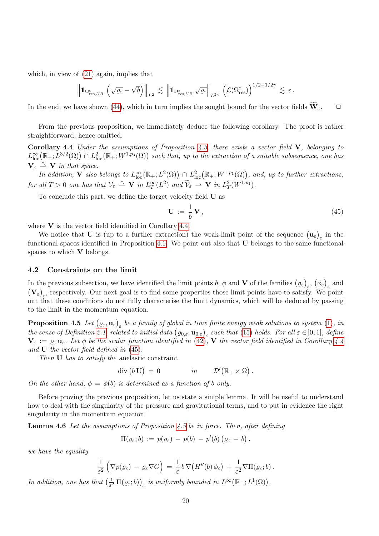which, in view of [\(21\)](#page-8-1) again, implies that

<span id="page-19-1"></span>
$$
\left\|1\!\!1_{\Omega^{\varepsilon}_{\mathrm{res},UB}}\,\left(\sqrt{\varrho_{\varepsilon}}-\sqrt{b}\right)\right\|_{L^2}\,\lesssim\,\left\|1\!\!1_{\Omega^{\varepsilon}_{\mathrm{res},UB}}\,\sqrt{\varrho_{\varepsilon}}\right\|_{L^{2\gamma}}\,\left(\mathcal{L}(\Omega^{\varepsilon}_{\mathrm{res}})\right)^{1/2-1/2\gamma}\,\lesssim\,\varepsilon\,.
$$

In the end, we have shown [\(44\)](#page-18-0), which in turn implies the sought bound for the vector fields  $\widetilde{\mathbf{W}}_{\varepsilon}$ .  $\Box$ 

From the previous proposition, we immediately deduce the following corollary. The proof is rather straightforward, hence omitted.

Corollary 4.4 Under the assumptions of Proposition  $4.3$ , there exists a vector field V, belonging to  $L^{\infty}_{\text{loc}}(\mathbb{R}_+;L^{3/2}(\Omega)) \cap L^2_{\text{loc}}(\mathbb{R}_+;W^{1,p_3}(\Omega))$  such that, up to the extraction of a suitable subsequence, one has  $\mathbf{V}_{\varepsilon} \overset{*}{\rightharpoonup} \mathbf{V}$  in that space.

In addition, **V** also belongs to  $L^{\infty}_{loc}(\mathbb{R}_+; L^2(\Omega)) \cap L^2_{loc}(\mathbb{R}_+; W^{1,p_1}(\Omega))$ , and, up to further extractions, for all  $T > 0$  one has that  $\mathcal{V}_{\varepsilon} \stackrel{*}{\rightharpoonup} \mathbf{V}$  in  $L^{\infty}_T(L^2)$  and  $\widetilde{\mathcal{V}}_{\varepsilon} \stackrel{...}{\rightharpoonup} \mathbf{V}$  in  $L^2_T(W^{1,p_1})$ .

To conclude this part, we define the target velocity field U as

<span id="page-19-2"></span>
$$
\mathbf{U} := \frac{1}{b} \mathbf{V},\tag{45}
$$

where  $V$  is the vector field identified in Corollary [4.4.](#page-19-1)

We notice that U is (up to a further extraction) the weak-limit point of the sequence  $(\mathbf{u}_{\varepsilon})_{\varepsilon}$  in the functional spaces identified in Proposition [4.1.](#page-16-2) We point out also that U belongs to the same functional spaces to which V belongs.

#### <span id="page-19-0"></span>4.2 Constraints on the limit

In the previous subsection, we have identified the limit points b,  $\phi$  and **V** of the families  $(\varrho_{\varepsilon})_{\varepsilon}, (\phi_{\varepsilon})_{\varepsilon}$  and  $(\mathbf{V}_{\varepsilon})_{\varepsilon}$ , respectively. Our next goal is to find some properties those limit points have to satisfy. We point out that these conditions do not fully characterise the limit dynamics, which will be deduced by passing to the limit in the momentum equation.

<span id="page-19-3"></span>**Proposition 4.5** Let  $(\varrho_{\varepsilon}, \mathbf{u}_{\varepsilon})_{\varepsilon}$  be a family of global in time finite energy weak solutions to system [\(1\)](#page-1-0), in the sense of Definition [2.1,](#page-5-2) related to initial data  $(\varrho_{0,\varepsilon}, \mathbf{u}_{0,\varepsilon})_{\varepsilon}$  such that [\(15\)](#page-6-0) holds. For all  $\varepsilon \in ]0,1]$ , define  $\mathbf{V}_{\varepsilon} := \varrho_{\varepsilon} \mathbf{u}_{\varepsilon}$ . Let  $\phi$  be the scalar function identified in [\(42\)](#page-16-3), **V** the vector field identified in Corollary [4.4](#page-19-1) and U the vector field defined in [\(45\)](#page-19-2).

Then U has to satisfy the anelastic constraint

 $\mathrm{div}\,(b\,\mathbf{U})\,=\,0$  in  $\mathcal{D}'(\mathbb{R}_+\times\Omega)$ .

On the other hand,  $\phi = \phi(b)$  is determined as a function of b only.

Before proving the previous proposition, let us state a simple lemma. It will be useful to understand how to deal with the singularity of the pressure and gravitational terms, and to put in evidence the right singularity in the momentum equation.

**Lemma 4.6** Let the assumptions of Proposition [4.5](#page-19-3) be in force. Then, after defining

<span id="page-19-4"></span>
$$
\Pi(\varrho_\varepsilon;b) := p(\varrho_\varepsilon) - p(b) - p'(b) (\varrho_\varepsilon - b),
$$

we have the equality

$$
\frac{1}{\varepsilon^2}\left(\nabla p(\varrho_\varepsilon)-\varrho_\varepsilon\nabla G\right)=\frac{1}{\varepsilon}b\,\nabla\big(H''(b)\,\phi_\varepsilon\big)+\frac{1}{\varepsilon^2}\nabla\Pi(\varrho_\varepsilon;b).
$$

In addition, one has that  $\left(\frac{1}{e^2}\right)$  $\frac{1}{\varepsilon^2} \Pi(\varrho_\varepsilon; b) \Big)_{\varepsilon}$  is uniformly bounded in  $L^\infty(\mathbb{R}_+; L^1(\Omega)).$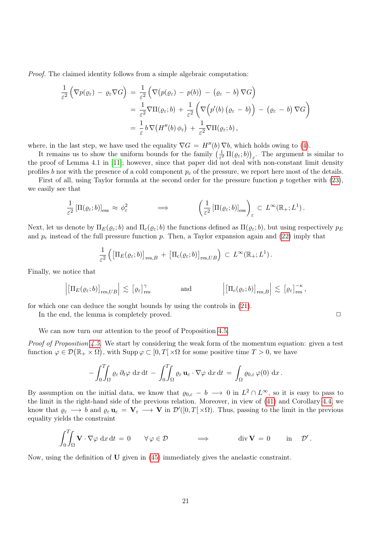Proof. The claimed identity follows from a simple algebraic computation:

$$
\frac{1}{\varepsilon^2} \left( \nabla p(\varrho_{\varepsilon}) - \varrho_{\varepsilon} \nabla G \right) = \frac{1}{\varepsilon^2} \left( \nabla \big( p(\varrho_{\varepsilon}) - p(b) \big) - (\varrho_{\varepsilon} - b) \nabla G \right)
$$
\n
$$
= \frac{1}{\varepsilon^2} \nabla \Pi(\varrho_{\varepsilon}; b) + \frac{1}{\varepsilon^2} \left( \nabla \big( p'(b) \big( \varrho_{\varepsilon} - b \big) \big) - (\varrho_{\varepsilon} - b) \nabla G \right)
$$
\n
$$
= \frac{1}{\varepsilon} b \nabla \big( H''(b) \varphi_{\varepsilon} \big) + \frac{1}{\varepsilon^2} \nabla \Pi(\varrho_{\varepsilon}; b),
$$

where, in the last step, we have used the equality  $\nabla G = H''(b) \nabla b$ , which holds owing to [\(4\)](#page-2-0).

It remains us to show the uniform bounds for the family  $\left(\frac{1}{\epsilon_0^2}\right)$  $\frac{1}{\varepsilon^2} \Pi(\varrho_\varepsilon; b)$ <sub> $\varepsilon$ </sub>. The argument is similar to the proof of Lemma 4.1 in [\[11\]](#page-36-12); however, since that paper did not deal with non-constant limit density profiles b nor with the presence of a cold component  $p_c$  of the pressure, we report here most of the details.

First of all, using Taylor formula at the second order for the pressure function p together with [\(23\)](#page-8-2), we easily see that

$$
\frac{1}{\varepsilon^2} \left[ \Pi(\varrho_\varepsilon; b) \right]_{\rm ess} \approx \phi_\varepsilon^2 \qquad \Longrightarrow \qquad \left( \frac{1}{\varepsilon^2} \left[ \Pi(\varrho_\varepsilon; b) \right]_{\rm ess} \right)_\varepsilon \subset L^\infty(\mathbb{R}_+; L^1) \, .
$$

Next, let us denote by  $\Pi_E(\varrho_\varepsilon; b)$  and  $\Pi_c(\varrho_\varepsilon; b)$  the functions defined as  $\Pi(\varrho_\varepsilon; b)$ , but using respectively  $p_E$ and  $p_c$  instead of the full pressure function p. Then, a Taylor expansion again and [\(22\)](#page-8-3) imply that

$$
\frac{1}{\varepsilon^2} \left( \left[ \Pi_E(\varrho_\varepsilon; b) \right]_{\mathrm{res},B} + \left[ \Pi_c(\varrho_\varepsilon; b) \right]_{\mathrm{res},UB} \right) \subset L^\infty(\mathbb{R}_+; L^1).
$$

Finally, we notice that

$$
\left| \left[ \Pi_E(\varrho_\varepsilon; b) \right]_{\mathrm{res}, UB} \right| \lesssim \left[ \varrho_\varepsilon \right]_{\mathrm{res}}^{\gamma} \quad \text{and} \quad \left| \left[ \Pi_c(\varrho_\varepsilon; b) \right]_{\mathrm{res}, B} \right| \lesssim \left[ \varrho_\varepsilon \right]_{\mathrm{res}}^{-\kappa},
$$

for which one can deduce the sought bounds by using the controls in [\(21\)](#page-8-1).

In the end, the lemma is completely proved.  $\Box$ 

We can now turn our attention to the proof of Proposition [4.5.](#page-19-3)

Proof of Proposition [4.5.](#page-19-3) We start by considering the weak form of the momentum equation: given a test function  $\varphi \in \mathcal{D}(\mathbb{R}_+ \times \Omega)$ , with  $\text{Supp}\,\varphi \subset [0,T[ \times \Omega \text{ for some positive time } T > 0]$ , we have

$$
-\int_0^T\!\!\!\int_{\Omega}\varrho_\varepsilon\,\partial_t\varphi\,\mathrm{d}x\,\mathrm{d}t\,-\,\int_0^T\!\!\!\int_{\Omega}\varrho_\varepsilon\,\mathbf{u}_\varepsilon\cdot\nabla\varphi\,\mathrm{d}x\,\mathrm{d}t\,=\,\int_{\Omega}\varrho_{0,\varepsilon}\,\varphi(0)\,\mathrm{d}x\,.
$$

By assumption on the initial data, we know that  $\varrho_{0,\varepsilon} - b \longrightarrow 0$  in  $L^2 \cap L^{\infty}$ , so it is easy to pass to the limit in the right-hand side of the previous relation. Moreover, in view of [\(41\)](#page-16-4) and Corollary [4.4,](#page-19-1) we know that  $\varrho_{\varepsilon} \longrightarrow b$  and  $\varrho_{\varepsilon} \mathbf{u}_{\varepsilon} = \mathbf{V}_{\varepsilon} \longrightarrow \mathbf{V}$  in  $\mathcal{D}'([0,T[\times \Omega)]$ . Thus, passing to the limit in the previous equality yields the constraint

$$
\int_0^T \int_{\Omega} \mathbf{V} \cdot \nabla \varphi \, dx \, dt = 0 \quad \forall \varphi \in \mathcal{D} \qquad \Longrightarrow \qquad \text{div } \mathbf{V} = 0 \quad \text{in } \mathcal{D}'.
$$

Now, using the definition of  **given in [\(45\)](#page-19-2) immediately gives the anelastic constraint.**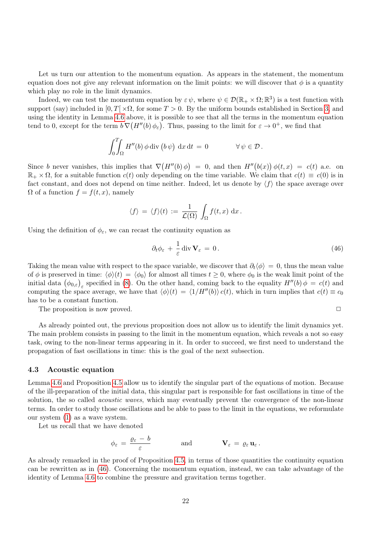Let us turn our attention to the momentum equation. As appears in the statement, the momentum equation does not give any relevant information on the limit points: we will discover that  $\phi$  is a quantity which play no role in the limit dynamics.

Indeed, we can test the momentum equation by  $\varepsilon \psi$ , where  $\psi \in \mathcal{D}(\mathbb{R}_+ \times \Omega; \mathbb{R}^3)$  is a test function with support (say) included in  $[0, T] \times \Omega$ , for some  $T > 0$ . By the uniform bounds established in Section [3,](#page-7-0) and using the identity in Lemma [4.6](#page-19-4) above, it is possible to see that all the terms in the momentum equation tend to 0, except for the term  $b \nabla (H''(b) \phi_{\varepsilon})$ . Thus, passing to the limit for  $\varepsilon \to 0^+$ , we find that

$$
\int_0^T\!\!\!\int_{\Omega} H''(b)\,\phi\,\mathrm{div}\,(b\,\psi)\,\mathrm{d}x\,\mathrm{d}t\,=\,0\qquad\qquad\forall\,\psi\in\mathcal{D}\,.
$$

Since b never vanishes, this implies that  $\nabla (H''(b)\phi) = 0$ , and then  $H''(b(x))\phi(t,x) = c(t)$  a.e. on  $\mathbb{R}_+ \times \Omega$ , for a suitable function  $c(t)$  only depending on the time variable. We claim that  $c(t) \equiv c(0)$  is in fact constant, and does not depend on time neither. Indeed, let us denote by  $\langle f \rangle$  the space average over  $\Omega$  of a function  $f = f(t, x)$ , namely

$$
\langle f \rangle = \langle f \rangle(t) := \frac{1}{\mathcal{L}(\Omega)} \int_{\Omega} f(t, x) dx.
$$

Using the definition of  $\phi_{\varepsilon}$ , we can recast the continuity equation as

<span id="page-21-1"></span>
$$
\partial_t \phi_{\varepsilon} + \frac{1}{\varepsilon} \operatorname{div} \mathbf{V}_{\varepsilon} = 0. \tag{46}
$$

Taking the mean value with respect to the space variable, we discover that  $\partial_t \langle \phi \rangle = 0$ , thus the mean value of  $\phi$  is preserved in time:  $\langle \phi \rangle(t) = \langle \phi_0 \rangle$  for almost all times  $t \geq 0$ , where  $\phi_0$  is the weak limit point of the initial data  $(\phi_{0,\varepsilon})_\varepsilon$  specified in [\(8\)](#page-5-1). On the other hand, coming back to the equality  $H''(b)\phi = c(t)$  and computing the space average, we have that  $\langle \phi \rangle(t) = \langle 1/H''(b) \rangle c(t)$ , which in turn implies that  $c(t) \equiv c_0$ has to be a constant function.

The proposition is now proved.  $\Box$ 

As already pointed out, the previous proposition does not allow us to identify the limit dynamics yet. The main problem consists in passing to the limit in the momentum equation, which reveals a not so easy task, owing to the non-linear terms appearing in it. In order to succeed, we first need to understand the propagation of fast oscillations in time: this is the goal of the next subsection.

#### <span id="page-21-0"></span>4.3 Acoustic equation

Lemma [4.6](#page-19-4) and Proposition [4.5](#page-19-3) allow us to identify the singular part of the equations of motion. Because of the ill-preparation of the initial data, this singular part is responsible for fast oscillations in time of the solution, the so called *acoustic waves*, which may eventually prevent the convergence of the non-linear terms. In order to study those oscillations and be able to pass to the limit in the equations, we reformulate our system [\(1\)](#page-1-0) as a wave system.

Let us recall that we have denoted

$$
\phi_{\varepsilon} = \frac{\varrho_{\varepsilon} - b}{\varepsilon} \quad \text{and} \quad \mathbf{V}_{\varepsilon} = \varrho_{\varepsilon} \mathbf{u}_{\varepsilon}.
$$

As already remarked in the proof of Proposition [4.5,](#page-19-3) in terms of those quantities the continuity equation can be rewritten as in [\(46\)](#page-21-1). Concerning the momentum equation, instead, we can take advantage of the identity of Lemma [4.6](#page-19-4) to combine the pressure and gravitation terms together.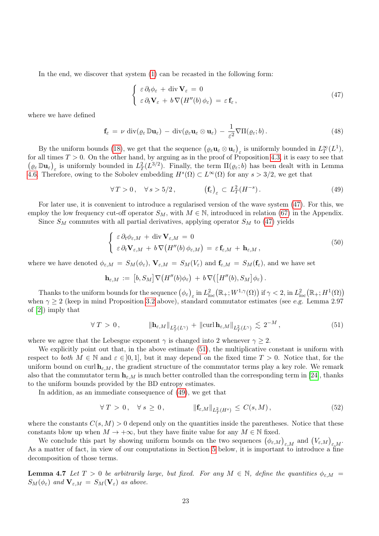In the end, we discover that system [\(1\)](#page-1-0) can be recasted in the following form:

<span id="page-22-0"></span>
$$
\begin{cases}\n\varepsilon \, \partial_t \phi_{\varepsilon} + \text{div } \mathbf{V}_{\varepsilon} = 0 \\
\varepsilon \, \partial_t \mathbf{V}_{\varepsilon} + b \, \nabla \big( H''(b) \, \phi_{\varepsilon} \big) = \varepsilon \, \mathbf{f}_{\varepsilon} \,,\n\end{cases} \tag{47}
$$

where we have defined

$$
\mathbf{f}_{\varepsilon} = \nu \operatorname{div}(\varrho_{\varepsilon} \mathbb{D} \mathbf{u}_{\varepsilon}) - \operatorname{div}(\varrho_{\varepsilon} \mathbf{u}_{\varepsilon} \otimes \mathbf{u}_{\varepsilon}) - \frac{1}{\varepsilon^{2}} \nabla \Pi(\varrho_{\varepsilon}; b).
$$
\n(48)

By the uniform bounds [\(18\)](#page-7-4), we get that the sequence  $(\varrho_{\varepsilon} \mathbf{u}_{\varepsilon} \otimes \mathbf{u}_{\varepsilon})_{\varepsilon}$  is uniformly bounded in  $L_T^{\infty}(L^1)$ , for all times  $T > 0$ . On the other hand, by arguing as in the proof of Proposition [4.3,](#page-17-1) it is easy to see that  $(\varrho_{\varepsilon} \mathbb{D} \mathbf{u}_{\varepsilon})_{\varepsilon}$  is uniformly bounded in  $L^2_T(L^{3/2})$ . Finally, the term  $\Pi(\varrho_{\varepsilon}; b)$  has been dealt with in Lemma [4.6.](#page-19-4) Therefore, owing to the Sobolev embedding  $H^s(\Omega) \subset L^{\infty}(\Omega)$  for any  $s > 3/2$ , we get that

<span id="page-22-2"></span>
$$
\forall T > 0, \quad \forall s > 5/2, \qquad \left(\mathbf{f}_{\varepsilon}\right)_{\varepsilon} \subset L_T^2(H^{-s}). \tag{49}
$$

For later use, it is convenient to introduce a regularised version of the wave system [\(47\)](#page-22-0). For this, we employ the low frequency cut-off operator  $S_M$ , with  $M \in \mathbb{N}$ , introduced in relation [\(67\)](#page-34-0) in the Appendix.

Since  $S_M$  commutes with all partial derivatives, applying operator  $S_M$  to [\(47\)](#page-22-0) yields

<span id="page-22-4"></span>
$$
\begin{cases}\n\varepsilon \, \partial_t \phi_{\varepsilon,M} + \text{div } \mathbf{V}_{\varepsilon,M} = 0 \\
\varepsilon \, \partial_t \mathbf{V}_{\varepsilon,M} + b \, \nabla \big( H''(b) \, \phi_{\varepsilon,M} \big) = \varepsilon \, \mathbf{f}_{\varepsilon,M} + \mathbf{h}_{\varepsilon,M} \,,\n\end{cases} \tag{50}
$$

where we have denoted  $\phi_{\varepsilon,M} = S_M(\phi_{\varepsilon}), \mathbf{V}_{\varepsilon,M} = S_M(V_{\varepsilon})$  and  $\mathbf{f}_{\varepsilon,M} = S_M(\mathbf{f}_{\varepsilon})$ , and we have set

$$
\mathbf{h}_{\varepsilon,M} \,:=\, \big[b,S_M\big] \nabla \big(H''(b)\phi_\varepsilon\big) \,+\, b\,\nabla \big(\big[H''(b),S_M\big]\phi_\varepsilon\big)\,.
$$

Thanks to the uniform bounds for the sequence  $(\phi_{\varepsilon})_{\varepsilon}$  in  $L^2_{\text{loc}}(\mathbb{R}_+;W^{1,\gamma}(\Omega))$  if  $\gamma < 2$ , in  $L^2_{\text{loc}}(\mathbb{R}_+;H^1(\Omega))$ when  $\gamma \geq 2$  (keep in mind Proposition [3.2](#page-14-2) above), standard commutator estimates (see e.g. Lemma 2.97 of [\[2\]](#page-35-3)) imply that

<span id="page-22-1"></span>
$$
\forall T > 0, \qquad \qquad \|\mathbf{h}_{\varepsilon,M}\|_{L^2_T(L^{\gamma})} + \|\mathrm{curl}\,\mathbf{h}_{\varepsilon,M}\|_{L^2_T(L^{\gamma})} \lesssim 2^{-M}, \qquad (51)
$$

where we agree that the Lebesgue exponent  $\gamma$  is changed into 2 whenever  $\gamma > 2$ .

We explicitly point out that, in the above estimate [\(51\)](#page-22-1), the multiplicative constant is uniform with respect to both  $M \in \mathbb{N}$  and  $\varepsilon \in ]0,1]$ , but it may depend on the fixed time  $T > 0$ . Notice that, for the uniform bound on curl  $h_{\varepsilon,M}$ , the gradient structure of the commutator terms play a key role. We remark also that the commutator term  $h_{\varepsilon,M}$  is much better controlled than the corresponding term in [\[24\]](#page-36-4), thanks to the uniform bounds provided by the BD entropy estimates.

In addition, as an immediate consequence of [\(49\)](#page-22-2), we get that

<span id="page-22-5"></span>
$$
\forall T > 0, \quad \forall s \ge 0, \qquad \qquad \|\mathbf{f}_{\varepsilon,M}\|_{L^2_T(H^s)} \le C(s,M), \tag{52}
$$

where the constants  $C(s, M) > 0$  depend only on the quantities inside the parentheses. Notice that these constants blow up when  $M \to +\infty$ , but they have finite value for any  $M \in \mathbb{N}$  fixed.

We conclude this part by showing uniform bounds on the two sequences  $(\phi_{\varepsilon,M})_{\varepsilon,M}$  and  $(V_{\varepsilon,M})_{\varepsilon,M}$ . As a matter of fact, in view of our computations in Section [5](#page-24-0) below, it is important to introduce a fine decomposition of those terms.

<span id="page-22-3"></span>**Lemma 4.7** Let  $T > 0$  be arbitrarily large, but fixed. For any  $M \in \mathbb{N}$ , define the quantities  $\phi_{\varepsilon,M}$  $S_M(\phi_{\varepsilon})$  and  $\mathbf{V}_{\varepsilon,M} = S_M(\mathbf{V}_{\varepsilon})$  as above.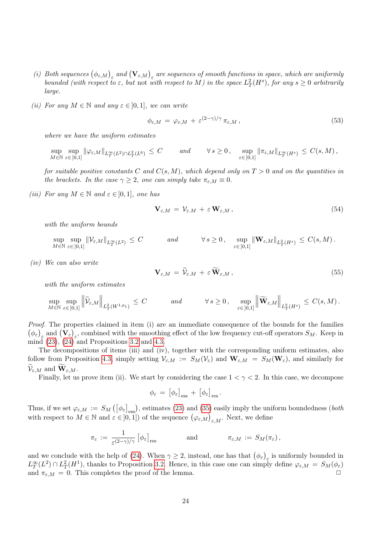- (i) Both sequences  $(\phi_{\varepsilon,M})_{\varepsilon}$  and  $(\mathbf{V}_{\varepsilon,M})_{\varepsilon}$  are sequences of smooth functions in space, which are uniformly bounded (with respect to  $\varepsilon$ , but not with respect to M) in the space  $L^2_T(H^s)$ , for any  $s \geq 0$  arbitrarily large.
- (ii) For any  $M \in \mathbb{N}$  and any  $\varepsilon \in ]0,1]$ , we can write

$$
\phi_{\varepsilon,M} = \varphi_{\varepsilon,M} + \varepsilon^{(2-\gamma)/\gamma} \pi_{\varepsilon,M}, \qquad (53)
$$

where we have the uniform estimates

$$
\sup_{M \in \mathbb{N}} \sup_{\varepsilon \in [0,1]} \|\varphi_{\varepsilon,M}\|_{L_T^{\infty}(L^2) \cap L_T^2(L^6)} \leq C \quad \text{and} \quad \forall s \geq 0, \quad \sup_{\varepsilon \in [0,1]} \|\pi_{\varepsilon,M}\|_{L_T^{\infty}(H^s)} \leq C(s,M),
$$

for suitable positive constants C and  $C(s, M)$ , which depend only on  $T > 0$  and on the quantities in the brackets. In the case  $\gamma \geq 2$ , one can simply take  $\pi_{\varepsilon,M} \equiv 0$ .

(iii) For any  $M \in \mathbb{N}$  and  $\varepsilon \in ]0,1]$ , one has

$$
\mathbf{V}_{\varepsilon,M} = \mathcal{V}_{\varepsilon,M} + \varepsilon \mathbf{W}_{\varepsilon,M},\tag{54}
$$

with the uniform bounds

$$
\sup_{M \in \mathbb{N}} \sup_{\varepsilon \in [0,1]} \|\mathcal{V}_{\varepsilon,M}\|_{L^\infty_T(L^2)} \leq C \quad \text{and} \quad \forall s \geq 0, \quad \sup_{\varepsilon \in [0,1]} \|\mathbf{W}_{\varepsilon,M}\|_{L^2_T(H^s)} \leq C(s,M) \,.
$$

(iv) We can also write

$$
\mathbf{V}_{\varepsilon,M} = \widetilde{\mathcal{V}}_{\varepsilon,M} + \varepsilon \, \mathbf{W}_{\varepsilon,M} \,, \tag{55}
$$

with the uniform estimates

$$
\sup_{M \in \mathbb{N}} \sup_{\varepsilon \in [0,1]} \left\| \widetilde{\mathcal{V}}_{\varepsilon,M} \right\|_{L^2_T(W^{1,p_1})} \leq C \qquad \text{and} \qquad \forall s \geq 0, \quad \sup_{\varepsilon \in [0,1]} \left\| \widetilde{\mathbf{W}}_{\varepsilon,M} \right\|_{L^2_T(H^s)} \leq C(s,M).
$$

Proof. The properties claimed in item (i) are an immediate consequence of the bounds for the families  $(\phi_{\varepsilon})_{\varepsilon}$  and  $(\mathbf{V}_{\varepsilon})_{\varepsilon}$ , combined with the smoothing effect of the low frequency cut-off operators  $S_M$ . Keep in mind  $(23)$ ,  $(24)$  and Propositions [3.2](#page-14-2) and [4.3.](#page-17-1)

The decompositions of items (iii) and (iv), together with the corresponding uniform estimates, also follow from Proposition [4.3,](#page-17-1) simply setting  $V_{\varepsilon,M} := S_M(V_{\varepsilon})$  and  $\mathbf{W}_{\varepsilon,M} = S_M(\mathbf{W}_{\varepsilon})$ , and similarly for  $\mathcal{V}_{\varepsilon,M}$  and  $\mathbf{W}_{\varepsilon,M}$ .

Finally, let us prove item (ii). We start by considering the case  $1 < \gamma < 2$ . In this case, we decompose

$$
\phi_{\varepsilon} \,=\, \big[\phi_{\varepsilon}\big]_{\rm ess} \,+\, \big[\phi_{\varepsilon}\big]_{\rm res}\,.
$$

Thus, if we set  $\varphi_{\varepsilon,M} := S_M([\phi_{\varepsilon}]_{\text{ess}})$ , estimates [\(23\)](#page-8-2) and [\(35\)](#page-14-0) easily imply the uniform boundedness (*both* with respect to  $M \in \mathbb{N}$  and  $\varepsilon \in ]0,1]$  of the sequence  $(\varphi_{\varepsilon,M})_{\varepsilon,M}$ . Next, we define

$$
\pi_{\varepsilon} \,:=\, \frac{1}{\varepsilon^{(2-\gamma)/\gamma}}\, \big[\phi_\varepsilon\big]_{\rm res} \hspace{1cm} {\rm and} \hspace{1cm} \pi_{\varepsilon,M} \,:=\, S_M(\pi_{\varepsilon})\,,
$$

and we conclude with the help of [\(24\)](#page-8-4). When  $\gamma \geq 2$ , instead, one has that  $(\phi_{\varepsilon})_{\varepsilon}$  is uniformly bounded in  $L_T^{\infty}(L^2) \cap L_T^2(H^1)$ , thanks to Proposition [3.2.](#page-14-2) Hence, in this case one can simply define  $\varphi_{\varepsilon,M} = S_M(\phi_{\varepsilon})$ and  $\pi_{\varepsilon,M} = 0$ . This completes the proof of the lemma.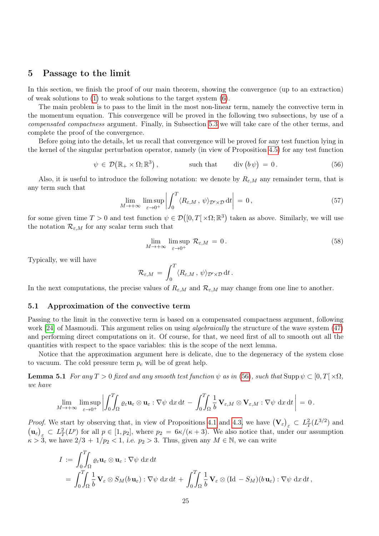# <span id="page-24-0"></span>5 Passage to the limit

In this section, we finish the proof of our main theorem, showing the convergence (up to an extraction) of weak solutions to [\(1\)](#page-1-0) to weak solutions to the target system [\(6\)](#page-2-2).

The main problem is to pass to the limit in the most non-linear term, namely the convective term in the momentum equation. This convergence will be proved in the following two subsections, by use of a compensated compactness argument. Finally, in Subsection [5.3](#page-33-0) we will take care of the other terms, and complete the proof of the convergence.

Before going into the details, let us recall that convergence will be proved for any test function lying in the kernel of the singular perturbation operator, namely (in view of Proposition [4.5\)](#page-19-3) for any test function

<span id="page-24-1"></span>
$$
\psi \in \mathcal{D}\big(\mathbb{R}_+ \times \Omega; \mathbb{R}^3\big), \qquad \text{such that} \qquad \text{div}\big(b\,\psi\big) = 0. \tag{56}
$$

Also, it is useful to introduce the following notation: we denote by  $R_{\varepsilon,M}$  any remainder term, that is any term such that

<span id="page-24-4"></span>
$$
\lim_{M \to +\infty} \limsup_{\varepsilon \to 0^+} \left| \int_0^T \langle R_{\varepsilon,M} \, , \, \psi \rangle_{\mathcal{D}' \times \mathcal{D}} \, \mathrm{d}t \right| \, = \, 0 \,, \tag{57}
$$

for some given time  $T > 0$  and test function  $\psi \in \mathcal{D}([0,T] \times \Omega;\mathbb{R}^3)$  taken as above. Similarly, we will use the notation  $\mathcal{R}_{\varepsilon,M}$  for any scalar term such that

<span id="page-24-2"></span>
$$
\lim_{M \to +\infty} \limsup_{\varepsilon \to 0^+} \mathcal{R}_{\varepsilon,M} = 0. \tag{58}
$$

Typically, we will have

<span id="page-24-3"></span>
$$
\mathcal{R}_{\varepsilon,M} \,=\, \int_0^T \langle R_{\varepsilon,M} \, , \, \psi \rangle_{\mathcal{D}'\times\mathcal{D}} \, \mathrm{d}t \, .
$$

In the next computations, the precise values of  $R_{\varepsilon,M}$  and  $\mathcal{R}_{\varepsilon,M}$  may change from one line to another.

#### <span id="page-24-5"></span>5.1 Approximation of the convective term

Passing to the limit in the convective term is based on a compensated compactness argument, following work [\[24\]](#page-36-4) of Masmoudi. This argument relies on using *algebraically* the structure of the wave system [\(47\)](#page-22-0) and performing direct computations on it. Of course, for that, we need first of all to smooth out all the quantities with respect to the space variables: this is the scope of the next lemma.

Notice that the approximation argument here is delicate, due to the degeneracy of the system close to vacuum. The cold pressure term  $p_c$  will be of great help.

**Lemma 5.1** For any  $T > 0$  fixed and any smooth test function  $\psi$  as in [\(56\)](#page-24-1), such that Supp  $\psi \subset [0, T] \times \Omega$ , we have

$$
\lim_{M\to+\infty}\limsup_{\varepsilon\to0^+}\left|\int_0^T\!\!\!\int_{\Omega}\varrho_\varepsilon\mathbf{u}_\varepsilon\otimes\mathbf{u}_\varepsilon:\nabla\psi\;\mathrm{d} x\,\mathrm{d} t\,-\,\int_0^T\!\!\!\int_{\Omega}\frac{1}{b}\,\mathbf{V}_{\varepsilon,M}\otimes\mathbf{V}_{\varepsilon,M}:\nabla\psi\;\mathrm{d} x\,\mathrm{d} t\right|=0\,.
$$

*Proof.* We start by observing that, in view of Propositions [4.1](#page-16-2) and [4.3,](#page-17-1) we have  $(\mathbf{V}_{\varepsilon})_{\varepsilon} \subset L_T^2(L^{3/2})$  and  $(\mathbf{u}_{\varepsilon})_{\varepsilon} \subset L_T^2(L^p)$  for all  $p \in [1, p_2]$ , where  $p_2 = 6\kappa/(\kappa+3)$ . We also notice that, under our assumption  $k > 3$ , we have  $2/3 + 1/p_2 < 1$ , i.e.  $p_2 > 3$ . Thus, given any  $M \in \mathbb{N}$ , we can write

$$
I := \int_0^T \int_{\Omega} \varrho_{\varepsilon} \mathbf{u}_{\varepsilon} \otimes \mathbf{u}_{\varepsilon} : \nabla \psi \, dx \, dt
$$
  
= 
$$
\int_0^T \int_{\Omega} \frac{1}{b} \mathbf{V}_{\varepsilon} \otimes S_M(b \mathbf{u}_{\varepsilon}) : \nabla \psi \, dx \, dt + \int_0^T \int_{\Omega} \frac{1}{b} \mathbf{V}_{\varepsilon} \otimes (\mathrm{Id} - S_M)(b \mathbf{u}_{\varepsilon}) : \nabla \psi \, dx \, dt,
$$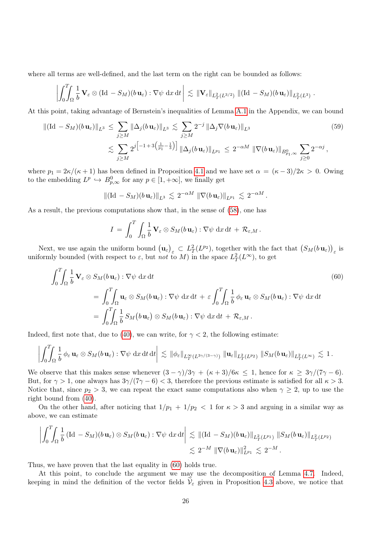where all terms are well-defined, and the last term on the right can be bounded as follows:

$$
\left|\int_0^T \int_{\Omega} \frac{1}{b} \mathbf{V}_{\varepsilon} \otimes (\mathrm{Id} - S_M)(b \,\mathbf{u}_{\varepsilon}) : \nabla \psi \, dx \, dt \,\right| \, \lesssim \, \|\mathbf{V}_{\varepsilon}\|_{L^2_T(L^{3/2})} \, \|(\mathrm{Id} - S_M)(b \,\mathbf{u}_{\varepsilon})\|_{L^2_T(L^3)} \, .
$$

At this point, taking advantage of Bernstein's inequalities of Lemma [A.1](#page-34-1) in the Appendix, we can bound

$$
\|(\mathrm{Id} - S_M)(b \mathbf{u}_{\varepsilon})\|_{L^3} \leq \sum_{j \geq M} \|\Delta_j(b \mathbf{u}_{\varepsilon})\|_{L^3} \lesssim \sum_{j \geq M} 2^{-j} \|\Delta_j \nabla(b \mathbf{u}_{\varepsilon})\|_{L^3}
$$
(59)  

$$
\lesssim \sum_{j \geq M} 2^j \Big[ -1 + 3\big(\frac{1}{p_1} - \frac{1}{3}\big) \Big] \|\Delta_j(b \mathbf{u}_{\varepsilon})\|_{L^{p_1}} \leq 2^{-\alpha M} \|\nabla(b \mathbf{u}_{\varepsilon})\|_{B^0_{p_1,\infty}} \sum_{j \geq 0} 2^{-\alpha j},
$$

where  $p_1 = 2\kappa/(\kappa + 1)$  has been defined in Proposition [4.1](#page-16-2) and we have set  $\alpha = (\kappa - 3)/2\kappa > 0$ . Owing to the embedding  $L^p \hookrightarrow B^0_{p,\infty}$  for any  $p \in [1, +\infty]$ , we finally get

<span id="page-25-1"></span>
$$
\|(\mathrm{Id} - S_M)(b\,\mathbf{u}_{\varepsilon})\|_{L^3} \, \lesssim \, 2^{-\alpha M} \, \|\nabla(b\,\mathbf{u}_{\varepsilon})\|_{L^{p_1}} \, \lesssim \, 2^{-\alpha M} \, .
$$

As a result, the previous computations show that, in the sense of [\(58\)](#page-24-2), one has

<span id="page-25-0"></span>
$$
I = \int_0^T \int_{\Omega} \frac{1}{b} \mathbf{V}_{\varepsilon} \otimes S_M(b \, \mathbf{u}_{\varepsilon}) : \nabla \psi \, dx \, dt + \mathcal{R}_{\varepsilon,M} \, .
$$

Next, we use again the uniform bound  $(\mathbf{u}_{\varepsilon})_{\varepsilon} \subset L^2_T(L^{p_2})$ , together with the fact that  $(S_M(b \mathbf{u}_{\varepsilon}))_{\varepsilon}$  is uniformly bounded (with respect to  $\varepsilon$ , but not to M) in the space  $L_T^2(L^{\infty})$ , to get

$$
\int_{0}^{T} \int_{\Omega} \frac{1}{b} \mathbf{V}_{\varepsilon} \otimes S_{M}(b \mathbf{u}_{\varepsilon}) : \nabla \psi \, dx \, dt
$$
\n
$$
= \int_{0}^{T} \int_{\Omega} \mathbf{u}_{\varepsilon} \otimes S_{M}(b \mathbf{u}_{\varepsilon}) : \nabla \psi \, dx \, dt + \varepsilon \int_{0}^{T} \int_{\Omega} \frac{1}{b} \phi_{\varepsilon} \mathbf{u}_{\varepsilon} \otimes S_{M}(b \mathbf{u}_{\varepsilon}) : \nabla \psi \, dx \, dt
$$
\n
$$
= \int_{0}^{T} \int_{\Omega} \frac{1}{b} S_{M}(b \mathbf{u}_{\varepsilon}) \otimes S_{M}(b \mathbf{u}_{\varepsilon}) : \nabla \psi \, dx \, dt + \mathcal{R}_{\varepsilon, M}.
$$
\n(60)

Indeed, first note that, due to [\(40\)](#page-15-1), we can write, for  $\gamma < 2$ , the following estimate:

$$
\left|\int_0^T \int_{\Omega} \frac{1}{b} \phi_{\varepsilon} \mathbf{u}_{\varepsilon} \otimes S_M(b \mathbf{u}_{\varepsilon}) : \nabla \psi \, dx \, dt \, dt \right| \lesssim \|\phi_{\varepsilon}\|_{L^{\infty}_T(L^{3\gamma/(3-\gamma)})} \| \mathbf{u}_{\varepsilon} \|_{L^2_T(L^{p_2})} \| S_M(b \mathbf{u}_{\varepsilon}) \|_{L^2_T(L^{\infty})} \lesssim 1.
$$

We observe that this makes sense whenever  $(3 - \gamma)/3\gamma + (\kappa + 3)/6\kappa \leq 1$ , hence for  $\kappa \geq 3\gamma/(7\gamma - 6)$ . But, for  $\gamma > 1$ , one always has  $3\gamma/(7\gamma - 6) < 3$ , therefore the previous estimate is satisfied for all  $\kappa > 3$ . Notice that, since  $p_2 > 3$ , we can repeat the exact same computations also when  $\gamma \geq 2$ , up to use the right bound from [\(40\)](#page-15-1).

On the other hand, after noticing that  $1/p_1 + 1/p_2 < 1$  for  $\kappa > 3$  and arguing in a similar way as above, we can estimate

$$
\left| \int_0^T \int_{\Omega} \frac{1}{b} \left( \mathrm{Id} - S_M \right) (b \, \mathbf{u}_{\varepsilon}) \otimes S_M (b \, \mathbf{u}_{\varepsilon}) : \nabla \psi \, \mathrm{d}x \, \mathrm{d}t \right| \lesssim \| (\mathrm{Id} - S_M)(b \, \mathbf{u}_{\varepsilon}) \|_{L^2_T(L^{p_1})} \, \| S_M (b \, \mathbf{u}_{\varepsilon}) \|_{L^2_T(L^{p_2})} \\ \lesssim 2^{-M} \, \| \nabla (b \, \mathbf{u}_{\varepsilon}) \|_{L^{p_1}}^2 \lesssim 2^{-M} \, .
$$

Thus, we have proven that the last equality in [\(60\)](#page-25-0) holds true.

At this point, to conclude the argument we may use the decomposition of Lemma [4.7.](#page-22-3) Indeed, keeping in mind the definition of the vector fields  $V_{\varepsilon}$  given in Proposition [4.3](#page-17-1) above, we notice that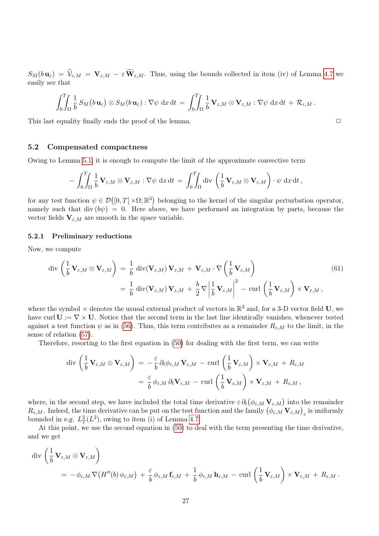$S_M(b\mathbf{u}_{\varepsilon}) = \widetilde{\mathcal{V}}_{\varepsilon,M} = \mathbf{V}_{\varepsilon,M} - \varepsilon \widetilde{\mathbf{W}}_{\varepsilon,M}.$  Thus, using the bounds collected in item (iv) of Lemma [4.7](#page-22-3) we easily see that

$$
\int_0^T \int_{\Omega} \frac{1}{b} S_M(b \mathbf{u}_{\varepsilon}) \otimes S_M(b \mathbf{u}_{\varepsilon}) : \nabla \psi \, dx \, dt = \int_0^T \int_{\Omega} \frac{1}{b} \mathbf{V}_{\varepsilon,M} \otimes \mathbf{V}_{\varepsilon,M} : \nabla \psi \, dx \, dt + \mathcal{R}_{\varepsilon,M}.
$$

This last equality finally ends the proof of the lemma.

#### <span id="page-26-0"></span>5.2 Compensated compactness

Owing to Lemma [5.1,](#page-24-3) it is enough to compute the limit of the approximate convective term

$$
- \int_0^T \int_{\Omega} \frac{1}{b} \mathbf{V}_{\varepsilon,M} \otimes \mathbf{V}_{\varepsilon,M} : \nabla \psi \, dx \, dt = \int_0^T \int_{\Omega} \mathrm{div} \, \left( \frac{1}{b} \mathbf{V}_{\varepsilon,M} \otimes \mathbf{V}_{\varepsilon,M} \right) \cdot \psi \, dx \, dt,
$$

for any test function  $\psi \in \mathcal{D}([0,T] \times \Omega;\mathbb{R}^3)$  belonging to the kernel of the singular perturbation operator, namely such that div  $(b\psi) = 0$ . Here above, we have performed an integration by parts, because the vector fields  $V_{\varepsilon,M}$  are smooth in the space variable.

#### 5.2.1 Preliminary reductions

Now, we compute

$$
\operatorname{div}\left(\frac{1}{b}\mathbf{V}_{\varepsilon,M}\otimes\mathbf{V}_{\varepsilon,M}\right) = \frac{1}{b}\operatorname{div}(\mathbf{V}_{\varepsilon,M})\mathbf{V}_{\varepsilon,M} + \mathbf{V}_{\varepsilon,M}\cdot\nabla\left(\frac{1}{b}\mathbf{V}_{\varepsilon,M}\right)
$$
\n
$$
= \frac{1}{b}\operatorname{div}(\mathbf{V}_{\varepsilon,M})\mathbf{V}_{\varepsilon,M} + \frac{b}{2}\nabla\left|\frac{1}{b}\mathbf{V}_{\varepsilon,M}\right|^2 - \operatorname{curl}\left(\frac{1}{b}\mathbf{V}_{\varepsilon,M}\right) \times \mathbf{V}_{\varepsilon,M},
$$
\n(61)

where the symbol  $\times$  denotes the ususal external product of vectors in  $\mathbb{R}^3$  and, for a 3-D vector field U, we have curl  $U := \nabla \times U$ . Notice that the second term in the last line identically vanishes, whenever tested against a test function  $\psi$  as in [\(56\)](#page-24-1). Thus, this term contributes as a remainder  $R_{\varepsilon,M}$  to the limit, in the sense of relation [\(57\)](#page-24-4).

Therefore, resorting to the first equation in [\(50\)](#page-22-4) for dealing with the first term, we can write

$$
\begin{split} \operatorname{div} \left( \frac{1}{b} \, \mathbf{V}_{\varepsilon,M} \otimes \mathbf{V}_{\varepsilon,M} \right) &= -\frac{\varepsilon}{b} \, \partial_t \phi_{\varepsilon,M} \, \mathbf{V}_{\varepsilon,M} - \operatorname{curl} \left( \frac{1}{b} \, \mathbf{V}_{\varepsilon,M} \right) \times \mathbf{V}_{\varepsilon,M} + R_{\varepsilon,M} \\ &= \frac{\varepsilon}{b} \, \phi_{\varepsilon,M} \, \partial_t \mathbf{V}_{\varepsilon,M} - \operatorname{curl} \left( \frac{1}{b} \, \mathbf{V}_{\varepsilon,M} \right) \times \mathbf{V}_{\varepsilon,M} + R_{\varepsilon,M} \,, \end{split}
$$

where, in the second step, we have included the total time derivative  $\varepsilon \partial_t (\phi_{\varepsilon,M} \mathbf{V}_{\varepsilon,M})$  into the remainder  $R_{\varepsilon,M}$ . Indeed, the time derivative can be put on the test function and the family  $(\phi_{\varepsilon,M} \mathbf{V}_{\varepsilon,M})_\varepsilon$  is uniformly bounded in e.g.  $L_T^2(L^2)$ , owing to item (i) of Lemma [4.7.](#page-22-3)

At this point, we use the second equation in [\(50\)](#page-22-4) to deal with the term presenting the time derivative, and we get

$$
\operatorname{div}\left(\frac{1}{b}\mathbf{V}_{\varepsilon,M}\otimes\mathbf{V}_{\varepsilon,M}\right)
$$
  
=  $-\phi_{\varepsilon,M}\nabla\big(H''(b)\,\phi_{\varepsilon,M}\big) + \frac{\varepsilon}{b}\,\phi_{\varepsilon,M}\,\mathbf{f}_{\varepsilon,M} + \frac{1}{b}\,\phi_{\varepsilon,M}\,\mathbf{h}_{\varepsilon,M} - \operatorname{curl}\left(\frac{1}{b}\mathbf{V}_{\varepsilon,M}\right) \times \mathbf{V}_{\varepsilon,M} + R_{\varepsilon,M}.$ 

<span id="page-26-1"></span>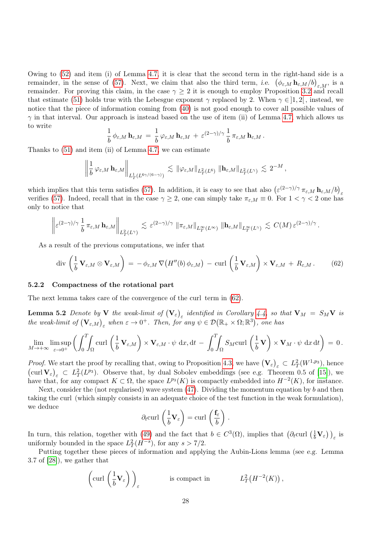Owing to [\(52\)](#page-22-5) and item (i) of Lemma [4.7,](#page-22-3) it is clear that the second term in the right-hand side is a remainder, in the sense of [\(57\)](#page-24-4). Next, we claim that also the third term, *i.e.*  $(\phi_{\varepsilon,M} h_{\varepsilon,M}/b)_{\varepsilon,M}$ , is a remainder. For proving this claim, in the case  $\gamma \geq 2$  it is enough to employ Proposition [3.2](#page-14-2) and recall that estimate [\(51\)](#page-22-1) holds true with the Lebesgue exponent  $\gamma$  replaced by 2. When  $\gamma \in ]1,2[$ , instead, we notice that the piece of information coming from [\(40\)](#page-15-1) is not good enough to cover all possible values of  $\gamma$  in that interval. Our approach is instead based on the use of item (ii) of Lemma [4.7,](#page-22-3) which allows us to write

$$
\frac{1}{b} \phi_{\varepsilon,M} \mathbf{h}_{\varepsilon,M} = \frac{1}{b} \varphi_{\varepsilon,M} \mathbf{h}_{\varepsilon,M} + \varepsilon^{(2-\gamma)/\gamma} \frac{1}{b} \pi_{\varepsilon,M} \mathbf{h}_{\varepsilon,M}.
$$

Thanks to [\(51\)](#page-22-1) and item (ii) of Lemma [4.7,](#page-22-3) we can estimate

$$
\left\|\frac{1}{b}\,\varphi_{\varepsilon,M}\,\mathbf{h}_{\varepsilon,M}\right\|_{L^1_T(L^{6\gamma/(6-\gamma)})} \, \lesssim \, \|\varphi_{\varepsilon,M}\|_{L^2_T(L^6)}\,\left\|\mathbf{h}_{\varepsilon,M}\right\|_{L^2_T(L^\gamma)} \, \lesssim \, 2^{-M}\,,
$$

which implies that this term satisfies [\(57\)](#page-24-4). In addition, it is easy to see that also  $(\varepsilon^{(2-\gamma)/\gamma} \pi_{\varepsilon, M} \mathbf{h}_{\varepsilon, M} / b)_{\varepsilon}$ verifies [\(57\)](#page-24-4). Indeed, recall that in the case  $\gamma \geq 2$ , one can simply take  $\pi_{\varepsilon,M} \equiv 0$ . For  $1 < \gamma < 2$  one has only to notice that

$$
\left\|\varepsilon^{(2-\gamma)/\gamma}\, \frac{1}{b}\, \pi_{\varepsilon,M}\, \mathbf{h}_{\varepsilon,M}\right\|_{L^2_T(L^\gamma)} \, \lesssim \, \varepsilon^{(2-\gamma)/\gamma}\, \left\|\pi_{\varepsilon,M}\right\|_{L^\infty_T(L^\infty)} \, \left\|\mathbf{h}_{\varepsilon,M}\right\|_{L^\infty_T(L^\gamma)} \, \lesssim \, C(M) \, \varepsilon^{(2-\gamma)/\gamma}\, .
$$

As a result of the previous computations, we infer that

<span id="page-27-0"></span>
$$
\operatorname{div}\left(\frac{1}{b}\mathbf{V}_{\varepsilon,M}\otimes\mathbf{V}_{\varepsilon,M}\right)=-\phi_{\varepsilon,M}\nabla\big(H''(b)\,\phi_{\varepsilon,M}\big)-\operatorname{curl}\left(\frac{1}{b}\mathbf{V}_{\varepsilon,M}\right)\times\mathbf{V}_{\varepsilon,M}+R_{\varepsilon,M}.\qquad(62)
$$

#### 5.2.2 Compactness of the rotational part

<span id="page-27-1"></span>The next lemma takes care of the convergence of the curl term in [\(62\)](#page-27-0).

**Lemma 5.2** Denote by **V** the weak-limit of  $(\mathbf{V}_{\varepsilon})_{\varepsilon}$  identified in Corollary [4.4,](#page-19-1) so that  $\mathbf{V}_M = S_M \mathbf{V}$  is the weak-limit of  $(\mathbf{V}_{\varepsilon,M})_{\varepsilon}$  when  $\varepsilon \to 0^+$ . Then, for any  $\psi \in \mathcal{D}(\mathbb{R}_+ \times \Omega;\mathbb{R}^3)$ , one has

$$
\lim_{M \to +\infty} \limsup_{\varepsilon \to 0^+} \left( \int_0^T \int_{\Omega} \text{curl} \left( \frac{1}{b} \mathbf{V}_{\varepsilon,M} \right) \times \mathbf{V}_{\varepsilon,M} \cdot \psi \, dx, dt - \int_0^T \int_{\Omega} S_M \text{curl} \left( \frac{1}{b} \mathbf{V} \right) \times \mathbf{V}_M \cdot \psi \, dx dt \right) = 0.
$$

*Proof.* We start the proof by recalling that, owing to Proposition [4.3,](#page-17-1) we have  $(\mathbf{V}_{\varepsilon})_{\varepsilon} \subset L_T^2(W^{1,p_3})$ , hence  $(\text{curl } \mathbf{V}_{\varepsilon})_{\varepsilon} \subset L_T^2(L^{p_3})$ . Observe that, by dual Sobolev embeddings (see e.g. Theorem 0.5 of [\[15\]](#page-36-6)), we have that, for any compact  $K \subset \Omega$ , the space  $L^{p_3}(K)$  is compactly embedded into  $H^{-2}(K)$ , for instance.

Next, consider the (not regularised) wave system  $(47)$ . Dividing the momentum equation by b and then taking the curl (which simply consists in an adequate choice of the test function in the weak formulation), we deduce

$$
\partial_t \operatorname{curl} \left( \frac{1}{b} \mathbf{V}_{\varepsilon} \right) = \operatorname{curl} \left( \frac{\mathbf{f}_{\varepsilon}}{b} \right) .
$$

In turn, this relation, together with [\(49\)](#page-22-2) and the fact that  $b \in C^3(\Omega)$ , implies that  $(\partial_t \text{curl} (\frac{1}{b} \mathbf{V}_{\varepsilon}))_{\varepsilon}$  is uniformly bounded in the space  $L_T^2(H^{-s})$ , for any  $s > 7/2$ .

Putting together these pieces of information and applying the Aubin-Lions lemma (see e.g. Lemma 3.7 of [\[28\]](#page-37-3)), we gather that

$$
\left(\text{curl}\left(\frac{1}{b}\mathbf{V}_{\varepsilon}\right)\right)_{\varepsilon}
$$
 is compact in  $L_T^2(H^{-2}(K))$ ,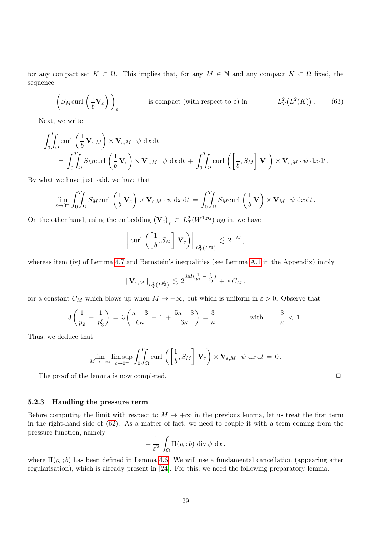for any compact set  $K \subset \Omega$ . This implies that, for any  $M \in \mathbb{N}$  and any compact  $K \subset \Omega$  fixed, the sequence

$$
\left(S_M \text{curl}\left(\frac{1}{b}\mathbf{V}_{\varepsilon}\right)\right)_{\varepsilon} \qquad \qquad \text{is compact (with respect to } \varepsilon) \text{ in} \qquad L^2_T\big(L^2(K)\big). \tag{63}
$$

Next, we write

$$
\int_0^T \int_{\Omega} \text{curl} \left( \frac{1}{b} \mathbf{V}_{\varepsilon,M} \right) \times \mathbf{V}_{\varepsilon,M} \cdot \psi \, \mathrm{d}x \, \mathrm{d}t \n= \int_0^T \int_{\Omega} S_M \text{curl} \left( \frac{1}{b} \mathbf{V}_{\varepsilon} \right) \times \mathbf{V}_{\varepsilon,M} \cdot \psi \, \mathrm{d}x \, \mathrm{d}t + \int_0^T \int_{\Omega} \text{curl} \left( \left[ \frac{1}{b}, S_M \right] \mathbf{V}_{\varepsilon} \right) \times \mathbf{V}_{\varepsilon,M} \cdot \psi \, \mathrm{d}x \, \mathrm{d}t.
$$

By what we have just said, we have that

$$
\lim_{\varepsilon \to 0^+} \int_0^T \int_{\Omega} S_M \text{curl} \left( \frac{1}{b} \mathbf{V}_{\varepsilon} \right) \times \mathbf{V}_{\varepsilon,M} \cdot \psi \, \mathrm{d}x \, \mathrm{d}t = \int_0^T \int_{\Omega} S_M \text{curl} \left( \frac{1}{b} \mathbf{V} \right) \times \mathbf{V}_M \cdot \psi \, \mathrm{d}x \, \mathrm{d}t.
$$

On the other hand, using the embedding  $(\mathbf{V}_{\varepsilon})_{\varepsilon} \subset L_T^2(W^{1,p_3})$  again, we have

$$
\left\|\operatorname{curl}\left(\left[\frac{1}{b},S_M\right]\mathbf{V}_{\varepsilon}\right)\right\|_{L^2_T(L^{p_3})}\lesssim 2^{-M},
$$

whereas item (iv) of Lemma [4.7](#page-22-3) and Bernstein's inequalities (see Lemma [A.1](#page-34-1) in the Appendix) imply

$$
\| \mathbf{V}_{\varepsilon,M} \|_{L^2_T(L^{p_3'})} \, \lesssim \, 2^{3M(\frac{1}{p_2} - \frac{1}{p_3'})} + \, \varepsilon \, C_M \, ,
$$

for a constant  $C_M$  which blows up when  $M \to +\infty$ , but which is uniform in  $\varepsilon > 0$ . Observe that

$$
3\left(\frac{1}{p_2}-\frac{1}{p'_3}\right)=3\left(\frac{\kappa+3}{6\kappa}-1+\frac{5\kappa+3}{6\kappa}\right)=\frac{3}{\kappa},\qquad\text{with}\qquad\frac{3}{\kappa}<1.
$$

Thus, we deduce that

$$
\lim_{M \to +\infty} \limsup_{\varepsilon \to 0^+} \int_0^T \int_{\Omega} \text{curl}\left(\left[\frac{1}{b}, S_M\right] \mathbf{V}_{\varepsilon}\right) \times \mathbf{V}_{\varepsilon, M} \cdot \psi \, \mathrm{d}x \, \mathrm{d}t = 0.
$$

The proof of the lemma is now completed.  $\Box$ 

#### 5.2.3 Handling the pressure term

Before computing the limit with respect to  $M \to +\infty$  in the previous lemma, let us treat the first term in the right-hand side of [\(62\)](#page-27-0). As a matter of fact, we need to couple it with a term coming from the pressure function, namely

$$
-\frac{1}{\varepsilon^2}\int_{\Omega} \Pi(\varrho_{\varepsilon};b)\,\operatorname{div}\psi\,\mathrm{d}x\,,
$$

<span id="page-28-0"></span>where  $\Pi(\varrho_{\varepsilon};b)$  has been defined in Lemma [4.6.](#page-19-4) We will use a fundamental cancellation (appearing after regularisation), which is already present in [\[24\]](#page-36-4). For this, we need the following preparatory lemma.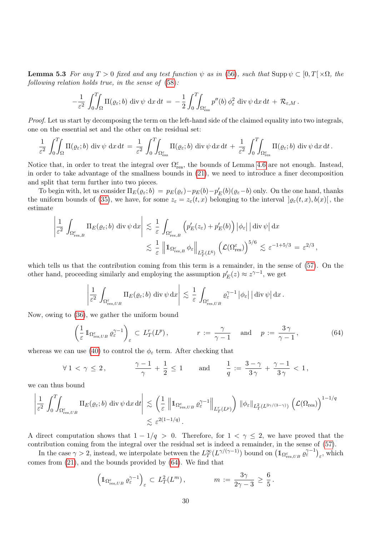**Lemma 5.3** For any  $T > 0$  fixed and any test function  $\psi$  as in [\(56\)](#page-24-1), such that Supp  $\psi \subset [0, T] \times \Omega$ , the following relation holds true, in the sense of [\(58\)](#page-24-2):

$$
-\frac{1}{\varepsilon^2} \int_0^T \int_{\Omega} \Pi(\varrho_{\varepsilon};b) \, \text{div}\,\psi \, \text{d}x \, \text{d}t = -\frac{1}{2} \int_0^T \int_{\Omega_{\text{ess}}^{\varepsilon}} p''(b) \, \phi_{\varepsilon}^2 \, \text{div}\,\psi \, \text{d}x \, \text{d}t + \mathcal{R}_{\varepsilon,M}.
$$

Proof. Let us start by decomposing the term on the left-hand side of the claimed equality into two integrals, one on the essential set and the other on the residual set:

$$
\frac{1}{\varepsilon^2} \int_0^T \!\!\!\int_{\Omega} \Pi(\varrho_{\varepsilon};b) \, \mathrm{div} \, \psi \, \mathrm{d}x \, \mathrm{d}t = \frac{1}{\varepsilon^2} \int_0^T \!\!\!\int_{\Omega_{\text{ess}}^{\varepsilon}} \Pi(\varrho_{\varepsilon};b) \, \mathrm{div} \, \psi \, \mathrm{d}x \, \mathrm{d}t + \frac{1}{\varepsilon^2} \int_0^T \!\!\!\int_{\Omega_{\text{res}}^{\varepsilon}} \Pi(\varrho_{\varepsilon};b) \, \mathrm{div} \, \psi \, \mathrm{d}x \, \mathrm{d}t.
$$

Notice that, in order to treat the integral over  $\Omega_{\text{res}}^{\varepsilon}$ , the bounds of Lemma [4.6](#page-19-4) are not enough. Instead, in order to take advantage of the smallness bounds in [\(21\)](#page-8-1), we need to introduce a finer decomposition and split that term further into two pieces.

To begin with, let us consider  $\Pi_E(\varrho_\varepsilon; b) = p_E(\varrho_\varepsilon) - p_E(b) - p_E'(b)(\varrho_\varepsilon - b)$  only. On the one hand, thanks the uniform bounds of [\(35\)](#page-14-0), we have, for some  $z_{\varepsilon} = z_{\varepsilon}(t, x)$  belonging to the interval  $\left[ \varrho_{\varepsilon}(t, x), b(x) \right]$ , the estimate

$$
\left| \frac{1}{\varepsilon^2} \int_{\Omega_{\text{res},B}^{\varepsilon}} \Pi_E(\varrho_{\varepsilon}; b) \operatorname{div} \psi \operatorname{d} x \right| \lesssim \frac{1}{\varepsilon} \int_{\Omega_{\text{res},B}^{\varepsilon}} \left( p_E'(z_{\varepsilon}) + p_E'(b) \right) \left| \phi_{\varepsilon} \right| \left| \operatorname{div} \psi \right| \operatorname{d} x \lesssim \frac{1}{\varepsilon} \left\| \operatorname{1}_{\Omega_{\text{res},B}^{\varepsilon}} \phi_{\varepsilon} \right\|_{L_T^2(L^6)} \left( \mathcal{L}(\Omega_{\text{res}}^{\varepsilon}) \right)^{5/6} \lesssim \varepsilon^{-1+5/3} = \varepsilon^{2/3},
$$

which tells us that the contribution coming from this term is a remainder, in the sense of [\(57\)](#page-24-4). On the other hand, proceeding similarly and employing the assumption  $p'_E(z) \approx z^{\gamma-1}$ , we get

$$
\left|\frac{1}{\varepsilon^2} \int_{\Omega_{\mathrm{res},UB}^\varepsilon} \Pi_E(\varrho_\varepsilon; b) \, \mathrm{div} \, \psi \, \mathrm{d}x \right| \, \lesssim \, \frac{1}{\varepsilon} \int_{\Omega_{\mathrm{res},UB}^\varepsilon} \varrho_\varepsilon^{\gamma-1} \, |\phi_\varepsilon| \, |\operatorname{div} \psi| \, \mathrm{d}x \, .
$$

Now, owing to [\(36\)](#page-14-1), we gather the uniform bound

<span id="page-29-0"></span>
$$
\left(\frac{1}{\varepsilon}\mathbb{1}_{\Omega_{\text{res},UB}^{\varepsilon}}\varrho_{\varepsilon}^{\gamma-1}\right)_{\varepsilon} \subset L_T^r(L^p), \qquad r := \frac{\gamma}{\gamma - 1} \quad \text{and} \quad p := \frac{3\gamma}{\gamma - 1}, \tag{64}
$$

whereas we can use [\(40\)](#page-15-1) to control the  $\phi_{\varepsilon}$  term. After checking that

$$
\forall\,1<\gamma\,\leq\,2\,,\qquad\qquad\frac{\gamma-1}{\gamma}\,+\,\frac{1}{2}\,\leq\,1\qquad\text{and}\qquad\frac{1}{q}\,:=\,\frac{3-\gamma}{3\,\gamma}\,+\,\frac{\gamma-1}{3\,\gamma}\,<\,1\,,
$$

we can thus bound

$$
\left|\frac{1}{\varepsilon^2} \int_0^T \int_{\Omega_{\text{res},UB}^{\varepsilon}} \Pi_E(\varrho_{\varepsilon};b) \operatorname{div} \psi \operatorname{dx} \operatorname{dt} \right| \lesssim \left(\frac{1}{\varepsilon} \left\|1_{\Omega_{\text{res},UB}^{\varepsilon}} \varrho_{\varepsilon}^{\gamma-1}\right\|_{L^r_T(L^p)}\right) \|\phi_{\varepsilon}\|_{L^2_T(L^{3\gamma/(3-\gamma)})} \left(\mathcal{L}(\Omega_{\text{res}})\right)^{1-1/q} \lesssim \varepsilon^{2(1-1/q)}.
$$

A direct computation shows that  $1 - 1/q > 0$ . Therefore, for  $1 < \gamma \leq 2$ , we have proved that the contribution coming from the integral over the residual set is indeed a remainder, in the sense of [\(57\)](#page-24-4).

In the case  $\gamma > 2$ , instead, we interpolate between the  $L^{\infty}_T(L^{\gamma/(\gamma-1)})$  bound on  $(\mathbb{1}_{\Omega_{\text{res},UB}^{\varepsilon}} \varrho_{\varepsilon}^{\gamma-1})_{\varepsilon}$ , which comes from [\(21\)](#page-8-1), and the bounds provided by [\(64\)](#page-29-0). We find that

$$
\left(\mathbb{1}_{\Omega_{\mathrm{res},UB}^{\varepsilon}} \varrho_{\varepsilon}^{\gamma-1}\right)_{\varepsilon} \subset L_T^2(L^m), \qquad m := \frac{3\gamma}{2\gamma - 3} \ge \frac{6}{5}.
$$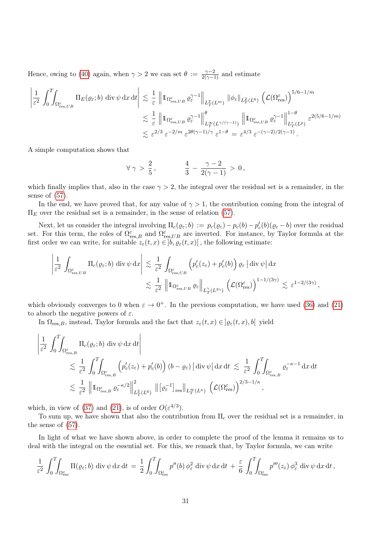Hence, owing to [\(40\)](#page-15-1) again, when  $\gamma > 2$  we can set  $\theta := \frac{\gamma - 2}{2(\gamma - 1)}$  and estimate

$$
\left| \frac{1}{\varepsilon^2} \int_0^T \int_{\Omega_{\text{res},UB}^{\varepsilon}} \Pi_E(\varrho_{\varepsilon}; b) \operatorname{div} \psi \operatorname{dx} dt \right| \lesssim \frac{1}{\varepsilon} \left\| 1_{\Omega_{\text{res},UB}^{\varepsilon}} \varrho_{\varepsilon}^{\gamma-1} \right\|_{L_T^2(L^m)} \|\phi_{\varepsilon}\|_{L_T^2(L^6)} \left( \mathcal{L}(\Omega_{\text{res}}^{\varepsilon}) \right)^{5/6 - 1/m} \lesssim \frac{1}{\varepsilon} \left\| 1_{\Omega_{\text{res},UB}^{\varepsilon}} \varrho_{\varepsilon}^{\gamma-1} \right\|_{L_T^\infty(L^{\gamma/(\gamma-1)})}^{\theta} \left\| 1_{\Omega_{\text{res},UB}^{\varepsilon}} \varrho_{\varepsilon}^{\gamma-1} \right\|_{L_T^r(L^p)}^{1-\theta} \varepsilon^{2(5/6 - 1/m)} \lesssim \varepsilon^{2/3} \varepsilon^{-2/m} \varepsilon^{2\theta(\gamma-1)/\gamma} \varepsilon^{1-\theta} = \varepsilon^{4/3} \varepsilon^{-(\gamma-2)/2(\gamma-1)}.
$$

A simple computation shows that

$$
\forall \gamma > \frac{2}{5}, \qquad \qquad \frac{4}{3} - \frac{\gamma - 2}{2(\gamma - 1)} > 0,
$$

which finally implies that, also in the case  $\gamma > 2$ , the integral over the residual set is a remainder, in the sense of [\(57\)](#page-24-4).

In the end, we have proved that, for any value of  $\gamma > 1$ , the contribution coming from the integral of  $\Pi_E$  over the residual set is a remainder, in the sense of relation [\(57\)](#page-24-4).

Next, let us consider the integral involving  $\Pi_c(\varrho_\varepsilon; b) := p_c(\varrho_\varepsilon) - p_c(b) - p_c'(b)(\varrho_\varepsilon - b)$  over the residual set. For this term, the roles of  $\Omega_{res,B}^{\varepsilon}$  and  $\Omega_{res,UB}^{\varepsilon}$  are inverted. For instance, by Taylor formula at the first order we can write, for suitable  $z_{\varepsilon}(t, x) \in ]b, \varrho_{\varepsilon}(t, x)]$ , the following estimate:

$$
\left| \frac{1}{\varepsilon^2} \int_{\Omega_{\text{res},UB}^{\varepsilon}} \Pi_c(\varrho_{\varepsilon}; b) \operatorname{div} \psi \, dx \right| \lesssim \frac{1}{\varepsilon^2} \int_{\Omega_{\text{res},UB}^{\varepsilon}} \left( p_c'(z_{\varepsilon}) + p_c'(b) \right) \varrho_{\varepsilon} \left| \operatorname{div} \psi \right| dx
$$
  

$$
\lesssim \frac{1}{\varepsilon^2} \left\| 1_{\Omega_{\text{res},UB}^{\varepsilon}} \varrho_{\varepsilon} \right\|_{L_T^{\gamma}(L^{3\gamma})} \left( \mathcal{L}(\Omega_{\text{res}}^{\varepsilon}) \right)^{1 - 1/(3\gamma)} \lesssim \varepsilon^{1 - 2/(3\gamma)},
$$

which obviously converges to 0 when  $\varepsilon \to 0^+$ . In the previous computation, we have used [\(36\)](#page-14-1) and [\(21\)](#page-8-1) to absorb the negative powers of  $\varepsilon$ .

In  $\Omega_{res,B}$ , instead, Taylor formula and the fact that  $z_{\varepsilon}(t,x) \in ]\varrho_{\varepsilon}(t,x), b[$  yield

$$
\left| \frac{1}{\varepsilon^2} \int_0^T \int_{\Omega_{\text{res},B}^{\varepsilon}} \Pi_c(\varrho_{\varepsilon}; b) \operatorname{div} \psi \, dx \, dt \right|
$$
\n
$$
\lesssim \frac{1}{\varepsilon^2} \int_0^T \int_{\Omega_{\text{res},B}^{\varepsilon}} \left( p_c'(z_{\varepsilon}) + p_c'(b) \right) (b - \varrho_{\varepsilon}) \left| \operatorname{div} \psi \right| dx \, dt \lesssim \frac{1}{\varepsilon^2} \int_0^T \int_{\Omega_{\text{res},B}^{\varepsilon}} \varrho_{\varepsilon}^{-\kappa - 1} \, dx \, dt
$$
\n
$$
\lesssim \frac{1}{\varepsilon^2} \left\| \left\| \Omega_{\text{res},B}^{\varepsilon} \varrho_{\varepsilon}^{-\kappa/2} \right\|_{L_T^2(L^6)}^2 \left\| [\varrho_{\varepsilon}^{-1}]_{\text{res}} \right\|_{L_T^{\infty}(L^{\kappa})} \left( \mathcal{L}(\Omega_{\text{res}}^{\varepsilon}) \right)^{2/3 - 1/\kappa},
$$

which, in view of [\(37\)](#page-14-3) and [\(21\)](#page-8-1), is of order  $O(\varepsilon^{4/3})$ .

To sum up, we have shown that also the contribution from  $\Pi_c$  over the residual set is a remainder, in the sense of [\(57\)](#page-24-4).

In light of what we have shown above, in order to complete the proof of the lemma it remains us to deal with the integral on the essential set. For this, we remark that, by Taylor formula, we can write

$$
\frac{1}{\varepsilon^2} \int_0^T \!\!\! \int_{\Omega_{\text{ess}}^{\varepsilon}} \Pi(\varrho_{\varepsilon}; b) \, \text{div}\,\psi \, \text{d}x \, \text{d}t = \frac{1}{2} \int_0^T \!\!\! \int_{\Omega_{\text{ess}}^{\varepsilon}} p''(b) \, \phi_{\varepsilon}^2 \, \text{div}\,\psi \, \text{d}x \, \text{d}t + \frac{\varepsilon}{6} \int_0^T \!\!\! \int_{\Omega_{\text{ess}}^{\varepsilon}} p'''(z_{\varepsilon}) \, \phi_{\varepsilon}^3 \, \text{div}\,\psi \, \text{d}x \, \text{d}t \, ,
$$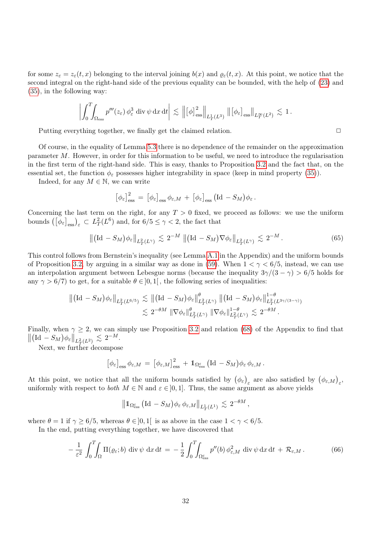for some  $z_{\varepsilon} = z_{\varepsilon}(t, x)$  belonging to the interval joining  $b(x)$  and  $\varrho_{\varepsilon}(t, x)$ . At this point, we notice that the second integral on the right-hand side of the previous equality can be bounded, with the help of [\(23\)](#page-8-2) and [\(35\)](#page-14-0), in the following way:

$$
\left| \int_0^T \!\!\! \int_{\Omega_{\rm ess}} p'''(z_\varepsilon) \, \phi_\varepsilon^3 \, \hbox{div} \, \psi \, \hbox{d} x \, \hbox{d} t \right| \lesssim \left\| \left[ \phi \right]_{\rm ess}^2 \right\|_{L^1_T(L^3)} \left\| \left[ \phi_\varepsilon \right]_{\rm ess} \right\|_{L^\infty_T(L^2)} \lesssim 1 \, .
$$

Putting everything together, we finally get the claimed relation.  $\Box$ 

Of course, in the equality of Lemma [5.3](#page-28-0) there is no dependence of the remainder on the approximation parameter M. However, in order for this information to be useful, we need to introduce the regularisation in the first term of the right-hand side. This is easy, thanks to Proposition [3.2](#page-14-2) and the fact that, on the essential set, the function  $\phi_{\varepsilon}$  possesses higher integrability in space (keep in mind property [\(35\)](#page-14-0)).

Indeed, for any  $M \in \mathbb{N}$ , we can write

$$
[\phi_{\varepsilon}]_{\text{ess}}^2 = [\phi_{\varepsilon}]_{\text{ess}} \phi_{\varepsilon, M} + [\phi_{\varepsilon}]_{\text{ess}} (Id - S_M) \phi_{\varepsilon}.
$$

Concerning the last term on the right, for any  $T > 0$  fixed, we proceed as follows: we use the uniform bounds  $\left( \left[ \phi_{\varepsilon} \right]_{\text{ess}} \right)_{\varepsilon} \subset L_T^2(L^6)$  and, for  $6/5 \le \gamma < 2$ , the fact that

$$
\left\| \left( \mathrm{Id} - S_M \right) \phi_{\varepsilon} \right\|_{L^2_T(L^{\gamma})} \lesssim 2^{-M} \left\| \left( \mathrm{Id} - S_M \right) \nabla \phi_{\varepsilon} \right\|_{L^2_T(L^{\gamma})} \lesssim 2^{-M} \,. \tag{65}
$$

This control follows from Bernstein's inequality (see Lemma [A.1](#page-34-1) in the Appendix) and the uniform bounds of Proposition [3.2,](#page-14-2) by arguing in a similar way as done in [\(59\)](#page-25-1). When  $1 < \gamma < 6/5$ , instead, we can use an interpolation argument between Lebesgue norms (because the inequality  $3\gamma/(3-\gamma) > 6/5$  holds for any  $\gamma > 6/7$  to get, for a suitable  $\theta \in ]0,1[$ , the following series of inequalities:

$$
\begin{aligned} \left\| \left( \mathrm{Id} - S_M \right) \phi_{\varepsilon} \right\|_{L^2_T(L^{6/5})} &\lesssim \left\| \left( \mathrm{Id} - S_M \right) \phi_{\varepsilon} \right\|_{L^2_T(L^{\gamma})}^{\theta} \left\| \left( \mathrm{Id} - S_M \right) \phi_{\varepsilon} \right\|_{L^2_T(L^{3\gamma/(3-\gamma)})}^{1-\theta} \\ &\lesssim 2^{-\theta M} \left\| \nabla \phi_{\varepsilon} \right\|_{L^2_T(L^{\gamma})}^{\theta} \left\| \nabla \phi_{\varepsilon} \right\|_{L^2_T(L^{\gamma})}^{1-\theta} &\lesssim 2^{-\theta M} \,. \end{aligned}
$$

Finally, when  $\gamma \geq 2$ , we can simply use Proposition [3.2](#page-14-2) and relation [\(68\)](#page-35-4) of the Appendix to find that  $\left\| (\mathrm{Id} - S_M) \phi_{\varepsilon} \right\|_{L^2_T(L^2)} \lesssim 2^{-M}.$ 

Next, we further decompose

$$
\left[\phi_{\varepsilon}\right]_{\text{ess}}\phi_{\varepsilon,M} = \left[\phi_{\varepsilon,M}\right]_{\text{ess}}^2 + \mathbb{1}_{\Omega_{\text{ess}}^{\varepsilon}}\left(\text{Id} - S_M\right)\phi_{\varepsilon}\phi_{\varepsilon,M}.
$$

At this point, we notice that all the uniform bounds satisfied by  $(\phi_{\varepsilon})_{\varepsilon}$  are also satisfied by  $(\phi_{\varepsilon,M})_{\varepsilon}$ , uniformly with respect to *both*  $M \in \mathbb{N}$  and  $\varepsilon \in ]0,1]$ . Thus, the same argument as above yields

$$
\left\|1\!\!1_{\Omega^\varepsilon_\mathrm{ess}}\left(\mathrm{Id}\, -S_M\right)\!\phi_\varepsilon\,\phi_{\varepsilon,M}\right\|_{L^1_T(L^1)}\,\lesssim\, 2^{-\theta M}\,,
$$

where  $\theta = 1$  if  $\gamma \ge 6/5$ , whereas  $\theta \in ]0,1[$  is as above in the case  $1 < \gamma < 6/5$ .

In the end, putting everything together, we have discovered that

<span id="page-31-0"></span>
$$
-\frac{1}{\varepsilon^2} \int_0^T \int_{\Omega} \Pi(\varrho_{\varepsilon}; b) \operatorname{div} \psi \, \mathrm{d}x \, \mathrm{d}t = -\frac{1}{2} \int_0^T \int_{\Omega_{\text{ess}}^{\varepsilon}} p''(b) \, \phi_{\varepsilon,M}^2 \operatorname{div} \psi \, \mathrm{d}x \, \mathrm{d}t + \mathcal{R}_{\varepsilon,M} \,. \tag{66}
$$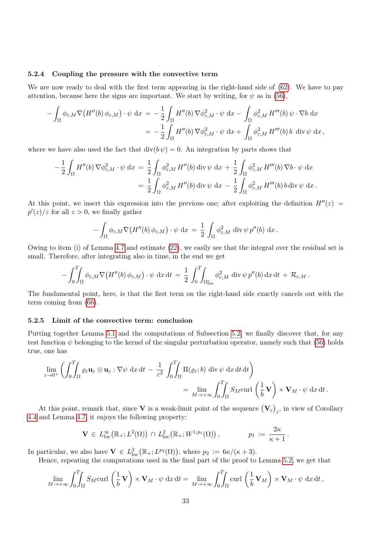#### 5.2.4 Coupling the pressure with the convective term

We are now ready to deal with the first term appearing in the right-hand side of  $(62)$ . We have to pay attention, because here the signs are important. We start by writing, for  $\psi$  as in [\(56\)](#page-24-1),

$$
- \int_{\Omega} \phi_{\varepsilon,M} \nabla \big( H''(b) \phi_{\varepsilon,M} \big) \cdot \psi \, dx = - \frac{1}{2} \int_{\Omega} H''(b) \nabla \phi_{\varepsilon,M}^2 \cdot \psi \, dx - \int_{\Omega} \phi_{\varepsilon,M}^2 H'''(b) \psi \cdot \nabla b \, dx
$$
  
= 
$$
- \frac{1}{2} \int_{\Omega} H''(b) \nabla \phi_{\varepsilon,M}^2 \cdot \psi \, dx + \int_{\Omega} \phi_{\varepsilon,M}^2 H'''(b) b \, \text{ div } \psi \, dx,
$$

where we have also used the fact that  $\text{div}(b \psi) = 0$ . An integration by parts shows that

$$
-\frac{1}{2}\int_{\Omega}H''(b)\nabla\phi_{\varepsilon,M}^2\cdot\psi\,dx = \frac{1}{2}\int_{\Omega}\phi_{\varepsilon,M}^2H''(b)\operatorname{div}\psi\,dx + \frac{1}{2}\int_{\Omega}\phi_{\varepsilon,M}^2H'''(b)\nabla b\cdot\psi\,dx = \frac{1}{2}\int_{\Omega}\phi_{\varepsilon,M}^2H''(b)\operatorname{div}\psi\,dx - \frac{1}{2}\int_{\Omega}\phi_{\varepsilon,M}^2H'''(b)\,b\operatorname{div}\psi\,dx.
$$

At this point, we insert this expression into the previous one; after exploiting the definition  $H''(z)$  =  $p'(z)/z$  for all  $z > 0$ , we finally gather

$$
-\int_{\Omega} \phi_{\varepsilon,M} \nabla \big( H''(b) \, \phi_{\varepsilon,M} \big) \cdot \psi \, dx = \frac{1}{2} \int_{\Omega} \phi_{\varepsilon,M}^2 \, \text{div} \, \psi \, p''(b) \, dx \, .
$$

Owing to item (i) of Lemma [4.7](#page-22-3) and estimate [\(22\)](#page-8-3), we easily see that the integral over the residual set is small. Therefore, after integrating also in time, in the end we get

$$
-\int_0^T\!\!\!\int_{\Omega}\phi_{\varepsilon,M}\nabla\big(H''(b)\,\phi_{\varepsilon,M}\big)\cdot\psi\,\mathrm{d}x\,\mathrm{d}t\,=\,\frac{1}{2}\,\int_0^T\!\!\!\int_{\Omega_{\text{ess}}^{\varepsilon}}\phi_{\varepsilon,M}^2\,\mathrm{div}\,\psi\,p''(b)\,\mathrm{d}x\,\mathrm{d}t\,+\,\mathcal{R}_{\varepsilon,M}\,.
$$

The fundamental point, here, is that the first term on the right-hand side exactly cancels out with the term coming from [\(66\)](#page-31-0).

#### 5.2.5 Limit of the convective term: conclusion

Putting together Lemma [5.1](#page-24-3) and the computations of Subsection [5.2,](#page-26-0) we finally discover that, for any test function  $\psi$  belonging to the kernel of the singular perturbation operator, namely such that [\(56\)](#page-24-1) holds true, one has

$$
\lim_{\varepsilon \to 0^+} \left( \int_0^T \int_{\Omega} \varrho_{\varepsilon} \mathbf{u}_{\varepsilon} \otimes \mathbf{u}_{\varepsilon} : \nabla \psi \, dx \, dt - \frac{1}{\varepsilon^2} \int_0^T \int_{\Omega} \Pi(\varrho_{\varepsilon}; b) \, \text{div} \, \psi \, dx \, dt \, dt \right) \n= \lim_{M \to +\infty} \int_0^T \int_{\Omega} S_M \text{curl} \left( \frac{1}{b} \mathbf{V} \right) \times \mathbf{V}_M \cdot \psi \, dx \, dt.
$$

At this point, remark that, since **V** is a weak-limit point of the sequence  $(\mathbf{V}_{\varepsilon})_{\varepsilon}$ , in view of Corollary [4.4](#page-19-1) and Lemma [4.7,](#page-22-3) it enjoys the following property:

$$
\mathbf{V} \in L^{\infty}_{\text{loc}}(\mathbb{R}_+; L^2(\Omega)) \cap L^2_{\text{loc}}(\mathbb{R}_+; W^{1,p_1}(\Omega)), \qquad p_1 := \frac{2\kappa}{\kappa+1}.
$$

In particular, we also have  $\mathbf{V} \in L^2_{\text{loc}}(\mathbb{R}_+; L^{p_2}(\Omega))$ , where  $p_2 := 6\kappa/(\kappa+3)$ .

Hence, repeating the computations used in the final part of the proof to Lemma [5.2,](#page-27-1) we get that

$$
\lim_{M \to +\infty} \int_0^T \int_{\Omega} S_M \text{curl} \left( \frac{1}{b} \mathbf{V} \right) \times \mathbf{V}_M \cdot \psi \, dx \, dt = \lim_{M \to +\infty} \int_0^T \int_{\Omega} \text{curl} \left( \frac{1}{b} \mathbf{V}_M \right) \times \mathbf{V}_M \cdot \psi \, dx \, dt,
$$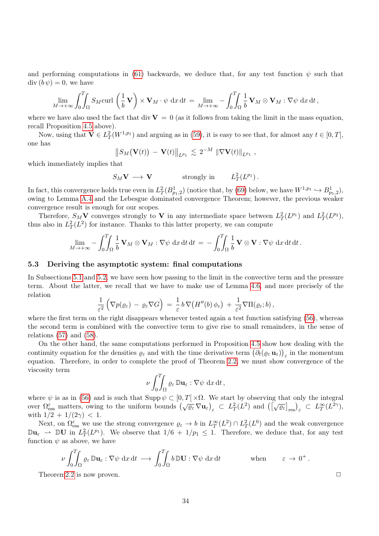and performing computations in [\(61\)](#page-26-1) backwards, we deduce that, for any test function  $\psi$  such that  $\mathrm{div}(b\,\psi)=0$ , we have

$$
\lim_{M \to +\infty} \int_0^T \int_{\Omega} S_M \text{curl} \left( \frac{1}{b} \mathbf{V} \right) \times \mathbf{V}_M \cdot \psi \, dx \, dt = \lim_{M \to +\infty} -\int_0^T \int_{\Omega} \frac{1}{b} \mathbf{V}_M \otimes \mathbf{V}_M : \nabla \psi \, dx \, dt,
$$

where we have also used the fact that div  $V = 0$  (as it follows from taking the limit in the mass equation, recall Proposition [4.5](#page-19-3) above).

Now, using that  $\mathbf{V} \in L^2_T(W^{1,p_1})$  and arguing as in [\(59\)](#page-25-1), it is easy to see that, for almost any  $t \in [0,T]$ , one has

$$
\|S_M(\mathbf{V}(t)) - \mathbf{V}(t)\|_{L^{p_1}} \lesssim 2^{-M} \|\nabla \mathbf{V}(t)\|_{L^{p_1}},
$$

which immediately implies that

$$
S_M V \longrightarrow V \qquad \text{strongly in} \qquad L^2_T(L^{p_1}).
$$

In fact, this convergence holds true even in  $L^2_T(B^1_{p_1,2})$  (notice that, by [\(69\)](#page-35-5) below, we have  $W^{1,p_1} \hookrightarrow B^1_{p_1,2}$ ), owing to Lemma [A.4](#page-35-6) and the Lebesgue dominated convergence Theorem; however, the previous weaker convergence result is enough for our scopes.

Therefore,  $S_M V$  converges strongly to V in any intermediate space between  $L^2_T(L^{p_1})$  and  $L^2_T(L^{p_2})$ , thus also in  $L^2_T(L^2)$  for instance. Thanks to this latter property, we can compute

$$
\lim_{M\to+\infty}-\int_0^T\!\!\!\int_\Omega\frac{1}{b}\,\mathbf{V}_M\otimes\mathbf{V}_M:\nabla\psi\;\mathrm{d}x\,\mathrm{d}t\,\mathrm{d}t=-\int_0^T\!\!\!\int_\Omega\frac{1}{b}\,\mathbf{V}\otimes\mathbf{V}:\nabla\psi\;\mathrm{d}x\,\mathrm{d}t\,\mathrm{d}t.
$$

#### <span id="page-33-0"></span>5.3 Deriving the asymptotic system: final computations

In Subsections [5.1](#page-24-5) and [5.2,](#page-26-0) we have seen how passing to the limit in the convective term and the pressure term. About the latter, we recall that we have to make use of Lemma [4.6,](#page-19-4) and more precisely of the relation

$$
\frac{1}{\varepsilon^2}\left(\nabla p(\varrho_\varepsilon)-\varrho_\varepsilon\nabla G\right)=\frac{1}{\varepsilon}b\,\nabla\big(H''(b)\,\phi_\varepsilon\big)+\frac{1}{\varepsilon^2}\nabla\Pi(\varrho_\varepsilon;b)\,,
$$

where the first term on the right disappears whenever tested again a test function satisfying [\(56\)](#page-24-1), whereas the second term is combined with the convective term to give rise to small remainders, in the sense of relations  $(57)$  and  $(58)$ .

On the other hand, the same computations performed in Proposition [4.5](#page-19-3) show how dealing with the continuity equation for the densities  $\varrho_{\varepsilon}$  and with the time derivative term  $(\partial_t(\varrho_{\varepsilon}\,\mathbf{u}_{\varepsilon}))_{\varepsilon}$  in the momentum equation. Therefore, in order to complete the proof of Theorem [2.2,](#page-6-1) we must show convergence of the viscosity term

$$
\nu \int_0^T \int_{\Omega} \varrho_{\varepsilon} \, \mathbb{D} \mathbf{u}_{\varepsilon} : \nabla \psi \, dx \, dt,
$$

where  $\psi$  is as in [\(56\)](#page-24-1) and is such that Supp  $\psi \subset [0, T] \times \Omega$ . We start by observing that only the integral over  $\Omega_{\text{ess}}^{\varepsilon}$  matters, owing to the uniform bounds  $(\sqrt{\varrho_{\varepsilon}} \nabla u_{\varepsilon})_{\varepsilon} \subset L_T^2(L^2)$  and  $([\sqrt{\varrho_{\varepsilon}}]_{\text{res}})_{\varepsilon} \subset L_T^{\infty}(L^{2\gamma})$ , with  $1/2 + 1/(2\gamma) < 1$ .

Next, on  $\Omega_{\text{ess}}^{\varepsilon}$  we use the strong convergence  $\varrho_{\varepsilon} \to b$  in  $L^{\infty}_T(L^2) \cap L^2_T(L^6)$  and the weak convergence  $\mathbb{D} \mathbf{u}_{\varepsilon} \to \mathbb{D} \mathbf{U}$  in  $L^2_T(L^{p_1})$ . We observe that  $1/6 + 1/p_1 \leq 1$ . Therefore, we deduce that, for any test function  $\psi$  as above, we have

$$
\nu \int_0^T \int_{\Omega} \varrho_{\varepsilon} \, \mathbb{D} \mathbf{u}_{\varepsilon} : \nabla \psi \, \mathrm{d}x \, \mathrm{d}t \, \longrightarrow \, \int_0^T \int_{\Omega} b \, \mathbb{D} \mathbf{U} : \nabla \psi \, \mathrm{d}x \, \mathrm{d}t \qquad \qquad \text{when} \qquad \varepsilon \to 0^+ \, .
$$

Theorem 2.2 is now proven.  $\Box$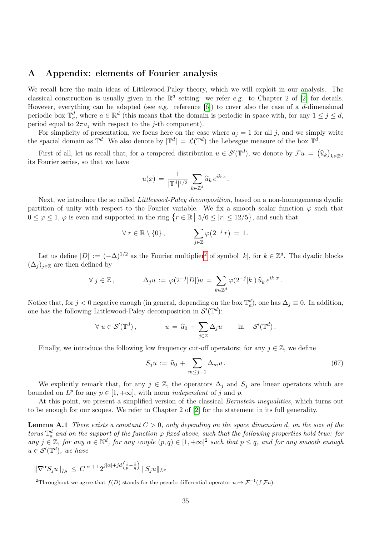# A Appendix: elements of Fourier analysis

We recall here the main ideas of Littlewood-Paley theory, which we will exploit in our analysis. The classical construction is usually given in the  $\mathbb{R}^d$  setting: we refer e.g. to Chapter 2 of [\[2\]](#page-35-3) for details. However, everything can be adapted (see e.g. reference  $[6]$ ) to cover also the case of a d-dimensional periodic box  $\mathbb{T}_a^d$ , where  $a \in \mathbb{R}^d$  (this means that the domain is periodic in space with, for any  $1 \leq j \leq d$ , period equal to  $2\pi a_j$  with respect to the j-th component).

For simplicity of presentation, we focus here on the case where  $a_j = 1$  for all j, and we simply write the spacial domain as  $\mathbb{T}^d$ . We also denote by  $|\mathbb{T}^d| = \mathcal{L}(\mathbb{T}^d)$  the Lebesgue measure of the box  $\mathbb{T}^d$ .

First of all, let us recall that, for a tempered distribution  $u \in \mathcal{S}'(\mathbb{T}^d)$ , we denote by  $\mathcal{F}u = (\hat{u}_k)_{k \in \mathbb{Z}^d}$ its Fourier series, so that we have

$$
u(x) = \frac{1}{|\mathbb{T}^d|^{1/2}} \sum_{k \in \mathbb{Z}^d} \widehat{u}_k e^{ik \cdot x}.
$$

Next, we introduce the so called *Littlewood-Paley decomposition*, based on a non-homogeneous dyadic partition of unity with respect to the Fourier variable. We fix a smooth scalar function  $\varphi$  such that  $0 \leq \varphi \leq 1$ ,  $\varphi$  is even and supported in the ring  $\{r \in \mathbb{R} \mid 5/6 \leq |r| \leq 12/5\}$ , and such that

$$
\forall r \in \mathbb{R} \setminus \{0\}, \qquad \sum_{j \in \mathbb{Z}} \varphi(2^{-j} r) = 1.
$$

Let us define  $|D| := (-\Delta)^{1/2}$  $|D| := (-\Delta)^{1/2}$  $|D| := (-\Delta)^{1/2}$  as the Fourier multiplier<sup>2</sup> of symbol  $|k|$ , for  $k \in \mathbb{Z}^d$ . The dyadic blocks  $(\Delta_i)_{i\in\mathbb{Z}}$  are then defined by

$$
\forall j \in \mathbb{Z}, \qquad \Delta_j u := \varphi(2^{-j}|D|)u = \sum_{k \in \mathbb{Z}^d} \varphi(2^{-j}|k|) \, \widehat{u}_k \, e^{ik \cdot x}.
$$

Notice that, for  $j < 0$  negative enough (in general, depending on the box  $\mathbb{T}_a^d$ ), one has  $\Delta_j \equiv 0$ . In addition, one has the following Littlewood-Paley decomposition in  $\mathcal{S}'(\mathbb{T}^d)$ :

$$
\forall u \in \mathcal{S}'(\mathbb{T}^d), \qquad u = \widehat{u}_0 + \sum_{j \in \mathbb{Z}} \Delta_j u \qquad \text{in} \quad \mathcal{S}'(\mathbb{T}^d).
$$

Finally, we introduce the following low frequency cut-off operators: for any  $j \in \mathbb{Z}$ , we define

<span id="page-34-0"></span>
$$
S_j u := \widehat{u}_0 + \sum_{m \le j-1} \Delta_m u. \tag{67}
$$

We explicitly remark that, for any  $j \in \mathbb{Z}$ , the operators  $\Delta_j$  and  $S_j$  are linear operators which are bounded on  $L^p$  for any  $p \in [1, +\infty]$ , with norm *independent* of j and p.

At this point, we present a simplified version of the classical *Bernstein inequalities*, which turns out to be enough for our scopes. We refer to Chapter 2 of [\[2\]](#page-35-3) for the statement in its full generality.

<span id="page-34-1"></span>**Lemma A.1** There exists a constant  $C > 0$ , only depending on the space dimension d, on the size of the torus  $\mathbb{T}_a^d$  and on the support of the function  $\varphi$  fixed above, such that the following properties hold true: for any  $j \in \mathbb{Z}$ , for any  $\alpha \in \mathbb{N}^d$ , for any couple  $(p, q) \in [1, +\infty]^2$  such that  $p \leq q$ , and for any smooth enough  $u \in \mathcal{S}'(\mathbb{T}^d)$ , we have

$$
\|\nabla^{\alpha} S_j u\|_{L^q} \leq C^{|\alpha|+1} 2^{j|\alpha|+jd\left(\frac{1}{p}-\frac{1}{q}\right)} \|S_j u\|_{L^p}
$$

<span id="page-34-2"></span><sup>&</sup>lt;sup>2</sup>Throughout we agree that  $f(D)$  stands for the pseudo-differential operator  $u \mapsto \mathcal{F}^{-1}(f \mathcal{F}u)$ .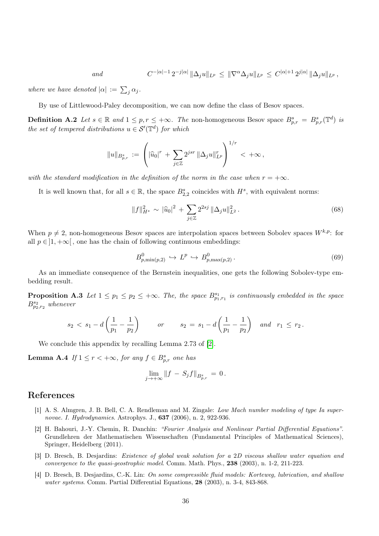$$
\ and
$$

$$
C^{-|\alpha|-1} 2^{-j|\alpha|} \|\Delta_j u\|_{L^p} \leq \|\nabla^{\alpha} \Delta_j u\|_{L^p} \leq C^{|\alpha|+1} 2^{j|\alpha|} \|\Delta_j u\|_{L^p},
$$

where we have denoted  $|\alpha| := \sum_j \alpha_j$ .

By use of Littlewood-Paley decomposition, we can now define the class of Besov spaces.

**Definition A.2** Let  $s \in \mathbb{R}$  and  $1 \leq p, r \leq +\infty$ . The non-homogeneous Besov space  $B_{p,r}^s = B_{p,r}^s(\mathbb{T}^d)$  is the set of tempered distributions  $u \in \mathcal{S}'(\mathbb{T}^d)$  for which

$$
||u||_{B_{p,r}^s} := \left( |\widehat{u}_0|^r + \sum_{j \in \mathbb{Z}} 2^{jsr} ||\Delta_j u||_{L^p}^r \right)^{1/r} < +\infty,
$$

with the standard modification in the definition of the norm in the case when  $r = +\infty$ .

It is well known that, for all  $s \in \mathbb{R}$ , the space  $B_{2,2}^s$  coincides with  $H^s$ , with equivalent norms:

<span id="page-35-4"></span>
$$
||f||_{H^s}^2 \sim |\widehat{u}_0|^2 + \sum_{j \in \mathbb{Z}} 2^{2sj} ||\Delta_j u||_{L^2}^2.
$$
 (68)

When  $p \neq 2$ , non-homogeneous Besov spaces are interpolation spaces between Sobolev spaces  $W^{k,p}$ : for all  $p \in ]1, +\infty[$ , one has the chain of following continuous embeddings:

<span id="page-35-5"></span>
$$
B_{p,\min(p,2)}^0 \hookrightarrow L^p \hookrightarrow B_{p,\max(p,2)}^0. \tag{69}
$$

As an immediate consequence of the Bernstein inequalities, one gets the following Sobolev-type embedding result.

**Proposition A.3** Let  $1 \leq p_1 \leq p_2 \leq +\infty$ . The, the space  $B^{s_1}_{p_1,r_1}$  is continuously embedded in the space  $B^{s_2}_{p_2,r_2}$  whenever

$$
s_2 < s_1 - d\left(\frac{1}{p_1} - \frac{1}{p_2}\right)
$$
 or  $s_2 = s_1 - d\left(\frac{1}{p_1} - \frac{1}{p_2}\right)$  and  $r_1 \leq r_2$ .

We conclude this appendix by recalling Lemma 2.73 of [\[2\]](#page-35-3).

**Lemma A.4** If  $1 \leq r < +\infty$ , for any  $f \in B_{p,r}^s$  one has

<span id="page-35-6"></span>
$$
\lim_{j \to +\infty} \|f - S_j f\|_{B_{p,r}^s} = 0.
$$

### References

- <span id="page-35-0"></span>[1] A. S. Almgren, J. B. Bell, C. A. Rendleman and M. Zingale: Low Mach number modeling of type Ia supernovae. I. Hydrodynamics. Astrophys. J., 637 (2006), n. 2, 922-936.
- <span id="page-35-3"></span>[2] H. Bahouri, J.-Y. Chemin, R. Danchin: "Fourier Analysis and Nonlinear Partial Differential Equations". Grundlehren der Mathematischen Wissenschaften (Fundamental Principles of Mathematical Sciences), Springer, Heidelberg (2011).
- <span id="page-35-1"></span>[3] D. Bresch, B. Desjardins: Existence of global weak solution for a 2D viscous shallow water equation and convergence to the quasi-geostrophic model. Comm. Math. Phys., 238 (2003), n. 1-2, 211-223.
- <span id="page-35-2"></span>[4] D. Bresch, B. Desjardins, C.-K. Lin: On some compressible fluid models: Korteweg, lubrication, and shallow water systems. Comm. Partial Differential Equations, 28 (2003), n. 3-4, 843-868.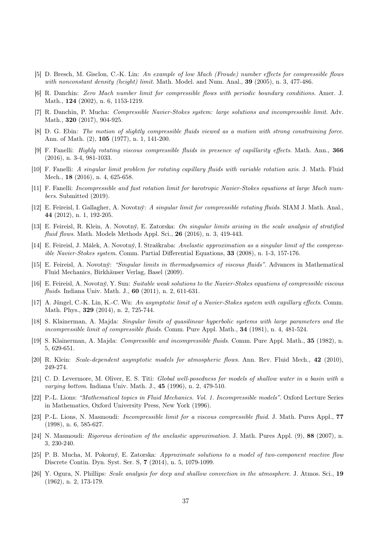- <span id="page-36-2"></span>[5] D. Bresch, M. Gisclon, C.-K. Lin: An example of low Mach (Froude) number effects for compressible flows with nonconstant density (height) limit. Math. Model. and Num. Anal.,  $39$  (2005), n. 3, 477-486.
- <span id="page-36-20"></span>[6] R. Danchin: Zero Mach number limit for compressible flows with periodic boundary conditions. Amer. J. Math., **124** (2002), n. 6, 1153-1219.
- <span id="page-36-11"></span>[7] R. Danchin, P. Mucha: Compressible Navier-Stokes system: large solutions and incompressible limit. Adv. Math., **320** (2017), 904-925.
- <span id="page-36-7"></span>[8] D. G. Ebin: The motion of slightly compressible fluids viewed as a motion with strong constraining force. Ann. of Math. (2), 105 (1977), n. 1, 141-200.
- <span id="page-36-14"></span>[9] F. Fanelli: Highly rotating viscous compressible fluids in presence of capillarity effects. Math. Ann., 366 (2016), n. 3-4, 981-1033.
- <span id="page-36-15"></span>[10] F. Fanelli: A singular limit problem for rotating capillary fluids with variable rotation axis. J. Math. Fluid Mech., 18 (2016), n. 4, 625-658.
- <span id="page-36-12"></span>[11] F. Fanelli: Incompressible and fast rotation limit for barotropic Navier-Stokes equations at large Mach numbers. Submitted (2019).
- [12] E. Feireisl, I. Gallagher, A. Novotný: A singular limit for compressible rotating fluids. SIAM J. Math. Anal., 44 (2012), n. 1, 192-205.
- <span id="page-36-10"></span>[13] E. Feireisl, R. Klein, A. Novotný, E. Zatorska: On singular limits arising in the scale analysis of stratified fluid flows. Math. Models Methods Appl. Sci., 26 (2016), n. 3, 419-443.
- <span id="page-36-5"></span>[14] E. Feireisl, J. Málek, A. Novotný, I. Straškraba: Anelastic approximation as a singular limit of the compressible Navier-Stokes system. Comm. Partial Differential Equations, 33 (2008), n. 1-3, 157-176.
- <span id="page-36-6"></span>[15] E. Feireisl, A. Novotný: "Singular limits in thermodynamics of viscous fluids". Advances in Mathematical Fluid Mechanics, Birkhäuser Verlag, Basel (2009).
- <span id="page-36-19"></span>[16] E. Feireisl, A. Novotný, Y. Sun: Suitable weak solutions to the Navier-Stokes equations of compressible viscous fluids. Indiana Univ. Math. J., 60 (2011), n. 2, 611-631.
- <span id="page-36-13"></span>[17] A. Jüngel, C.-K. Lin, K.-C. Wu: An asymptotic limit of a Navier-Stokes system with capillary effects. Comm. Math. Phys., 329 (2014), n. 2, 725-744.
- <span id="page-36-8"></span>[18] S. Klainerman, A. Majda: Singular limits of quasilinear hyperbolic systems with large parameters and the incompressible limit of compressible fluids. Comm. Pure Appl. Math., 34 (1981), n. 4, 481-524.
- <span id="page-36-9"></span>[19] S. Klainerman, A. Majda: Compressible and incompressible fluids. Comm. Pure Appl. Math., 35 (1982), n. 5, 629-651.
- <span id="page-36-1"></span>[20] R. Klein: Scale-dependent asymptotic models for atmospheric flows. Ann. Rev. Fluid Mech., 42 (2010), 249-274.
- <span id="page-36-3"></span>[21] C. D. Levermore, M. Oliver, E. S. Titi: Global well-posedness for models of shallow water in a basin with a varying bottom. Indiana Univ. Math. J., 45 (1996), n. 2, 479-510.
- <span id="page-36-18"></span>[22] P.-L. Lions: "Mathematical topics in Fluid Mechanics. Vol. 1. Incompressible models". Oxford Lecture Series in Mathematics, Oxford University Press, New York (1996).
- <span id="page-36-17"></span>[23] P.-L. Lions, N. Masmoudi: Incompressible limit for a viscous compressible fluid. J. Math. Pures Appl., 77 (1998), n. 6, 585-627.
- <span id="page-36-4"></span>[24] N. Masmoudi: *Rigorous derivation of the anelastic approximation*. J. Math. Pures Appl. (9), 88 (2007), n. 3, 230-240.
- <span id="page-36-16"></span>[25] P. B. Mucha, M. Pokorný, E. Zatorska: Approximate solutions to a model of two-component reactive flow Discrete Contin. Dyn. Syst. Ser. S, 7 (2014), n. 5, 1079-1099.
- <span id="page-36-0"></span>[26] Y. Ogura, N. Phillips: Scale analysis for deep and shallow convection in the atmosphere. J. Atmos. Sci., 19 (1962), n. 2, 173-179.